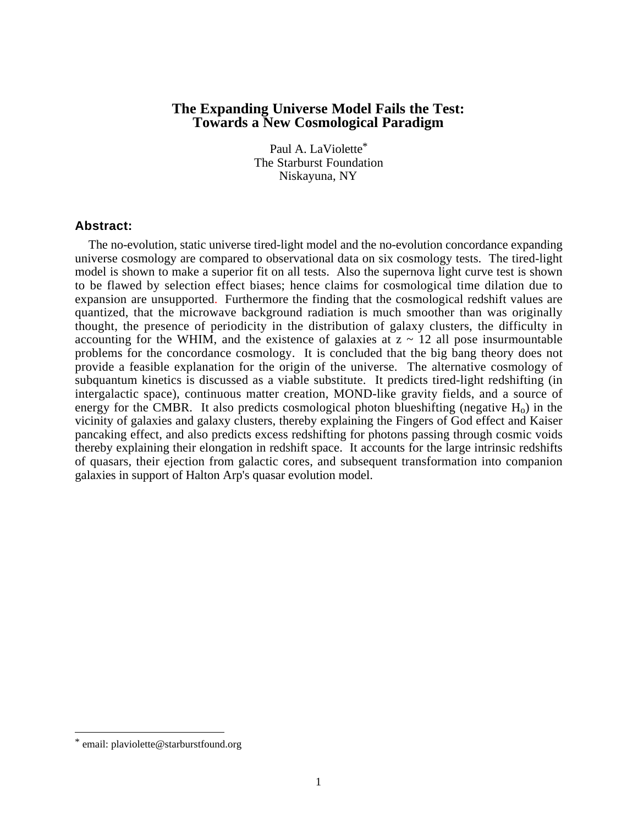# **The Expanding Universe Model Fails the Test: Towards a New Cosmological Paradigm**

Paul A. LaViolette\* The Starburst Foundation Niskayuna, NY

#### **Abstract:**

The no-evolution, static universe tired-light model and the no-evolution concordance expanding universe cosmology are compared to observational data on six cosmology tests. The tired-light model is shown to make a superior fit on all tests. Also the supernova light curve test is shown to be flawed by selection effect biases; hence claims for cosmological time dilation due to expansion are unsupported. Furthermore the finding that the cosmological redshift values are quantized, that the microwave background radiation is much smoother than was originally thought, the presence of periodicity in the distribution of galaxy clusters, the difficulty in accounting for the WHIM, and the existence of galaxies at  $z \sim 12$  all pose insurmountable problems for the concordance cosmology. It is concluded that the big bang theory does not provide a feasible explanation for the origin of the universe. The alternative cosmology of subquantum kinetics is discussed as a viable substitute. It predicts tired-light redshifting (in intergalactic space), continuous matter creation, MOND-like gravity fields, and a source of energy for the CMBR. It also predicts cosmological photon blueshifting (negative  $H_0$ ) in the vicinity of galaxies and galaxy clusters, thereby explaining the Fingers of God effect and Kaiser pancaking effect, and also predicts excess redshifting for photons passing through cosmic voids thereby explaining their elongation in redshift space. It accounts for the large intrinsic redshifts of quasars, their ejection from galactic cores, and subsequent transformation into companion galaxies in support of Halton Arp's quasar evolution model.

email: plaviolette@starburstfound.org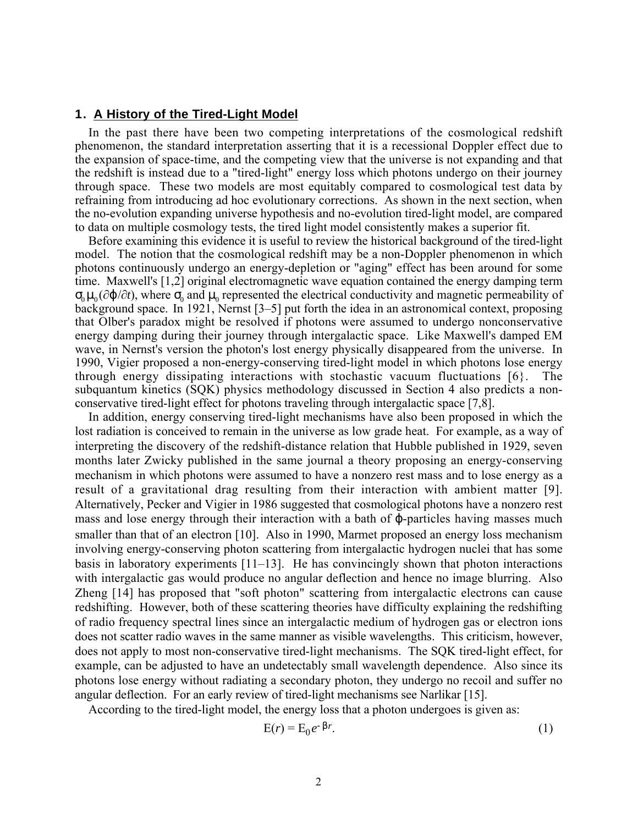## **1. A History of the Tired-Light Model**

In the past there have been two competing interpretations of the cosmological redshift phenomenon, the standard interpretation asserting that it is a recessional Doppler effect due to the expansion of space-time, and the competing view that the universe is not expanding and that the redshift is instead due to a "tired-light" energy loss which photons undergo on their journey through space. These two models are most equitably compared to cosmological test data by refraining from introducing ad hoc evolutionary corrections. As shown in the next section, when the no-evolution expanding universe hypothesis and no-evolution tired-light model, are compared to data on multiple cosmology tests, the tired light model consistently makes a superior fit.

Before examining this evidence it is useful to review the historical background of the tired-light model. The notion that the cosmological redshift may be a non-Doppler phenomenon in which photons continuously undergo an energy-depletion or "aging" effect has been around for some time. Maxwell's [1,2] original electromagnetic wave equation contained the energy damping term  $\sigma_0\mu_0(\partial\varphi/\partial t)$ , where  $\sigma_0$  and  $\mu_0$  represented the electrical conductivity and magnetic permeability of background space. In 1921, Nernst [3–5] put forth the idea in an astronomical context, proposing that Olber's paradox might be resolved if photons were assumed to undergo nonconservative energy damping during their journey through intergalactic space. Like Maxwell's damped EM wave, in Nernst's version the photon's lost energy physically disappeared from the universe. In 1990, Vigier proposed a non-energy-conserving tired-light model in which photons lose energy through energy dissipating interactions with stochastic vacuum fluctuations [6}. The subquantum kinetics (SQK) physics methodology discussed in Section 4 also predicts a nonconservative tired-light effect for photons traveling through intergalactic space [7,8].

In addition, energy conserving tired-light mechanisms have also been proposed in which the lost radiation is conceived to remain in the universe as low grade heat. For example, as a way of interpreting the discovery of the redshift-distance relation that Hubble published in 1929, seven months later Zwicky published in the same journal a theory proposing an energy-conserving mechanism in which photons were assumed to have a nonzero rest mass and to lose energy as a result of a gravitational drag resulting from their interaction with ambient matter [9]. Alternatively, Pecker and Vigier in 1986 suggested that cosmological photons have a nonzero rest mass and lose energy through their interaction with a bath of ϕ-particles having masses much smaller than that of an electron [10]. Also in 1990, Marmet proposed an energy loss mechanism involving energy-conserving photon scattering from intergalactic hydrogen nuclei that has some basis in laboratory experiments [11–13]. He has convincingly shown that photon interactions with intergalactic gas would produce no angular deflection and hence no image blurring. Also Zheng [14] has proposed that "soft photon" scattering from intergalactic electrons can cause redshifting. However, both of these scattering theories have difficulty explaining the redshifting of radio frequency spectral lines since an intergalactic medium of hydrogen gas or electron ions does not scatter radio waves in the same manner as visible wavelengths. This criticism, however, does not apply to most non-conservative tired-light mechanisms. The SQK tired-light effect, for example, can be adjusted to have an undetectably small wavelength dependence. Also since its photons lose energy without radiating a secondary photon, they undergo no recoil and suffer no angular deflection. For an early review of tired-light mechanisms see Narlikar [15].

According to the tired-light model, the energy loss that a photon undergoes is given as:

$$
E(r) = E_0 e^{-\beta r}.
$$
 (1)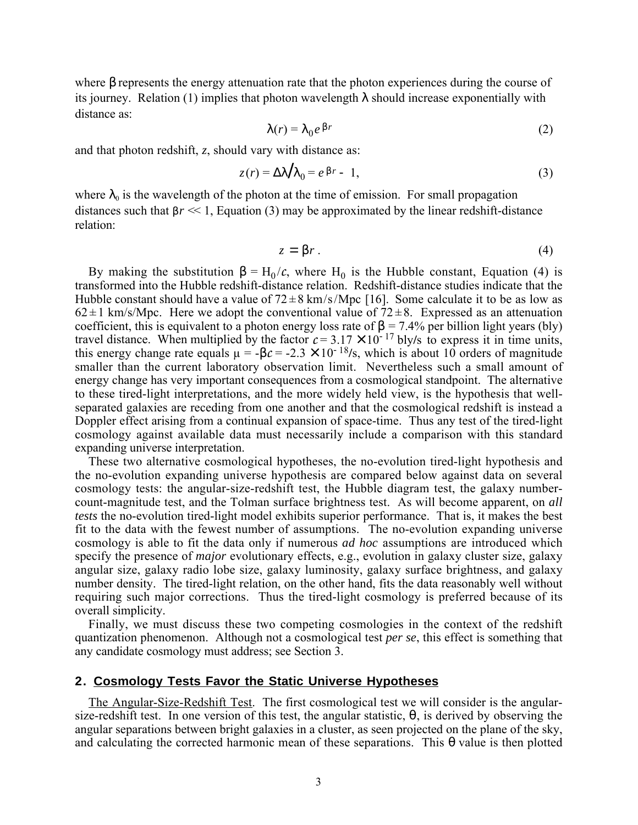where  $\beta$  represents the energy attenuation rate that the photon experiences during the course of its journey. Relation (1) implies that photon wavelength  $\lambda$  should increase exponentially with distance as:

$$
\lambda(r) = \lambda_0 e^{\beta r} \tag{2}
$$

and that photon redshift, *z*, should vary with distance as:

$$
z(r) = \Delta \lambda / \lambda_0 = e^{\beta r} - 1,\tag{3}
$$

where  $\lambda_0$  is the wavelength of the photon at the time of emission. For small propagation distances such that  $\beta r \ll 1$ , Equation (3) may be approximated by the linear redshift-distance relation:

$$
z = \beta r \tag{4}
$$

By making the substitution  $β = H_0/c$ , where H<sub>0</sub> is the Hubble constant, Equation (4) is transformed into the Hubble redshift-distance relation. Redshift-distance studies indicate that the Hubble constant should have a value of  $72 \pm 8$  km/s/Mpc [16]. Some calculate it to be as low as  $62 \pm 1$  km/s/Mpc. Here we adopt the conventional value of  $72 \pm 8$ . Expressed as an attenuation coefficient, this is equivalent to a photon energy loss rate of  $\beta = 7.4\%$  per billion light years (bly) travel distance. When multiplied by the factor  $c = 3.17 \times 10^{-17}$  bly/s to express it in time units, this energy change rate equals  $\mu = -\beta c = -2.3 \times 10^{-18}$ /s, which is about 10 orders of magnitude smaller than the current laboratory observation limit. Nevertheless such a small amount of energy change has very important consequences from a cosmological standpoint. The alternative to these tired-light interpretations, and the more widely held view, is the hypothesis that wellseparated galaxies are receding from one another and that the cosmological redshift is instead a Doppler effect arising from a continual expansion of space-time. Thus any test of the tired-light cosmology against available data must necessarily include a comparison with this standard expanding universe interpretation.

These two alternative cosmological hypotheses, the no-evolution tired-light hypothesis and the no-evolution expanding universe hypothesis are compared below against data on several cosmology tests: the angular-size-redshift test, the Hubble diagram test, the galaxy numbercount-magnitude test, and the Tolman surface brightness test. As will become apparent, on *all tests* the no-evolution tired-light model exhibits superior performance. That is, it makes the best fit to the data with the fewest number of assumptions. The no-evolution expanding universe cosmology is able to fit the data only if numerous *ad hoc* assumptions are introduced which specify the presence of *major* evolutionary effects, e.g., evolution in galaxy cluster size, galaxy angular size, galaxy radio lobe size, galaxy luminosity, galaxy surface brightness, and galaxy number density. The tired-light relation, on the other hand, fits the data reasonably well without requiring such major corrections. Thus the tired-light cosmology is preferred because of its overall simplicity.

Finally, we must discuss these two competing cosmologies in the context of the redshift quantization phenomenon. Although not a cosmological test *per se*, this effect is something that any candidate cosmology must address; see Section 3.

#### **2. Cosmology Tests Favor the Static Universe Hypotheses**

The Angular-Size-Redshift Test. The first cosmological test we will consider is the angularsize-redshift test. In one version of this test, the angular statistic,  $\theta$ , is derived by observing the angular separations between bright galaxies in a cluster, as seen projected on the plane of the sky, and calculating the corrected harmonic mean of these separations. This  $\theta$  value is then plotted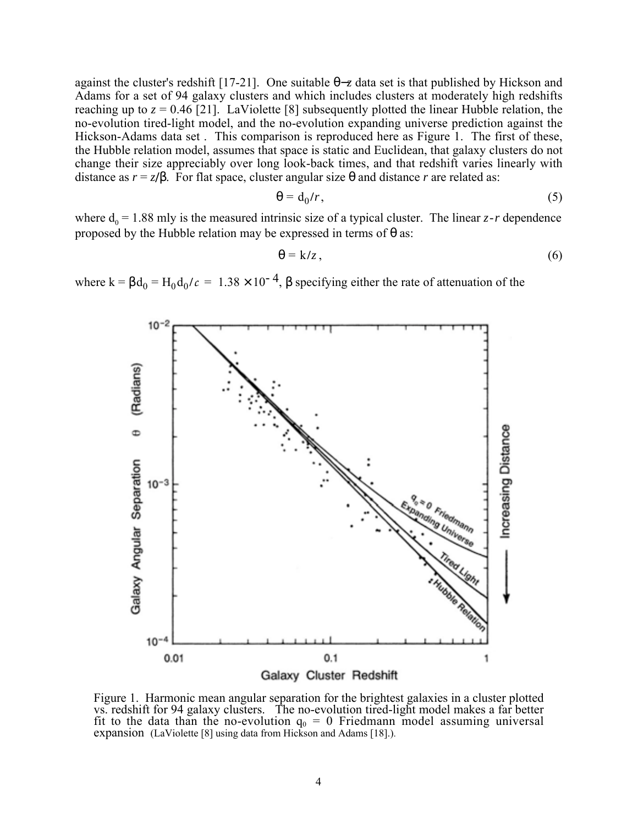against the cluster's redshift [17-21]. One suitable θ−*z* data set is that published by Hickson and Adams for a set of 94 galaxy clusters and which includes clusters at moderately high redshifts reaching up to  $z = 0.46$  [21]. LaViolette [8] subsequently plotted the linear Hubble relation, the no-evolution tired-light model, and the no-evolution expanding universe prediction against the Hickson-Adams data set . This comparison is reproduced here as Figure 1. The first of these, the Hubble relation model, assumes that space is static and Euclidean, that galaxy clusters do not change their size appreciably over long look-back times, and that redshift varies linearly with distance as  $r = z/\beta$ . For flat space, cluster angular size  $\theta$  and distance *r* are related as:

$$
\Theta = d_0/r, \tag{5}
$$

where  $d_0 = 1.88$  mly is the measured intrinsic size of a typical cluster. The linear  $z$ -r dependence proposed by the Hubble relation may be expressed in terms of  $\theta$  as:

$$
\theta = k/z, \tag{6}
$$

where  $k = \beta d_0 = H_0 d_0/c = 1.38 \times 10^{-4}$ ,  $\beta$  specifying either the rate of attenuation of the



Figure 1. Harmonic mean angular separation for the brightest galaxies in a cluster plotted vs. redshift for 94 galaxy clusters. The no-evolution tired-light model makes a far better fit to the data than the no-evolution  $q_0 = 0$  Friedmann model assuming universal expansion (LaViolette [8] using data from Hickson and Adams [18].).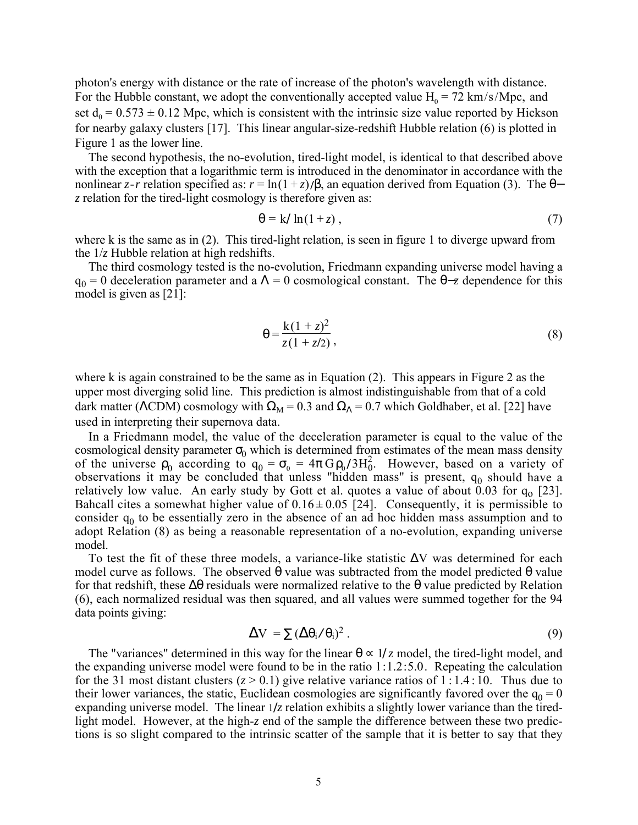photon's energy with distance or the rate of increase of the photon's wavelength with distance. For the Hubble constant, we adopt the conventionally accepted value  $H_0 = 72 \text{ km/s/Mpc}$ , and set  $d_0 = 0.573 \pm 0.12$  Mpc, which is consistent with the intrinsic size value reported by Hickson for nearby galaxy clusters [17]. This linear angular-size-redshift Hubble relation (6) is plotted in Figure 1 as the lower line.

The second hypothesis, the no-evolution, tired-light model, is identical to that described above with the exception that a logarithmic term is introduced in the denominator in accordance with the nonlinear *z*-r relation specified as:  $r = \ln(1 + z)/\beta$ , an equation derived from Equation (3). The  $\theta$ *z* relation for the tired-light cosmology is therefore given as:

$$
\theta = k / \ln(1 + z) \tag{7}
$$

where k is the same as in (2). This tired-light relation, is seen in figure 1 to diverge upward from the 1/*z* Hubble relation at high redshifts.

The third cosmology tested is the no-evolution, Friedmann expanding universe model having a  $q_0 = 0$  deceleration parameter and a  $\Lambda = 0$  cosmological constant. The  $\theta$ -*z* dependence for this model is given as [21]:

$$
\theta = \frac{k(1+z)^2}{z(1+z/2)},
$$
\n(8)

where k is again constrained to be the same as in Equation (2). This appears in Figure 2 as the upper most diverging solid line. This prediction is almost indistinguishable from that of a cold dark matter (ΛCDM) cosmology with  $\Omega_M = 0.3$  and  $\Omega_\Lambda = 0.7$  which Goldhaber, et al. [22] have used in interpreting their supernova data.

In a Friedmann model, the value of the deceleration parameter is equal to the value of the cosmological density parameter  $\sigma_0$  which is determined from estimates of the mean mass density of the universe  $\rho_0$  according to  $q_0 = \sigma_0 = 4\pi G \rho_0 / 3H_0^2$ . However, based on a variety of observations it may be concluded that unless "hidden mass" is present,  $q_0$  should have a relatively low value. An early study by Gott et al. quotes a value of about 0.03 for  $q_0$  [23]. Bahcall cites a somewhat higher value of  $0.16 \pm 0.05$  [24]. Consequently, it is permissible to consider  $q_0$  to be essentially zero in the absence of an ad hoc hidden mass assumption and to adopt Relation (8) as being a reasonable representation of a no-evolution, expanding universe model.

To test the fit of these three models, a variance-like statistic ∆V was determined for each model curve as follows. The observed  $\theta$  value was subtracted from the model predicted  $\theta$  value for that redshift, these  $\Delta\theta$  residuals were normalized relative to the  $\theta$  value predicted by Relation (6), each normalized residual was then squared, and all values were summed together for the 94 data points giving:

$$
\Delta V = \sum (\Delta \theta_i / \theta_i)^2 \,. \tag{9}
$$

The "variances" determined in this way for the linear  $\theta \propto 1/z$  model, the tired-light model, and the expanding universe model were found to be in the ratio 1:1.2:5.0. Repeating the calculation for the 31 most distant clusters  $(z > 0.1)$  give relative variance ratios of 1:1.4:10. Thus due to their lower variances, the static, Euclidean cosmologies are significantly favored over the  $q_0 = 0$ expanding universe model. The linear 1**/***z* relation exhibits a slightly lower variance than the tiredlight model. However, at the high-*z* end of the sample the difference between these two predictions is so slight compared to the intrinsic scatter of the sample that it is better to say that they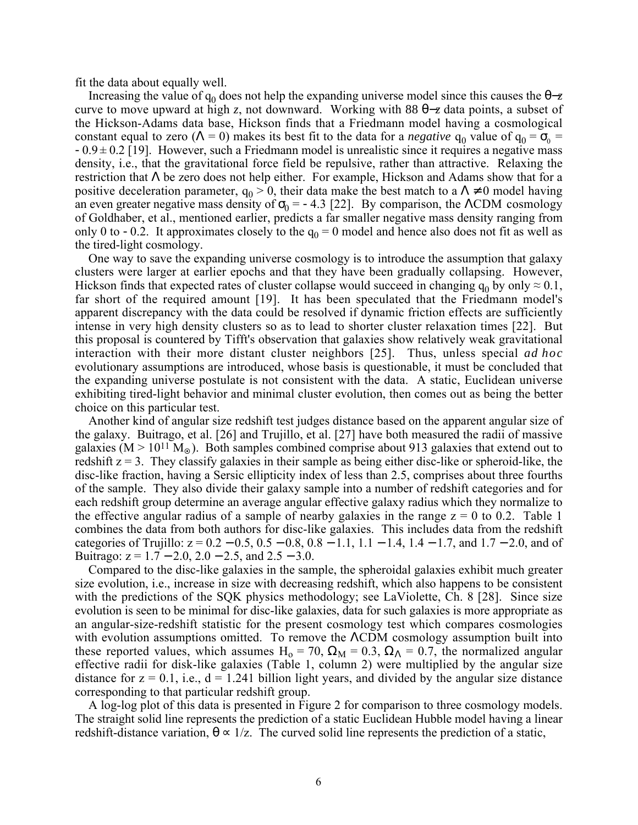fit the data about equally well.

Increasing the value of  $q_0$  does not help the expanding universe model since this causes the  $\theta$ -*z* curve to move upward at high *z*, not downward. Working with 88 θ−*z* data points, a subset of the Hickson-Adams data base, Hickson finds that a Friedmann model having a cosmological constant equal to zero ( $\Lambda = 0$ ) makes its best fit to the data for a *negative*  $q_0$  value of  $q_0 = \sigma_0$  $-0.9 \pm 0.2$  [19]. However, such a Friedmann model is unrealistic since it requires a negative mass density, i.e., that the gravitational force field be repulsive, rather than attractive. Relaxing the restriction that Λ be zero does not help either. For example, Hickson and Adams show that for a positive deceleration parameter,  $q_0 > 0$ , their data make the best match to a  $\Lambda \neq 0$  model having an even greater negative mass density of  $\sigma_0$  = -4.3 [22]. By comparison, the ΛCDM cosmology of Goldhaber, et al., mentioned earlier, predicts a far smaller negative mass density ranging from only 0 to -0.2. It approximates closely to the  $q_0 = 0$  model and hence also does not fit as well as the tired-light cosmology.

One way to save the expanding universe cosmology is to introduce the assumption that galaxy clusters were larger at earlier epochs and that they have been gradually collapsing. However, Hickson finds that expected rates of cluster collapse would succeed in changing  $q_0$  by only  $\approx 0.1$ , far short of the required amount [19]. It has been speculated that the Friedmann model's apparent discrepancy with the data could be resolved if dynamic friction effects are sufficiently intense in very high density clusters so as to lead to shorter cluster relaxation times [22]. But this proposal is countered by Tifft's observation that galaxies show relatively weak gravitational interaction with their more distant cluster neighbors [25]. Thus, unless special *ad hoc* evolutionary assumptions are introduced, whose basis is questionable, it must be concluded that the expanding universe postulate is not consistent with the data. A static, Euclidean universe exhibiting tired-light behavior and minimal cluster evolution, then comes out as being the better choice on this particular test.

Another kind of angular size redshift test judges distance based on the apparent angular size of the galaxy. Buitrago, et al. [26] and Trujillo, et al. [27] have both measured the radii of massive galaxies  $(M > 10^{11} M_{\odot})$ . Both samples combined comprise about 913 galaxies that extend out to redshift  $z = 3$ . They classify galaxies in their sample as being either disc-like or spheroid-like, the disc-like fraction, having a Sersic ellipticity index of less than 2.5, comprises about three fourths of the sample. They also divide their galaxy sample into a number of redshift categories and for each redshift group determine an average angular effective galaxy radius which they normalize to the effective angular radius of a sample of nearby galaxies in the range  $z = 0$  to 0.2. Table 1 combines the data from both authors for disc-like galaxies. This includes data from the redshift categories of Trujillo:  $z = 0.2 - 0.5$ ,  $0.5 - 0.8$ ,  $0.8 - 1.1$ ,  $1.1 - 1.4$ ,  $1.4 - 1.7$ , and  $1.7 - 2.0$ , and of Buitrago:  $z = 1.7 - 2.0$ ,  $2.0 - 2.5$ , and  $2.5 - 3.0$ .

Compared to the disc-like galaxies in the sample, the spheroidal galaxies exhibit much greater size evolution, i.e., increase in size with decreasing redshift, which also happens to be consistent with the predictions of the SQK physics methodology; see LaViolette, Ch. 8 [28]. Since size evolution is seen to be minimal for disc-like galaxies, data for such galaxies is more appropriate as an angular-size-redshift statistic for the present cosmology test which compares cosmologies with evolution assumptions omitted. To remove the ΛCDM cosmology assumption built into these reported values, which assumes H<sub>o</sub> = 70,  $\Omega_M$  = 0.3,  $\Omega_{\Lambda}$  = 0.7, the normalized angular effective radii for disk-like galaxies (Table 1, column 2) were multiplied by the angular size distance for  $z = 0.1$ , i.e.,  $d = 1.241$  billion light years, and divided by the angular size distance corresponding to that particular redshift group.

A log-log plot of this data is presented in Figure 2 for comparison to three cosmology models. The straight solid line represents the prediction of a static Euclidean Hubble model having a linear redshift-distance variation,  $\theta \propto 1/z$ . The curved solid line represents the prediction of a static,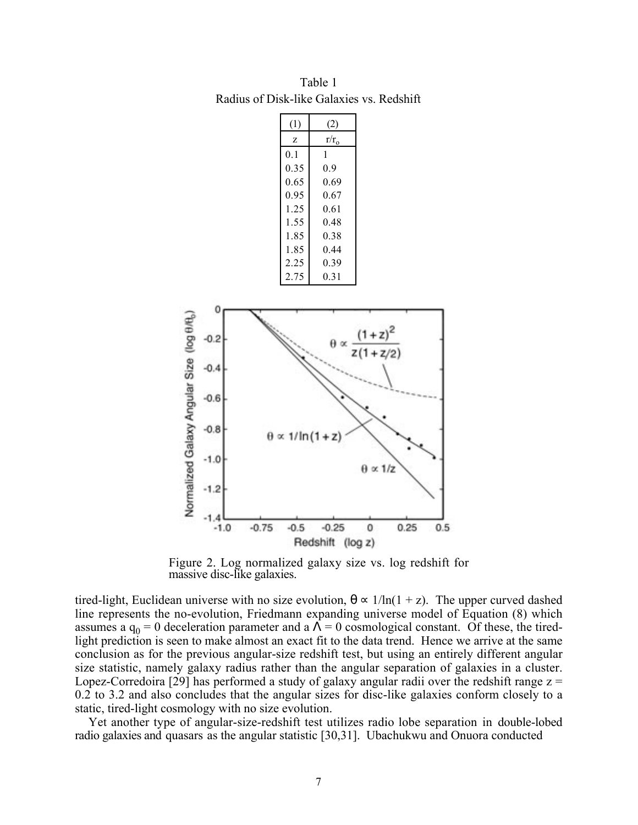| (1)            | (2)     |
|----------------|---------|
| Z              | $r/r_0$ |
| 0 <sub>1</sub> | 1       |
| 0.35           | 0.9     |
| 0.65           | 0.69    |
| 0.95           | 0.67    |
| 1 25           | 0.61    |
| 1.55           | 0 48    |
| 185            | 0 38    |
| 185            | 0 44    |
| 2.25           | 0.39    |
| 2.75           | 0 31    |

Table 1 Radius of Disk-like Galaxies vs. Redshift



Figure 2. Log normalized galaxy size vs. log redshift for massive disc-like galaxies.

tired-light, Euclidean universe with no size evolution,  $\theta \propto 1/\ln(1+z)$ . The upper curved dashed line represents the no-evolution, Friedmann expanding universe model of Equation (8) which assumes a  $q_0 = 0$  deceleration parameter and a  $\Lambda = 0$  cosmological constant. Of these, the tiredlight prediction is seen to make almost an exact fit to the data trend. Hence we arrive at the same conclusion as for the previous angular-size redshift test, but using an entirely different angular size statistic, namely galaxy radius rather than the angular separation of galaxies in a cluster. Lopez-Corredoira [29] has performed a study of galaxy angular radii over the redshift range  $z =$ 0.2 to 3.2 and also concludes that the angular sizes for disc-like galaxies conform closely to a static, tired-light cosmology with no size evolution.

Yet another type of angular-size-redshift test utilizes radio lobe separation in double-lobed radio galaxies and quasars as the angular statistic [30,31]. Ubachukwu and Onuora conducted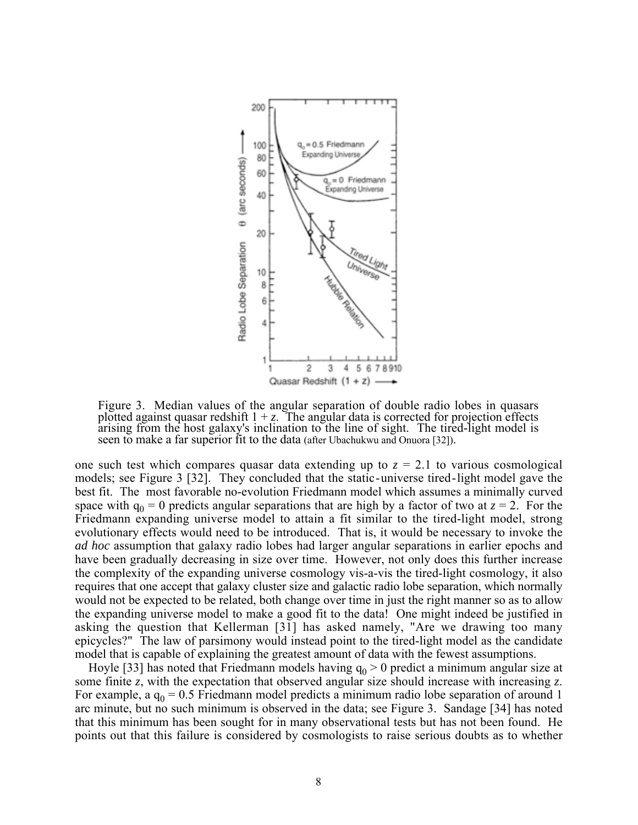

Figure 3. Median values of the angular separation of double radio lobes in quasars plotted against quasar redshift  $1 + z$ . The angular data is corrected for projection effects arising from the host galaxy's inclination to the line of sight. The tired-light model is seen to make a far superior fit to the data (after Ubachukwu and Onuora [32]).

one such test which compares quasar data extending up to  $z = 2.1$  to various cosmological models; see Figure 3 [32]. They concluded that the static-universe tired-light model gave the best fit. The most favorable no-evolution Friedmann model which assumes a minimally curved space with  $q_0 = 0$  predicts angular separations that are high by a factor of two at  $z = 2$ . For the Friedmann expanding universe model to attain a fit similar to the tired-light model, strong evolutionary effects would need to be introduced. That is, it would be necessary to invoke the *ad hoc* assumption that galaxy radio lobes had larger angular separations in earlier epochs and have been gradually decreasing in size over time. However, not only does this further increase the complexity of the expanding universe cosmology vis-a-vis the tired-light cosmology, it also requires that one accept that galaxy cluster size and galactic radio lobe separation, which normally would not be expected to be related, both change over time in just the right manner so as to allow the expanding universe model to make a good fit to the data! One might indeed be justified in asking the question that Kellerman [31] has asked namely, "Are we drawing too many epicycles?" The law of parsimony would instead point to the tired-light model as the candidate model that is capable of explaining the greatest amount of data with the fewest assumptions.

Hoyle [33] has noted that Friedmann models having  $q_0 > 0$  predict a minimum angular size at some finite *z*, with the expectation that observed angular size should increase with increasing *z*. For example, a  $q_0 = 0.5$  Friedmann model predicts a minimum radio lobe separation of around 1 arc minute, but no such minimum is observed in the data; see Figure 3. Sandage [34] has noted that this minimum has been sought for in many observational tests but has not been found. He points out that this failure is considered by cosmologists to raise serious doubts as to whether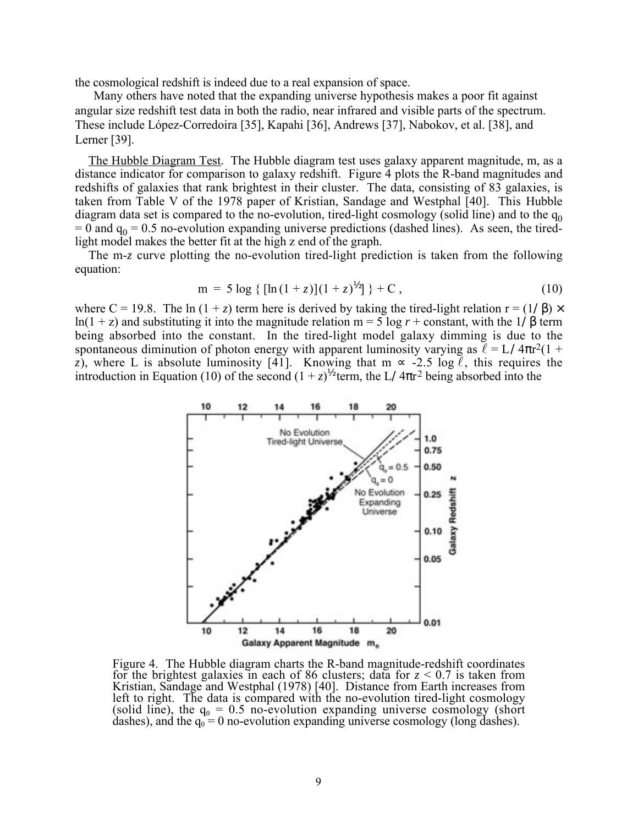the cosmological redshift is indeed due to a real expansion of space.

Many others have noted that the expanding universe hypothesis makes a poor fit against angular size redshift test data in both the radio, near infrared and visible parts of the spectrum. These include López-Corredoira [35], Kapahi [36], Andrews [37], Nabokov, et al. [38], and Lerner [39].

The Hubble Diagram Test. The Hubble diagram test uses galaxy apparent magnitude, m, as a distance indicator for comparison to galaxy redshift. Figure 4 plots the R-band magnitudes and redshifts of galaxies that rank brightest in their cluster. The data, consisting of 83 galaxies, is taken from Table V of the 1978 paper of Kristian, Sandage and Westphal [40]. This Hubble diagram data set is compared to the no-evolution, tired-light cosmology (solid line) and to the  $q_0$  $= 0$  and  $q_0 = 0.5$  no-evolution expanding universe predictions (dashed lines). As seen, the tiredlight model makes the better fit at the high z end of the graph.

The m-*z* curve plotting the no-evolution tired-light prediction is taken from the following equation:

$$
m = 5 \log \{ [\ln(1+z)](1+z)^{1/2} ] \} + C , \qquad (10)
$$

where C = 19.8. The ln  $(1 + z)$  term here is derived by taking the tired-light relation  $r = (1/\beta) \times$ ln(1 + z) and substituting it into the magnitude relation  $m = 5 \log r + constant$ , with the 1/β term being absorbed into the constant. In the tired-light model galaxy dimming is due to the spontaneous diminution of photon energy with apparent luminosity varying as  $\ell = L/4\pi r^2(1 +$ *z*), where L is absolute luminosity [41]. Knowing that m  $\infty$  -2.5 log  $\ell$ , this requires the introduction in Equation (10) of the second  $(1 + z)^{1/2}$  term, the L/4 $\pi r^2$  being absorbed into the



Figure 4. The Hubble diagram charts the R-band magnitude-redshift coordinates for the brightest galaxies in each of 86 clusters; data for  $z \le 0.7$  is taken from Kristian, Sandage and Westphal (1978) [40]. Distance from Earth increases from left to right. The data is compared with the no-evolution tired-light cosmology (solid line), the  $q_0 = 0.5$  no-evolution expanding universe cosmology (short dashes), and the  $q_0 = 0$  no-evolution expanding universe cosmology (long dashes).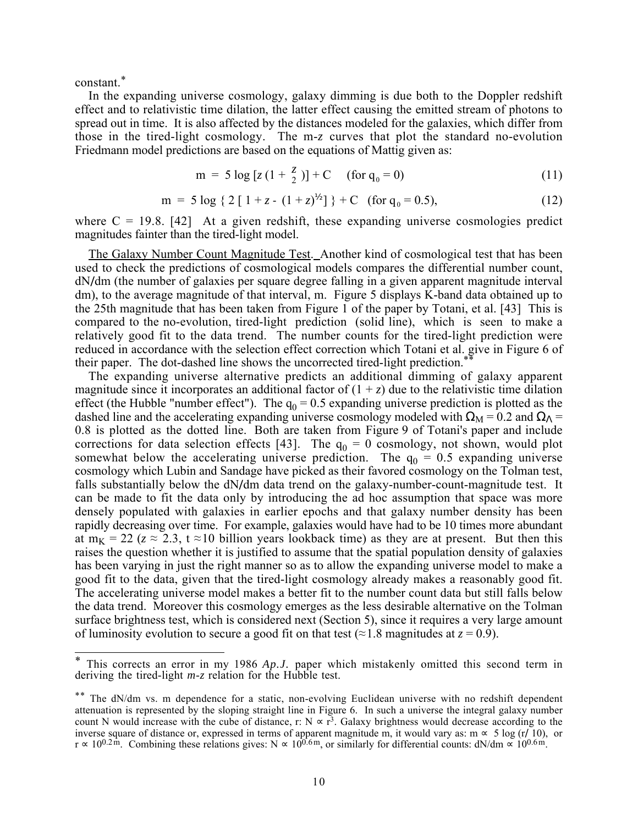constant.\*

In the expanding universe cosmology, galaxy dimming is due both to the Doppler redshift effect and to relativistic time dilation, the latter effect causing the emitted stream of photons to spread out in time. It is also affected by the distances modeled for the galaxies, which differ from those in the tired-light cosmology. The m-*z* curves that plot the standard no-evolution Friedmann model predictions are based on the equations of Mattig given as:

$$
m = 5 \log [z (1 + \frac{z}{2})] + C \quad (for q_0 = 0)
$$
 (11)

$$
m = 5 \log \{ 2 [1 + z - (1 + z)^{1/2}] \} + C \text{ (for } q_0 = 0.5),
$$
 (12)

where  $C = 19.8$ . [42] At a given redshift, these expanding universe cosmologies predict magnitudes fainter than the tired-light model.

The Galaxy Number Count Magnitude Test. Another kind of cosmological test that has been used to check the predictions of cosmological models compares the differential number count, dN**/**dm (the number of galaxies per square degree falling in a given apparent magnitude interval dm), to the average magnitude of that interval, m. Figure 5 displays K-band data obtained up to the 25th magnitude that has been taken from Figure 1 of the paper by Totani, et al. [43] This is compared to the no-evolution, tired-light prediction (solid line), which is seen to make a relatively good fit to the data trend. The number counts for the tired-light prediction were reduced in accordance with the selection effect correction which Totani et al. give in Figure 6 of their paper. The dot-dashed line shows the uncorrected tired-light prediction.<sup>\*</sup>

The expanding universe alternative predicts an additional dimming of galaxy apparent magnitude since it incorporates an additional factor of  $(1 + z)$  due to the relativistic time dilation effect (the Hubble "number effect"). The  $q_0 = 0.5$  expanding universe prediction is plotted as the dashed line and the accelerating expanding universe cosmology modeled with  $\Omega_M = 0.2$  and  $\Omega_{\Lambda} =$ 0.8 is plotted as the dotted line. Both are taken from Figure 9 of Totani's paper and include corrections for data selection effects [43]. The  $q_0 = 0$  cosmology, not shown, would plot somewhat below the accelerating universe prediction. The  $q_0 = 0.5$  expanding universe cosmology which Lubin and Sandage have picked as their favored cosmology on the Tolman test, falls substantially below the dN**/**dm data trend on the galaxy-number-count-magnitude test. It can be made to fit the data only by introducing the ad hoc assumption that space was more densely populated with galaxies in earlier epochs and that galaxy number density has been rapidly decreasing over time. For example, galaxies would have had to be 10 times more abundant at m<sub>K</sub> = 22 ( $z \approx 2.3$ , t  $\approx$  10 billion years lookback time) as they are at present. But then this raises the question whether it is justified to assume that the spatial population density of galaxies has been varying in just the right manner so as to allow the expanding universe model to make a good fit to the data, given that the tired-light cosmology already makes a reasonably good fit. The accelerating universe model makes a better fit to the number count data but still falls below the data trend. Moreover this cosmology emerges as the less desirable alternative on the Tolman surface brightness test, which is considered next (Section 5), since it requires a very large amount of luminosity evolution to secure a good fit on that test ( $\approx$  1.8 magnitudes at  $z = 0.9$ ).

<sup>\*</sup> This corrects an error in my 1986 *Ap.J.* paper which mistakenly omitted this second term in deriving the tired-light *m*-*z* relation for the Hubble test.

<sup>\*\*</sup> The dN/dm vs. m dependence for a static, non-evolving Euclidean universe with no redshift dependent attenuation is represented by the sloping straight line in Figure 6. In such a universe the integral galaxy number count N would increase with the cube of distance, r:  $N \propto r^3$ . Galaxy brightness would decrease according to the inverse square of distance or, expressed in terms of apparent magnitude m, it would vary as:  $m \approx 5 \log (r/10)$ , or  $r \approx 10^{0.2 \text{ m}}$ . Combining these relations gives: N  $\approx 10^{0.6 \text{ m}}$ , or similarly for differential counts: dN/dm  $\approx 10^{0.6 \text{ m}}$ .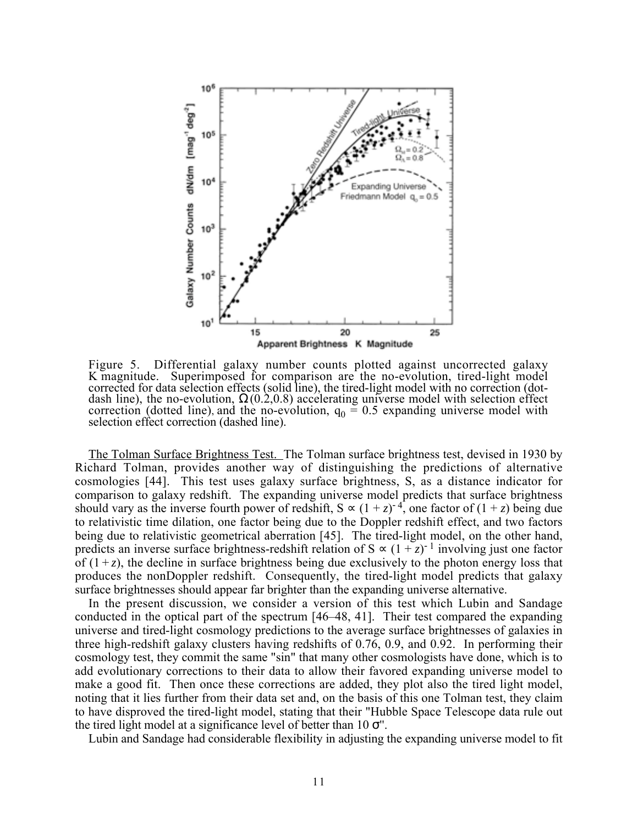

Figure 5. Differential galaxy number counts plotted against uncorrected galaxy K magnitude. Superimposed for comparison are the no-evolution, tired-light model corrected for data selection effects (solid line), the tired-light model with no correction (dotdash line), the no-evolution,  $\Omega(0.2, 0.8)$  accelerating universe model with selection effect correction (dotted line), and the no-evolution,  $q_0 = 0.5$  expanding universe model with selection effect correction (dashed line).

The Tolman Surface Brightness Test. The Tolman surface brightness test, devised in 1930 by Richard Tolman, provides another way of distinguishing the predictions of alternative cosmologies [44]. This test uses galaxy surface brightness, S, as a distance indicator for comparison to galaxy redshift. The expanding universe model predicts that surface brightness should vary as the inverse fourth power of redshift,  $S \propto (1+z)^{-4}$ , one factor of  $(1+z)$  being due to relativistic time dilation, one factor being due to the Doppler redshift effect, and two factors being due to relativistic geometrical aberration [45]. The tired-light model, on the other hand, predicts an inverse surface brightness-redshift relation of  $S \propto (1 + z)^{-1}$  involving just one factor of  $(1 + z)$ , the decline in surface brightness being due exclusively to the photon energy loss that produces the nonDoppler redshift. Consequently, the tired-light model predicts that galaxy surface brightnesses should appear far brighter than the expanding universe alternative.

In the present discussion, we consider a version of this test which Lubin and Sandage conducted in the optical part of the spectrum [46–48, 41]. Their test compared the expanding universe and tired-light cosmology predictions to the average surface brightnesses of galaxies in three high-redshift galaxy clusters having redshifts of 0.76, 0.9, and 0.92. In performing their cosmology test, they commit the same "sin" that many other cosmologists have done, which is to add evolutionary corrections to their data to allow their favored expanding universe model to make a good fit. Then once these corrections are added, they plot also the tired light model, noting that it lies further from their data set and, on the basis of this one Tolman test, they claim to have disproved the tired-light model, stating that their "Hubble Space Telescope data rule out the tired light model at a significance level of better than  $10 \sigma$ ".

Lubin and Sandage had considerable flexibility in adjusting the expanding universe model to fit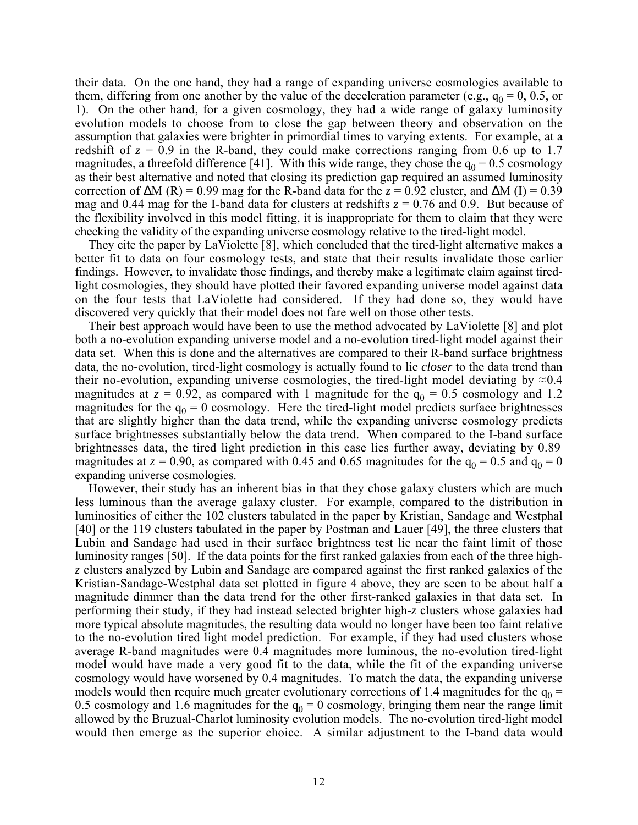their data. On the one hand, they had a range of expanding universe cosmologies available to them, differing from one another by the value of the deceleration parameter (e.g.,  $q_0 = 0, 0.5$ , or 1). On the other hand, for a given cosmology, they had a wide range of galaxy luminosity evolution models to choose from to close the gap between theory and observation on the assumption that galaxies were brighter in primordial times to varying extents. For example, at a redshift of  $z = 0.9$  in the R-band, they could make corrections ranging from 0.6 up to 1.7 magnitudes, a threefold difference [41]. With this wide range, they chose the  $q_0 = 0.5$  cosmology as their best alternative and noted that closing its prediction gap required an assumed luminosity correction of  $\Delta M$  (R) = 0.99 mag for the R-band data for the  $z = 0.92$  cluster, and  $\Delta M$  (I) = 0.39 mag and 0.44 mag for the I-band data for clusters at redshifts  $z = 0.76$  and 0.9. But because of the flexibility involved in this model fitting, it is inappropriate for them to claim that they were checking the validity of the expanding universe cosmology relative to the tired-light model.

They cite the paper by LaViolette [8], which concluded that the tired-light alternative makes a better fit to data on four cosmology tests, and state that their results invalidate those earlier findings. However, to invalidate those findings, and thereby make a legitimate claim against tiredlight cosmologies, they should have plotted their favored expanding universe model against data on the four tests that LaViolette had considered. If they had done so, they would have discovered very quickly that their model does not fare well on those other tests.

Their best approach would have been to use the method advocated by LaViolette [8] and plot both a no-evolution expanding universe model and a no-evolution tired-light model against their data set. When this is done and the alternatives are compared to their R-band surface brightness data, the no-evolution, tired-light cosmology is actually found to lie *closer* to the data trend than their no-evolution, expanding universe cosmologies, the tired-light model deviating by  $\approx 0.4$ magnitudes at  $z = 0.92$ , as compared with 1 magnitude for the  $q_0 = 0.5$  cosmology and 1.2 magnitudes for the  $q_0 = 0$  cosmology. Here the tired-light model predicts surface brightnesses that are slightly higher than the data trend, while the expanding universe cosmology predicts surface brightnesses substantially below the data trend. When compared to the I-band surface brightnesses data, the tired light prediction in this case lies further away, deviating by 0.89 magnitudes at  $z = 0.90$ , as compared with 0.45 and 0.65 magnitudes for the  $q_0 = 0.5$  and  $q_0 = 0$ expanding universe cosmologies.

However, their study has an inherent bias in that they chose galaxy clusters which are much less luminous than the average galaxy cluster. For example, compared to the distribution in luminosities of either the 102 clusters tabulated in the paper by Kristian, Sandage and Westphal [40] or the 119 clusters tabulated in the paper by Postman and Lauer [49], the three clusters that Lubin and Sandage had used in their surface brightness test lie near the faint limit of those luminosity ranges [50]. If the data points for the first ranked galaxies from each of the three high*z* clusters analyzed by Lubin and Sandage are compared against the first ranked galaxies of the Kristian-Sandage-Westphal data set plotted in figure 4 above, they are seen to be about half a magnitude dimmer than the data trend for the other first-ranked galaxies in that data set. In performing their study, if they had instead selected brighter high-*z* clusters whose galaxies had more typical absolute magnitudes, the resulting data would no longer have been too faint relative to the no-evolution tired light model prediction. For example, if they had used clusters whose average R-band magnitudes were 0.4 magnitudes more luminous, the no-evolution tired-light model would have made a very good fit to the data, while the fit of the expanding universe cosmology would have worsened by 0.4 magnitudes. To match the data, the expanding universe models would then require much greater evolutionary corrections of 1.4 magnitudes for the  $q_0$  = 0.5 cosmology and 1.6 magnitudes for the  $q_0 = 0$  cosmology, bringing them near the range limit allowed by the Bruzual-Charlot luminosity evolution models. The no-evolution tired-light model would then emerge as the superior choice. A similar adjustment to the I-band data would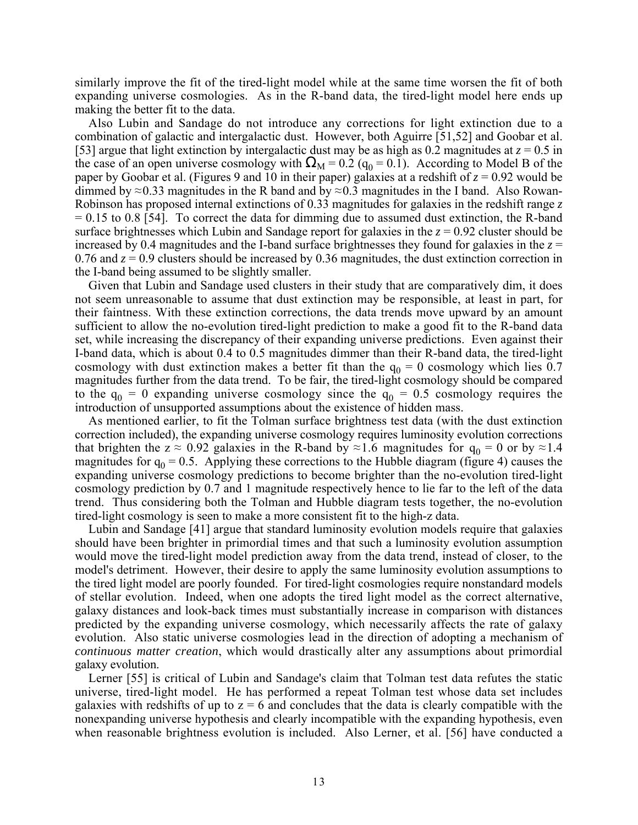similarly improve the fit of the tired-light model while at the same time worsen the fit of both expanding universe cosmologies. As in the R-band data, the tired-light model here ends up making the better fit to the data.

Also Lubin and Sandage do not introduce any corrections for light extinction due to a combination of galactic and intergalactic dust. However, both Aguirre [51,52] and Goobar et al. [53] argue that light extinction by intergalactic dust may be as high as 0.2 magnitudes at  $z = 0.5$  in the case of an open universe cosmology with  $\Omega_M = 0.2$  ( $q_0 = 0.1$ ). According to Model B of the paper by Goobar et al. (Figures 9 and 10 in their paper) galaxies at a redshift of  $z = 0.92$  would be dimmed by  $\approx$ 0.33 magnitudes in the R band and by  $\approx$ 0.3 magnitudes in the I band. Also Rowan-Robinson has proposed internal extinctions of 0.33 magnitudes for galaxies in the redshift range *z*  $= 0.15$  to 0.8 [54]. To correct the data for dimming due to assumed dust extinction, the R-band surface brightnesses which Lubin and Sandage report for galaxies in the *z* = 0.92 cluster should be increased by 0.4 magnitudes and the I-band surface brightnesses they found for galaxies in the  $z =$ 0.76 and *z* = 0.9 clusters should be increased by 0.36 magnitudes, the dust extinction correction in the I-band being assumed to be slightly smaller.

Given that Lubin and Sandage used clusters in their study that are comparatively dim, it does not seem unreasonable to assume that dust extinction may be responsible, at least in part, for their faintness. With these extinction corrections, the data trends move upward by an amount sufficient to allow the no-evolution tired-light prediction to make a good fit to the R-band data set, while increasing the discrepancy of their expanding universe predictions. Even against their I-band data, which is about 0.4 to 0.5 magnitudes dimmer than their R-band data, the tired-light cosmology with dust extinction makes a better fit than the  $q_0 = 0$  cosmology which lies 0.7 magnitudes further from the data trend. To be fair, the tired-light cosmology should be compared to the  $q_0 = 0$  expanding universe cosmology since the  $q_0 = 0.5$  cosmology requires the introduction of unsupported assumptions about the existence of hidden mass.

As mentioned earlier, to fit the Tolman surface brightness test data (with the dust extinction correction included), the expanding universe cosmology requires luminosity evolution corrections that brighten the  $z \approx 0.92$  galaxies in the R-band by ≈1.6 magnitudes for  $q_0 = 0$  or by ≈1.4 magnitudes for  $q_0 = 0.5$ . Applying these corrections to the Hubble diagram (figure 4) causes the expanding universe cosmology predictions to become brighter than the no-evolution tired-light cosmology prediction by 0.7 and 1 magnitude respectively hence to lie far to the left of the data trend. Thus considering both the Tolman and Hubble diagram tests together, the no-evolution tired-light cosmology is seen to make a more consistent fit to the high-z data.

Lubin and Sandage [41] argue that standard luminosity evolution models require that galaxies should have been brighter in primordial times and that such a luminosity evolution assumption would move the tired-light model prediction away from the data trend, instead of closer, to the model's detriment. However, their desire to apply the same luminosity evolution assumptions to the tired light model are poorly founded. For tired-light cosmologies require nonstandard models of stellar evolution. Indeed, when one adopts the tired light model as the correct alternative, galaxy distances and look-back times must substantially increase in comparison with distances predicted by the expanding universe cosmology, which necessarily affects the rate of galaxy evolution. Also static universe cosmologies lead in the direction of adopting a mechanism of *continuous matter creation*, which would drastically alter any assumptions about primordial galaxy evolution.

Lerner [55] is critical of Lubin and Sandage's claim that Tolman test data refutes the static universe, tired-light model. He has performed a repeat Tolman test whose data set includes galaxies with redshifts of up to  $z = 6$  and concludes that the data is clearly compatible with the nonexpanding universe hypothesis and clearly incompatible with the expanding hypothesis, even when reasonable brightness evolution is included. Also Lerner, et al. [56] have conducted a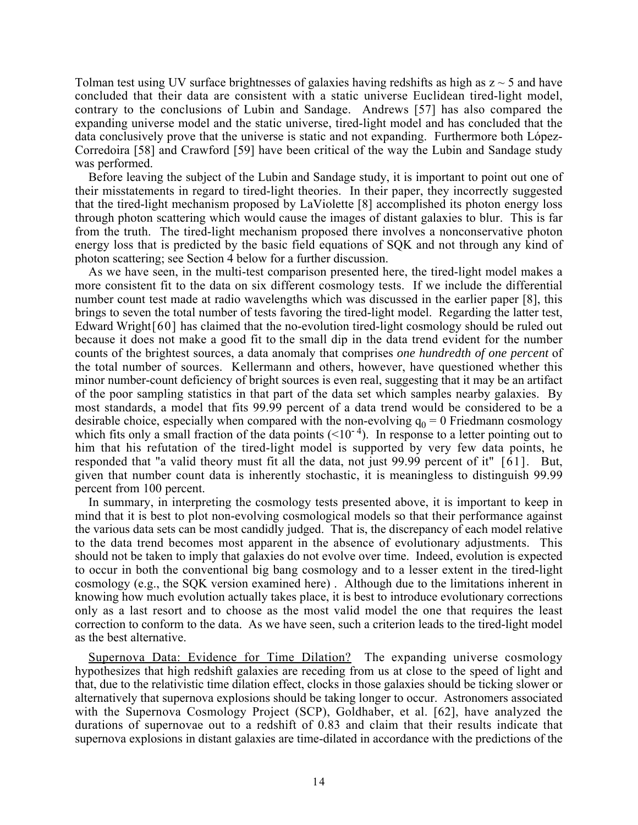Tolman test using UV surface brightnesses of galaxies having redshifts as high as  $z \sim 5$  and have concluded that their data are consistent with a static universe Euclidean tired-light model, contrary to the conclusions of Lubin and Sandage. Andrews [57] has also compared the expanding universe model and the static universe, tired-light model and has concluded that the data conclusively prove that the universe is static and not expanding. Furthermore both López-Corredoira [58] and Crawford [59] have been critical of the way the Lubin and Sandage study was performed.

Before leaving the subject of the Lubin and Sandage study, it is important to point out one of their misstatements in regard to tired-light theories. In their paper, they incorrectly suggested that the tired-light mechanism proposed by LaViolette [8] accomplished its photon energy loss through photon scattering which would cause the images of distant galaxies to blur. This is far from the truth. The tired-light mechanism proposed there involves a nonconservative photon energy loss that is predicted by the basic field equations of SQK and not through any kind of photon scattering; see Section 4 below for a further discussion.

As we have seen, in the multi-test comparison presented here, the tired-light model makes a more consistent fit to the data on six different cosmology tests. If we include the differential number count test made at radio wavelengths which was discussed in the earlier paper [8], this brings to seven the total number of tests favoring the tired-light model. Regarding the latter test, Edward Wright[60] has claimed that the no-evolution tired-light cosmology should be ruled out because it does not make a good fit to the small dip in the data trend evident for the number counts of the brightest sources, a data anomaly that comprises *one hundredth of one percent* of the total number of sources. Kellermann and others, however, have questioned whether this minor number-count deficiency of bright sources is even real, suggesting that it may be an artifact of the poor sampling statistics in that part of the data set which samples nearby galaxies. By most standards, a model that fits 99.99 percent of a data trend would be considered to be a desirable choice, especially when compared with the non-evolving  $q_0 = 0$  Friedmann cosmology which fits only a small fraction of the data points  $(<10^{-4})$ . In response to a letter pointing out to him that his refutation of the tired-light model is supported by very few data points, he responded that "a valid theory must fit all the data, not just 99.99 percent of it" [61]. But, given that number count data is inherently stochastic, it is meaningless to distinguish 99.99 percent from 100 percent.

In summary, in interpreting the cosmology tests presented above, it is important to keep in mind that it is best to plot non-evolving cosmological models so that their performance against the various data sets can be most candidly judged. That is, the discrepancy of each model relative to the data trend becomes most apparent in the absence of evolutionary adjustments. This should not be taken to imply that galaxies do not evolve over time. Indeed, evolution is expected to occur in both the conventional big bang cosmology and to a lesser extent in the tired-light cosmology (e.g., the SQK version examined here) . Although due to the limitations inherent in knowing how much evolution actually takes place, it is best to introduce evolutionary corrections only as a last resort and to choose as the most valid model the one that requires the least correction to conform to the data. As we have seen, such a criterion leads to the tired-light model as the best alternative.

Supernova Data: Evidence for Time Dilation? The expanding universe cosmology hypothesizes that high redshift galaxies are receding from us at close to the speed of light and that, due to the relativistic time dilation effect, clocks in those galaxies should be ticking slower or alternatively that supernova explosions should be taking longer to occur. Astronomers associated with the Supernova Cosmology Project (SCP), Goldhaber, et al. [62], have analyzed the durations of supernovae out to a redshift of 0.83 and claim that their results indicate that supernova explosions in distant galaxies are time-dilated in accordance with the predictions of the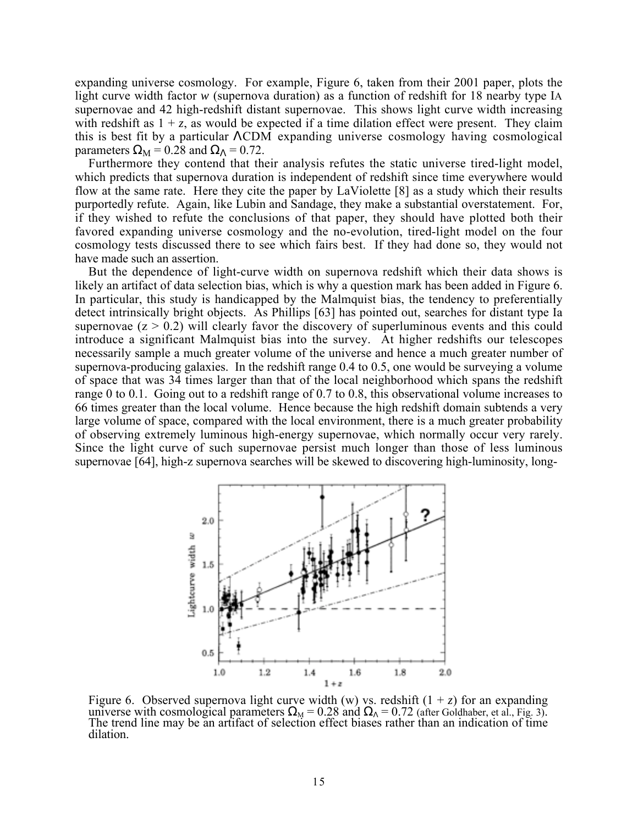expanding universe cosmology. For example, Figure 6, taken from their 2001 paper, plots the light curve width factor *w* (supernova duration) as a function of redshift for 18 nearby type IA supernovae and 42 high-redshift distant supernovae. This shows light curve width increasing with redshift as  $1 + z$ , as would be expected if a time dilation effect were present. They claim this is best fit by a particular ΛCDM expanding universe cosmology having cosmological parameters  $\Omega_M = 0.28$  and  $\Omega_A = 0.72$ .

Furthermore they contend that their analysis refutes the static universe tired-light model, which predicts that supernova duration is independent of redshift since time everywhere would flow at the same rate. Here they cite the paper by LaViolette [8] as a study which their results purportedly refute. Again, like Lubin and Sandage, they make a substantial overstatement. For, if they wished to refute the conclusions of that paper, they should have plotted both their favored expanding universe cosmology and the no-evolution, tired-light model on the four cosmology tests discussed there to see which fairs best. If they had done so, they would not have made such an assertion.

But the dependence of light-curve width on supernova redshift which their data shows is likely an artifact of data selection bias, which is why a question mark has been added in Figure 6. In particular, this study is handicapped by the Malmquist bias, the tendency to preferentially detect intrinsically bright objects. As Phillips [63] has pointed out, searches for distant type Ia supernovae  $(z > 0.2)$  will clearly favor the discovery of superluminous events and this could introduce a significant Malmquist bias into the survey. At higher redshifts our telescopes necessarily sample a much greater volume of the universe and hence a much greater number of supernova-producing galaxies. In the redshift range 0.4 to 0.5, one would be surveying a volume of space that was 34 times larger than that of the local neighborhood which spans the redshift range 0 to 0.1. Going out to a redshift range of 0.7 to 0.8, this observational volume increases to 66 times greater than the local volume. Hence because the high redshift domain subtends a very large volume of space, compared with the local environment, there is a much greater probability of observing extremely luminous high-energy supernovae, which normally occur very rarely. Since the light curve of such supernovae persist much longer than those of less luminous supernovae [64], high-z supernova searches will be skewed to discovering high-luminosity, long-



Figure 6. Observed supernova light curve width (w) vs. redshift  $(1 + z)$  for an expanding universe with cosmological parameters  $\Omega_M = 0.28$  and  $\Omega_A = 0.72$  (after Goldhaber, et al., Fig. 3).<br>The trend line may be an artifact of selection effect biases rather than an indication of time dilation.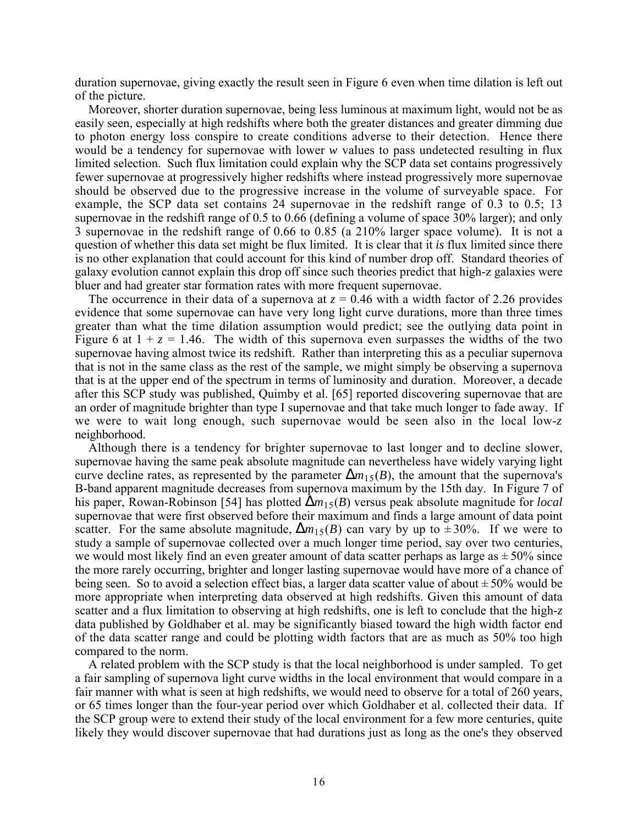duration supernovae, giving exactly the result seen in Figure 6 even when time dilation is left out of the picture.

Moreover, shorter duration supernovae, being less luminous at maximum light, would not be as easily seen, especially at high redshifts where both the greater distances and greater dimming due to photon energy loss conspire to create conditions adverse to their detection. Hence there would be a tendency for supernovae with lower *w* values to pass undetected resulting in flux limited selection. Such flux limitation could explain why the SCP data set contains progressively fewer supernovae at progressively higher redshifts where instead progressively more supernovae should be observed due to the progressive increase in the volume of surveyable space. For example, the SCP data set contains 24 supernovae in the redshift range of 0.3 to 0.5; 13 supernovae in the redshift range of 0.5 to 0.66 (defining a volume of space 30% larger); and only 3 supernovae in the redshift range of 0.66 to 0.85 (a 210% larger space volume). It is not a question of whether this data set might be flux limited. It is clear that it *is* flux limited since there is no other explanation that could account for this kind of number drop off. Standard theories of galaxy evolution cannot explain this drop off since such theories predict that high-z galaxies were bluer and had greater star formation rates with more frequent supernovae.

The occurrence in their data of a supernova at  $z = 0.46$  with a width factor of 2.26 provides evidence that some supernovae can have very long light curve durations, more than three times greater than what the time dilation assumption would predict; see the outlying data point in Figure 6 at  $1 + z = 1.46$ . The width of this supernova even surpasses the widths of the two supernovae having almost twice its redshift. Rather than interpreting this as a peculiar supernova that is not in the same class as the rest of the sample, we might simply be observing a supernova that is at the upper end of the spectrum in terms of luminosity and duration. Moreover, a decade after this SCP study was published, Quimby et al. [65] reported discovering supernovae that are an order of magnitude brighter than type I supernovae and that take much longer to fade away. If we were to wait long enough, such supernovae would be seen also in the local low-*z* neighborhood.

Although there is a tendency for brighter supernovae to last longer and to decline slower, supernovae having the same peak absolute magnitude can nevertheless have widely varying light curve decline rates, as represented by the parameter  $\Delta m_{15}(B)$ , the amount that the supernova's B-band apparent magnitude decreases from supernova maximum by the 15th day. In Figure 7 of his paper, Rowan-Robinson [54] has plotted ∆*m*15(*B*) versus peak absolute magnitude for *local* supernovae that were first observed before their maximum and finds a large amount of data point scatter. For the same absolute magnitude,  $\Delta m_{15}(B)$  can vary by up to  $\pm 30\%$ . If we were to study a sample of supernovae collected over a much longer time period, say over two centuries, we would most likely find an even greater amount of data scatter perhaps as large as  $\pm 50\%$  since the more rarely occurring, brighter and longer lasting supernovae would have more of a chance of being seen. So to avoid a selection effect bias, a larger data scatter value of about  $\pm 50\%$  would be more appropriate when interpreting data observed at high redshifts. Given this amount of data scatter and a flux limitation to observing at high redshifts, one is left to conclude that the high-*z* data published by Goldhaber et al. may be significantly biased toward the high width factor end of the data scatter range and could be plotting width factors that are as much as 50% too high compared to the norm.

A related problem with the SCP study is that the local neighborhood is under sampled. To get a fair sampling of supernova light curve widths in the local environment that would compare in a fair manner with what is seen at high redshifts, we would need to observe for a total of 260 years, or 65 times longer than the four-year period over which Goldhaber et al. collected their data. If the SCP group were to extend their study of the local environment for a few more centuries, quite likely they would discover supernovae that had durations just as long as the one's they observed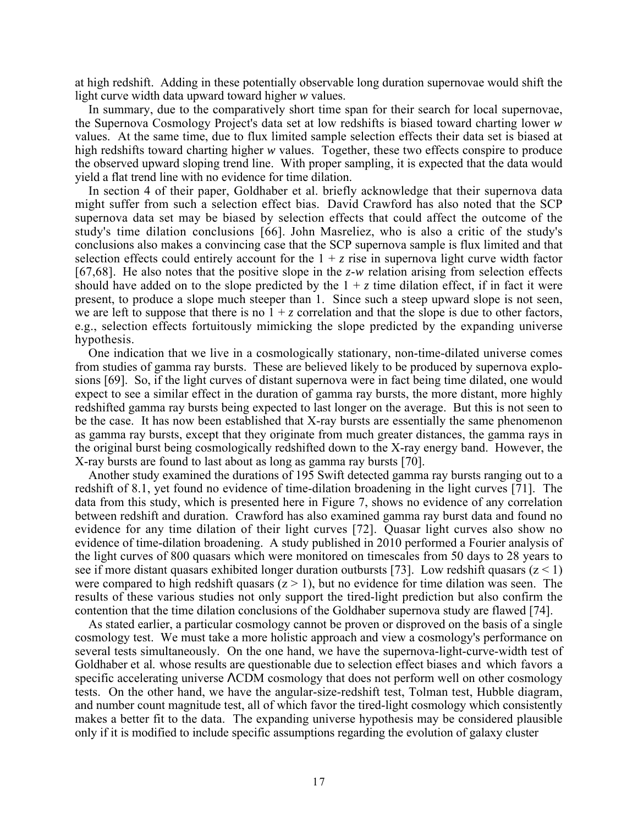at high redshift. Adding in these potentially observable long duration supernovae would shift the light curve width data upward toward higher *w* values.

In summary, due to the comparatively short time span for their search for local supernovae, the Supernova Cosmology Project's data set at low redshifts is biased toward charting lower *w* values. At the same time, due to flux limited sample selection effects their data set is biased at high redshifts toward charting higher *w* values. Together, these two effects conspire to produce the observed upward sloping trend line. With proper sampling, it is expected that the data would yield a flat trend line with no evidence for time dilation.

In section 4 of their paper, Goldhaber et al. briefly acknowledge that their supernova data might suffer from such a selection effect bias. David Crawford has also noted that the SCP supernova data set may be biased by selection effects that could affect the outcome of the study's time dilation conclusions [66]. John Masreliez, who is also a critic of the study's conclusions also makes a convincing case that the SCP supernova sample is flux limited and that selection effects could entirely account for the  $1 + z$  rise in supernova light curve width factor [67,68]. He also notes that the positive slope in the *z*-*w* relation arising from selection effects should have added on to the slope predicted by the  $1 + z$  time dilation effect, if in fact it were present, to produce a slope much steeper than 1. Since such a steep upward slope is not seen, we are left to suppose that there is no  $1 + z$  correlation and that the slope is due to other factors, e.g., selection effects fortuitously mimicking the slope predicted by the expanding universe hypothesis.

One indication that we live in a cosmologically stationary, non-time-dilated universe comes from studies of gamma ray bursts. These are believed likely to be produced by supernova explosions [69]. So, if the light curves of distant supernova were in fact being time dilated, one would expect to see a similar effect in the duration of gamma ray bursts, the more distant, more highly redshifted gamma ray bursts being expected to last longer on the average. But this is not seen to be the case. It has now been established that X-ray bursts are essentially the same phenomenon as gamma ray bursts, except that they originate from much greater distances, the gamma rays in the original burst being cosmologically redshifted down to the X-ray energy band. However, the X-ray bursts are found to last about as long as gamma ray bursts [70].

Another study examined the durations of 195 Swift detected gamma ray bursts ranging out to a redshift of 8.1, yet found no evidence of time-dilation broadening in the light curves [71]. The data from this study, which is presented here in Figure 7, shows no evidence of any correlation between redshift and duration. Crawford has also examined gamma ray burst data and found no evidence for any time dilation of their light curves [72]. Quasar light curves also show no evidence of time-dilation broadening. A study published in 2010 performed a Fourier analysis of the light curves of 800 quasars which were monitored on timescales from 50 days to 28 years to see if more distant quasars exhibited longer duration outbursts [73]. Low redshift quasars  $(z < 1)$ were compared to high redshift quasars  $(z > 1)$ , but no evidence for time dilation was seen. The results of these various studies not only support the tired-light prediction but also confirm the contention that the time dilation conclusions of the Goldhaber supernova study are flawed [74].

As stated earlier, a particular cosmology cannot be proven or disproved on the basis of a single cosmology test. We must take a more holistic approach and view a cosmology's performance on several tests simultaneously. On the one hand, we have the supernova-light-curve-width test of Goldhaber et al. whose results are questionable due to selection effect biases and which favors a specific accelerating universe ΛCDM cosmology that does not perform well on other cosmology tests. On the other hand, we have the angular-size-redshift test, Tolman test, Hubble diagram, and number count magnitude test, all of which favor the tired-light cosmology which consistently makes a better fit to the data. The expanding universe hypothesis may be considered plausible only if it is modified to include specific assumptions regarding the evolution of galaxy cluster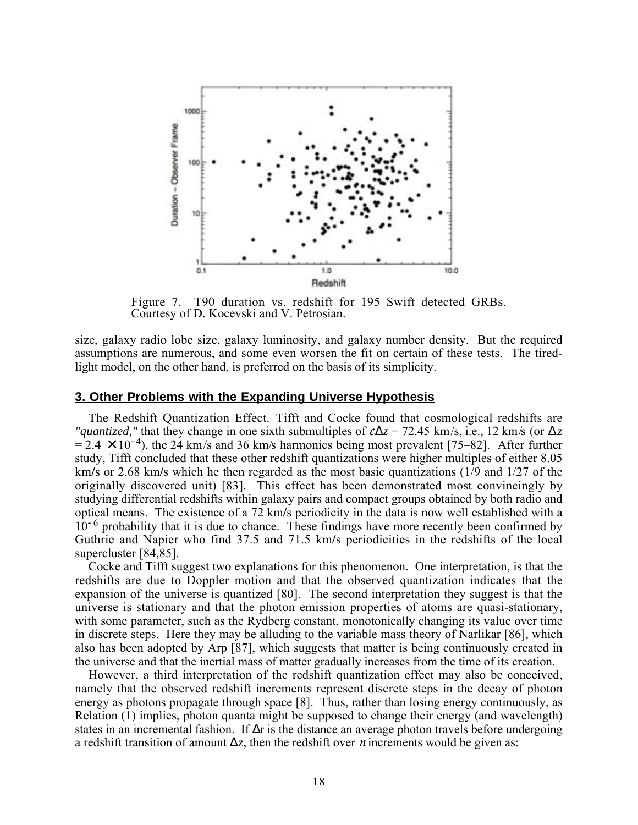

Figure 7. T90 duration vs. redshift for 195 Swift detected GRBs. Courtesy of D. Kocevski and V. Petrosian.

size, galaxy radio lobe size, galaxy luminosity, and galaxy number density. But the required assumptions are numerous, and some even worsen the fit on certain of these tests. The tiredlight model, on the other hand, is preferred on the basis of its simplicity.

#### **3. Other Problems with the Expanding Universe Hypothesis**

The Redshift Quantization Effect. Tifft and Cocke found that cosmological redshifts are *"quantized,"* that they change in one sixth submultiples of  $c\Delta z = 72.45$  km/s, i.e., 12 km/s (or  $\Delta z$ )  $= 2.4 \times 10^{-4}$ ), the 24 km/s and 36 km/s harmonics being most prevalent [75–82]. After further study, Tifft concluded that these other redshift quantizations were higher multiples of either 8.05 km**/**s or 2.68 km**/**s which he then regarded as the most basic quantizations (1/9 and 1/27 of the originally discovered unit) [83]. This effect has been demonstrated most convincingly by studying differential redshifts within galaxy pairs and compact groups obtained by both radio and optical means. The existence of a 72 km**/**s periodicity in the data is now well established with a  $10^{-6}$  probability that it is due to chance. These findings have more recently been confirmed by Guthrie and Napier who find 37.5 and 71.5 km**/**s periodicities in the redshifts of the local supercluster [84,85].

Cocke and Tifft suggest two explanations for this phenomenon. One interpretation, is that the redshifts are due to Doppler motion and that the observed quantization indicates that the expansion of the universe is quantized [80]. The second interpretation they suggest is that the universe is stationary and that the photon emission properties of atoms are quasi-stationary, with some parameter, such as the Rydberg constant, monotonically changing its value over time in discrete steps. Here they may be alluding to the variable mass theory of Narlikar [86], which also has been adopted by Arp [87], which suggests that matter is being continuously created in the universe and that the inertial mass of matter gradually increases from the time of its creation.

However, a third interpretation of the redshift quantization effect may also be conceived, namely that the observed redshift increments represent discrete steps in the decay of photon energy as photons propagate through space [8]. Thus, rather than losing energy continuously, as Relation (1) implies, photon quanta might be supposed to change their energy (and wavelength) states in an incremental fashion. If  $\Delta r$  is the distance an average photon travels before undergoing a redshift transition of amount ∆*z*, then the redshift over *n* increments would be given as: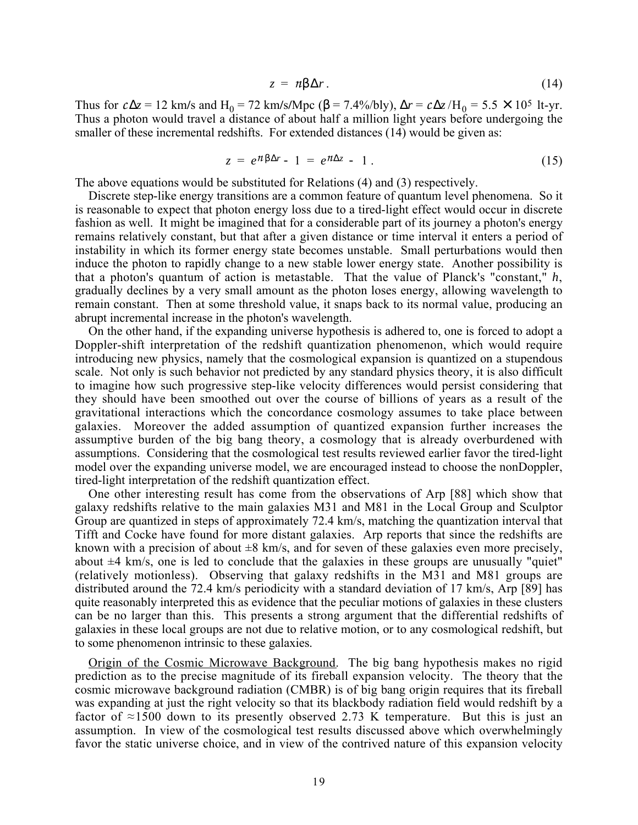$$
z = n\beta \Delta r. \tag{14}
$$

Thus for  $c\Delta z = 12$  km/s and H<sub>0</sub> = 72 km/s/Mpc ( $\beta$  = 7.4%/bly),  $\Delta r = c\Delta z / H_0 = 5.5 \times 10^5$  lt-yr. Thus a photon would travel a distance of about half a million light years before undergoing the smaller of these incremental redshifts. For extended distances (14) would be given as:

$$
z = e^{\pi \beta \Delta r} - 1 = e^{\pi \Delta z} - 1. \tag{15}
$$

The above equations would be substituted for Relations (4) and (3) respectively.

Discrete step-like energy transitions are a common feature of quantum level phenomena. So it is reasonable to expect that photon energy loss due to a tired-light effect would occur in discrete fashion as well. It might be imagined that for a considerable part of its journey a photon's energy remains relatively constant, but that after a given distance or time interval it enters a period of instability in which its former energy state becomes unstable. Small perturbations would then induce the photon to rapidly change to a new stable lower energy state. Another possibility is that a photon's quantum of action is metastable. That the value of Planck's "constant," *h*, gradually declines by a very small amount as the photon loses energy, allowing wavelength to remain constant. Then at some threshold value, it snaps back to its normal value, producing an abrupt incremental increase in the photon's wavelength.

On the other hand, if the expanding universe hypothesis is adhered to, one is forced to adopt a Doppler-shift interpretation of the redshift quantization phenomenon, which would require introducing new physics, namely that the cosmological expansion is quantized on a stupendous scale. Not only is such behavior not predicted by any standard physics theory, it is also difficult to imagine how such progressive step-like velocity differences would persist considering that they should have been smoothed out over the course of billions of years as a result of the gravitational interactions which the concordance cosmology assumes to take place between galaxies. Moreover the added assumption of quantized expansion further increases the assumptive burden of the big bang theory, a cosmology that is already overburdened with assumptions. Considering that the cosmological test results reviewed earlier favor the tired-light model over the expanding universe model, we are encouraged instead to choose the nonDoppler, tired-light interpretation of the redshift quantization effect.

One other interesting result has come from the observations of Arp [88] which show that galaxy redshifts relative to the main galaxies M31 and M81 in the Local Group and Sculptor Group are quantized in steps of approximately 72.4 km/s, matching the quantization interval that Tifft and Cocke have found for more distant galaxies. Arp reports that since the redshifts are known with a precision of about  $\pm 8$  km/s, and for seven of these galaxies even more precisely, about  $\pm 4$  km/s, one is led to conclude that the galaxies in these groups are unusually "quiet" (relatively motionless). Observing that galaxy redshifts in the M31 and M81 groups are distributed around the 72.4 km/s periodicity with a standard deviation of 17 km/s, Arp [89] has quite reasonably interpreted this as evidence that the peculiar motions of galaxies in these clusters can be no larger than this. This presents a strong argument that the differential redshifts of galaxies in these local groups are not due to relative motion, or to any cosmological redshift, but to some phenomenon intrinsic to these galaxies.

Origin of the Cosmic Microwave Background. The big bang hypothesis makes no rigid prediction as to the precise magnitude of its fireball expansion velocity. The theory that the cosmic microwave background radiation (CMBR) is of big bang origin requires that its fireball was expanding at just the right velocity so that its blackbody radiation field would redshift by a factor of  $\approx$ 1500 down to its presently observed 2.73 K temperature. But this is just an assumption. In view of the cosmological test results discussed above which overwhelmingly favor the static universe choice, and in view of the contrived nature of this expansion velocity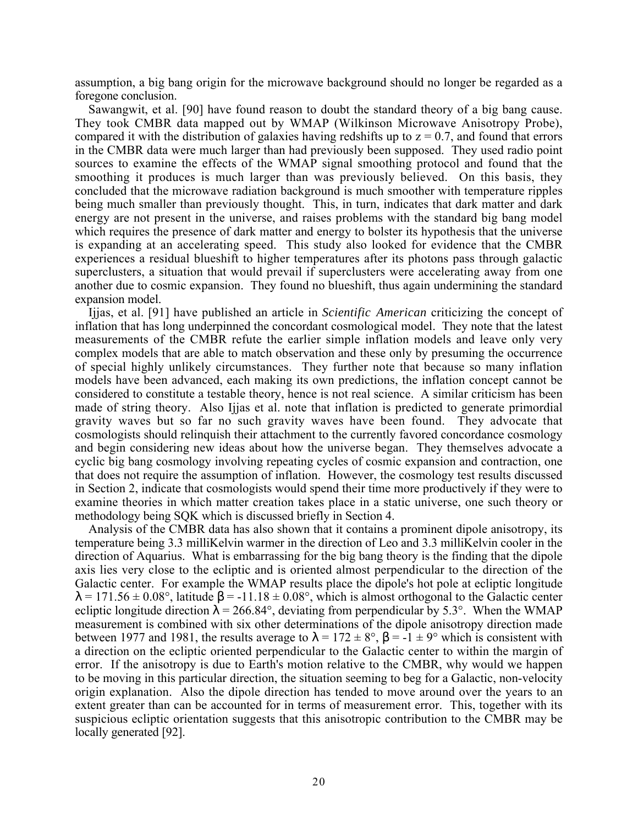assumption, a big bang origin for the microwave background should no longer be regarded as a foregone conclusion.

Sawangwit, et al. [90] have found reason to doubt the standard theory of a big bang cause. They took CMBR data mapped out by WMAP (Wilkinson Microwave Anisotropy Probe), compared it with the distribution of galaxies having redshifts up to  $z = 0.7$ , and found that errors in the CMBR data were much larger than had previously been supposed. They used radio point sources to examine the effects of the WMAP signal smoothing protocol and found that the smoothing it produces is much larger than was previously believed. On this basis, they concluded that the microwave radiation background is much smoother with temperature ripples being much smaller than previously thought. This, in turn, indicates that dark matter and dark energy are not present in the universe, and raises problems with the standard big bang model which requires the presence of dark matter and energy to bolster its hypothesis that the universe is expanding at an accelerating speed. This study also looked for evidence that the CMBR experiences a residual blueshift to higher temperatures after its photons pass through galactic superclusters, a situation that would prevail if superclusters were accelerating away from one another due to cosmic expansion. They found no blueshift, thus again undermining the standard expansion model.

Ijjas, et al. [91] have published an article in *Scientific American* criticizing the concept of inflation that has long underpinned the concordant cosmological model. They note that the latest measurements of the CMBR refute the earlier simple inflation models and leave only very complex models that are able to match observation and these only by presuming the occurrence of special highly unlikely circumstances. They further note that because so many inflation models have been advanced, each making its own predictions, the inflation concept cannot be considered to constitute a testable theory, hence is not real science. A similar criticism has been made of string theory. Also Ijjas et al. note that inflation is predicted to generate primordial gravity waves but so far no such gravity waves have been found. They advocate that cosmologists should relinquish their attachment to the currently favored concordance cosmology and begin considering new ideas about how the universe began. They themselves advocate a cyclic big bang cosmology involving repeating cycles of cosmic expansion and contraction, one that does not require the assumption of inflation. However, the cosmology test results discussed in Section 2, indicate that cosmologists would spend their time more productively if they were to examine theories in which matter creation takes place in a static universe, one such theory or methodology being SQK which is discussed briefly in Section 4.

Analysis of the CMBR data has also shown that it contains a prominent dipole anisotropy, its temperature being 3.3 milliKelvin warmer in the direction of Leo and 3.3 milliKelvin cooler in the direction of Aquarius. What is embarrassing for the big bang theory is the finding that the dipole axis lies very close to the ecliptic and is oriented almost perpendicular to the direction of the Galactic center. For example the WMAP results place the dipole's hot pole at ecliptic longitude  $\lambda = 171.56 \pm 0.08^{\circ}$ , latitude  $\beta = -11.18 \pm 0.08^{\circ}$ , which is almost orthogonal to the Galactic center ecliptic longitude direction  $\lambda = 266.84^{\circ}$ , deviating from perpendicular by 5.3°. When the WMAP measurement is combined with six other determinations of the dipole anisotropy direction made between 1977 and 1981, the results average to  $\lambda = 172 \pm 8^{\circ}$ ,  $\beta = -1 \pm 9^{\circ}$  which is consistent with a direction on the ecliptic oriented perpendicular to the Galactic center to within the margin of error. If the anisotropy is due to Earth's motion relative to the CMBR, why would we happen to be moving in this particular direction, the situation seeming to beg for a Galactic, non-velocity origin explanation. Also the dipole direction has tended to move around over the years to an extent greater than can be accounted for in terms of measurement error. This, together with its suspicious ecliptic orientation suggests that this anisotropic contribution to the CMBR may be locally generated [92].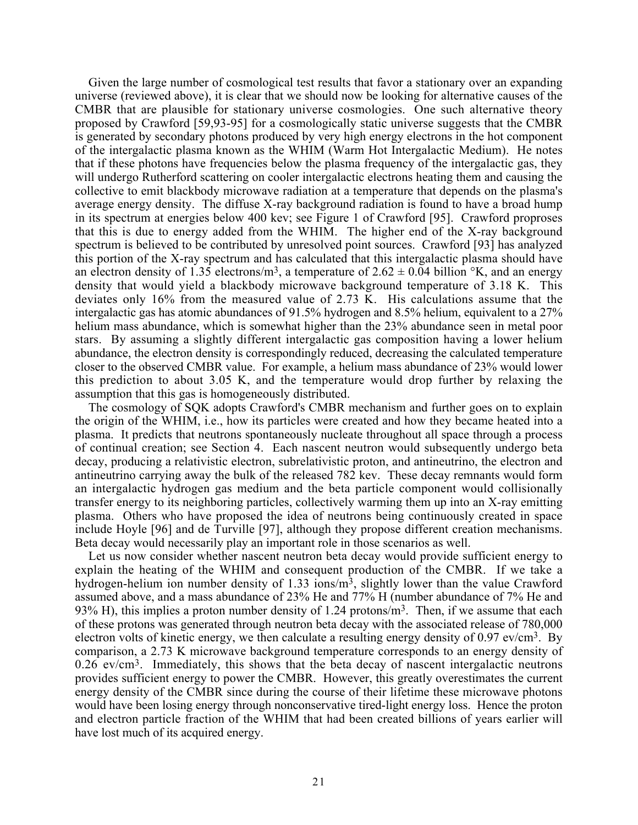Given the large number of cosmological test results that favor a stationary over an expanding universe (reviewed above), it is clear that we should now be looking for alternative causes of the CMBR that are plausible for stationary universe cosmologies. One such alternative theory proposed by Crawford [59,93-95] for a cosmologically static universe suggests that the CMBR is generated by secondary photons produced by very high energy electrons in the hot component of the intergalactic plasma known as the WHIM (Warm Hot Intergalactic Medium). He notes that if these photons have frequencies below the plasma frequency of the intergalactic gas, they will undergo Rutherford scattering on cooler intergalactic electrons heating them and causing the collective to emit blackbody microwave radiation at a temperature that depends on the plasma's average energy density. The diffuse X-ray background radiation is found to have a broad hump in its spectrum at energies below 400 kev; see Figure 1 of Crawford [95]. Crawford proproses that this is due to energy added from the WHIM. The higher end of the X-ray background spectrum is believed to be contributed by unresolved point sources. Crawford [93] has analyzed this portion of the X-ray spectrum and has calculated that this intergalactic plasma should have an electron density of 1.35 electrons/m<sup>3</sup>, a temperature of  $2.62 \pm 0.04$  billion °K, and an energy density that would yield a blackbody microwave background temperature of 3.18 K. This deviates only 16% from the measured value of 2.73 K. His calculations assume that the intergalactic gas has atomic abundances of 91.5% hydrogen and 8.5% helium, equivalent to a 27% helium mass abundance, which is somewhat higher than the 23% abundance seen in metal poor stars. By assuming a slightly different intergalactic gas composition having a lower helium abundance, the electron density is correspondingly reduced, decreasing the calculated temperature closer to the observed CMBR value. For example, a helium mass abundance of 23% would lower this prediction to about 3.05 K, and the temperature would drop further by relaxing the assumption that this gas is homogeneously distributed.

The cosmology of SQK adopts Crawford's CMBR mechanism and further goes on to explain the origin of the WHIM, i.e., how its particles were created and how they became heated into a plasma. It predicts that neutrons spontaneously nucleate throughout all space through a process of continual creation; see Section 4. Each nascent neutron would subsequently undergo beta decay, producing a relativistic electron, subrelativistic proton, and antineutrino, the electron and antineutrino carrying away the bulk of the released 782 kev. These decay remnants would form an intergalactic hydrogen gas medium and the beta particle component would collisionally transfer energy to its neighboring particles, collectively warming them up into an X-ray emitting plasma. Others who have proposed the idea of neutrons being continuously created in space include Hoyle [96] and de Turville [97], although they propose different creation mechanisms. Beta decay would necessarily play an important role in those scenarios as well.

Let us now consider whether nascent neutron beta decay would provide sufficient energy to explain the heating of the WHIM and consequent production of the CMBR. If we take a hydrogen-helium ion number density of 1.33 ions/m<sup>3</sup>, slightly lower than the value Crawford assumed above, and a mass abundance of 23% He and 77% H (number abundance of 7% He and 93% H), this implies a proton number density of 1.24 protons/ $m<sup>3</sup>$ . Then, if we assume that each of these protons was generated through neutron beta decay with the associated release of 780,000 electron volts of kinetic energy, we then calculate a resulting energy density of  $0.97$  ev/cm<sup>3</sup>. By comparison, a 2.73 K microwave background temperature corresponds to an energy density of  $0.26$  ev/cm<sup>3</sup>. Immediately, this shows that the beta decay of nascent intergalactic neutrons provides sufficient energy to power the CMBR. However, this greatly overestimates the current energy density of the CMBR since during the course of their lifetime these microwave photons would have been losing energy through nonconservative tired-light energy loss. Hence the proton and electron particle fraction of the WHIM that had been created billions of years earlier will have lost much of its acquired energy.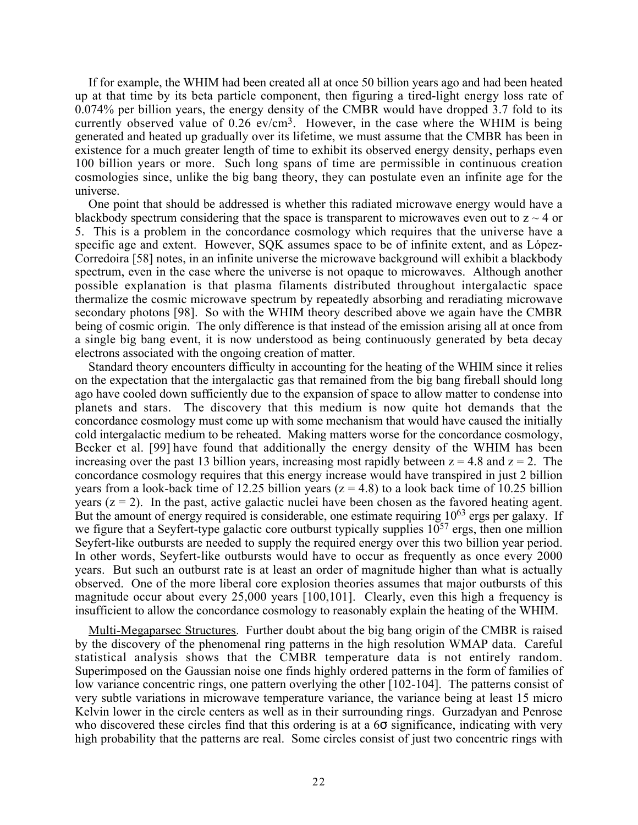If for example, the WHIM had been created all at once 50 billion years ago and had been heated up at that time by its beta particle component, then figuring a tired-light energy loss rate of 0.074% per billion years, the energy density of the CMBR would have dropped 3.7 fold to its currently observed value of  $0.26$  ev/cm<sup>3</sup>. However, in the case where the WHIM is being generated and heated up gradually over its lifetime, we must assume that the CMBR has been in existence for a much greater length of time to exhibit its observed energy density, perhaps even 100 billion years or more. Such long spans of time are permissible in continuous creation cosmologies since, unlike the big bang theory, they can postulate even an infinite age for the universe.

One point that should be addressed is whether this radiated microwave energy would have a blackbody spectrum considering that the space is transparent to microwaves even out to  $z \sim 4$  or 5. This is a problem in the concordance cosmology which requires that the universe have a specific age and extent. However, SQK assumes space to be of infinite extent, and as López-Corredoira [58] notes, in an infinite universe the microwave background will exhibit a blackbody spectrum, even in the case where the universe is not opaque to microwaves. Although another possible explanation is that plasma filaments distributed throughout intergalactic space thermalize the cosmic microwave spectrum by repeatedly absorbing and reradiating microwave secondary photons [98]. So with the WHIM theory described above we again have the CMBR being of cosmic origin. The only difference is that instead of the emission arising all at once from a single big bang event, it is now understood as being continuously generated by beta decay electrons associated with the ongoing creation of matter.

Standard theory encounters difficulty in accounting for the heating of the WHIM since it relies on the expectation that the intergalactic gas that remained from the big bang fireball should long ago have cooled down sufficiently due to the expansion of space to allow matter to condense into planets and stars. The discovery that this medium is now quite hot demands that the concordance cosmology must come up with some mechanism that would have caused the initially cold intergalactic medium to be reheated. Making matters worse for the concordance cosmology, Becker et al. [99] have found that additionally the energy density of the WHIM has been increasing over the past 13 billion years, increasing most rapidly between  $z = 4.8$  and  $z = 2$ . The concordance cosmology requires that this energy increase would have transpired in just 2 billion years from a look-back time of 12.25 billion years ( $z = 4.8$ ) to a look back time of 10.25 billion years  $(z = 2)$ . In the past, active galactic nuclei have been chosen as the favored heating agent. But the amount of energy required is considerable, one estimate requiring 10<sup>63</sup> ergs per galaxy. If we figure that a Seyfert-type galactic core outburst typically supplies  $10^{57}$  ergs, then one million Seyfert-like outbursts are needed to supply the required energy over this two billion year period. In other words, Seyfert-like outbursts would have to occur as frequently as once every 2000 years. But such an outburst rate is at least an order of magnitude higher than what is actually observed. One of the more liberal core explosion theories assumes that major outbursts of this magnitude occur about every 25,000 years [100,101]. Clearly, even this high a frequency is insufficient to allow the concordance cosmology to reasonably explain the heating of the WHIM.

Multi-Megaparsec Structures. Further doubt about the big bang origin of the CMBR is raised by the discovery of the phenomenal ring patterns in the high resolution WMAP data. Careful statistical analysis shows that the CMBR temperature data is not entirely random. Superimposed on the Gaussian noise one finds highly ordered patterns in the form of families of low variance concentric rings, one pattern overlying the other [102-104]. The patterns consist of very subtle variations in microwave temperature variance, the variance being at least 15 micro Kelvin lower in the circle centers as well as in their surrounding rings. Gurzadyan and Penrose who discovered these circles find that this ordering is at a  $6\sigma$  significance, indicating with very high probability that the patterns are real. Some circles consist of just two concentric rings with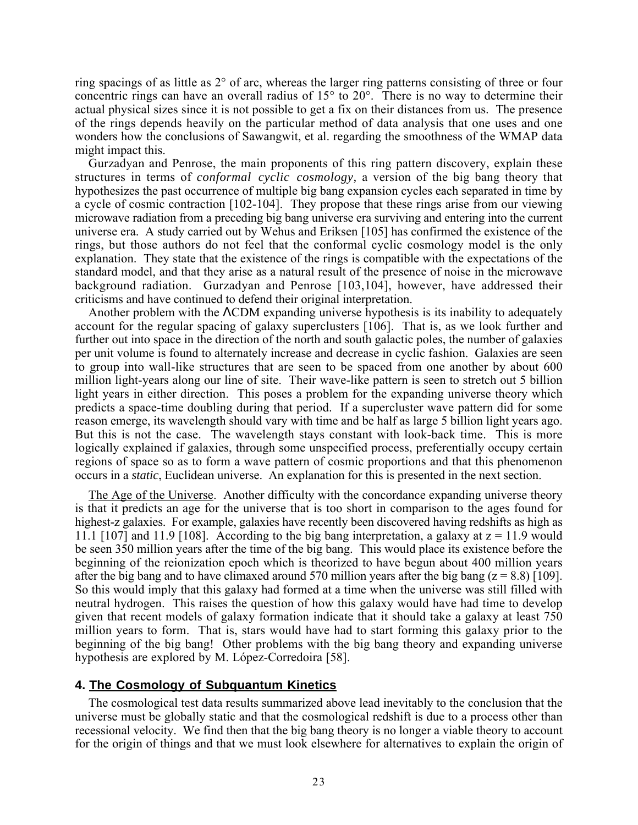ring spacings of as little as 2° of arc, whereas the larger ring patterns consisting of three or four concentric rings can have an overall radius of 15° to 20°. There is no way to determine their actual physical sizes since it is not possible to get a fix on their distances from us. The presence of the rings depends heavily on the particular method of data analysis that one uses and one wonders how the conclusions of Sawangwit, et al. regarding the smoothness of the WMAP data might impact this.

Gurzadyan and Penrose, the main proponents of this ring pattern discovery, explain these structures in terms of *conformal cyclic cosmology,* a version of the big bang theory that hypothesizes the past occurrence of multiple big bang expansion cycles each separated in time by a cycle of cosmic contraction [102-104]. They propose that these rings arise from our viewing microwave radiation from a preceding big bang universe era surviving and entering into the current universe era. A study carried out by Wehus and Eriksen [105] has confirmed the existence of the rings, but those authors do not feel that the conformal cyclic cosmology model is the only explanation. They state that the existence of the rings is compatible with the expectations of the standard model, and that they arise as a natural result of the presence of noise in the microwave background radiation. Gurzadyan and Penrose [103,104], however, have addressed their criticisms and have continued to defend their original interpretation.

Another problem with the ΛCDM expanding universe hypothesis is its inability to adequately account for the regular spacing of galaxy superclusters [106]. That is, as we look further and further out into space in the direction of the north and south galactic poles, the number of galaxies per unit volume is found to alternately increase and decrease in cyclic fashion. Galaxies are seen to group into wall-like structures that are seen to be spaced from one another by about 600 million light-years along our line of site. Their wave-like pattern is seen to stretch out 5 billion light years in either direction. This poses a problem for the expanding universe theory which predicts a space-time doubling during that period. If a supercluster wave pattern did for some reason emerge, its wavelength should vary with time and be half as large 5 billion light years ago. But this is not the case. The wavelength stays constant with look-back time. This is more logically explained if galaxies, through some unspecified process, preferentially occupy certain regions of space so as to form a wave pattern of cosmic proportions and that this phenomenon occurs in a *static*, Euclidean universe. An explanation for this is presented in the next section.

The Age of the Universe. Another difficulty with the concordance expanding universe theory is that it predicts an age for the universe that is too short in comparison to the ages found for highest-z galaxies. For example, galaxies have recently been discovered having redshifts as high as 11.1 [107] and 11.9 [108]. According to the big bang interpretation, a galaxy at  $z = 11.9$  would be seen 350 million years after the time of the big bang. This would place its existence before the beginning of the reionization epoch which is theorized to have begun about 400 million years after the big bang and to have climaxed around 570 million years after the big bang ( $z = 8.8$ ) [109]. So this would imply that this galaxy had formed at a time when the universe was still filled with neutral hydrogen. This raises the question of how this galaxy would have had time to develop given that recent models of galaxy formation indicate that it should take a galaxy at least 750 million years to form. That is, stars would have had to start forming this galaxy prior to the beginning of the big bang! Other problems with the big bang theory and expanding universe hypothesis are explored by M. López-Corredoira [58].

## **4. The Cosmology of Subquantum Kinetics**

The cosmological test data results summarized above lead inevitably to the conclusion that the universe must be globally static and that the cosmological redshift is due to a process other than recessional velocity. We find then that the big bang theory is no longer a viable theory to account for the origin of things and that we must look elsewhere for alternatives to explain the origin of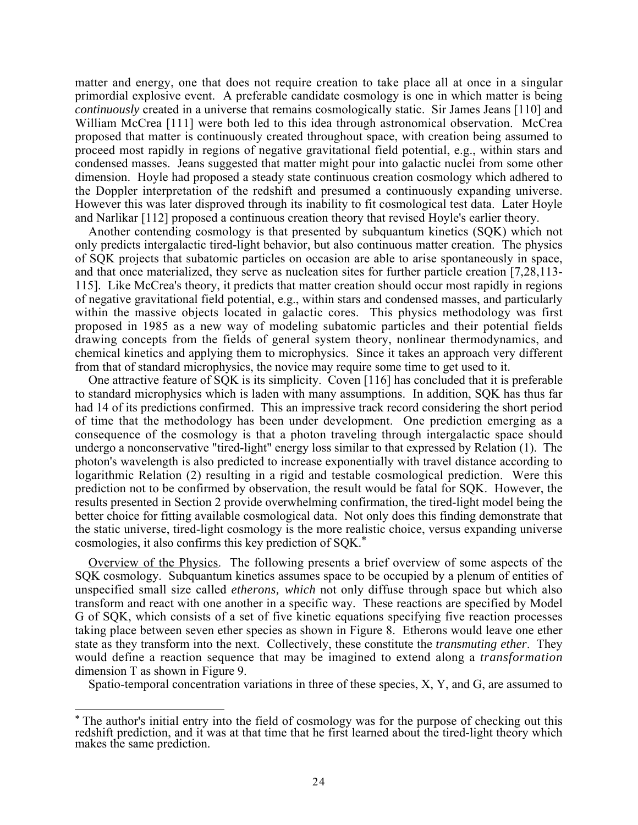matter and energy, one that does not require creation to take place all at once in a singular primordial explosive event. A preferable candidate cosmology is one in which matter is being *continuously* created in a universe that remains cosmologically static. Sir James Jeans [110] and William McCrea [111] were both led to this idea through astronomical observation. McCrea proposed that matter is continuously created throughout space, with creation being assumed to proceed most rapidly in regions of negative gravitational field potential, e.g., within stars and condensed masses. Jeans suggested that matter might pour into galactic nuclei from some other dimension. Hoyle had proposed a steady state continuous creation cosmology which adhered to the Doppler interpretation of the redshift and presumed a continuously expanding universe. However this was later disproved through its inability to fit cosmological test data. Later Hoyle and Narlikar [112] proposed a continuous creation theory that revised Hoyle's earlier theory.

Another contending cosmology is that presented by subquantum kinetics (SQK) which not only predicts intergalactic tired-light behavior, but also continuous matter creation. The physics of SQK projects that subatomic particles on occasion are able to arise spontaneously in space, and that once materialized, they serve as nucleation sites for further particle creation [7,28,113- 115]. Like McCrea's theory, it predicts that matter creation should occur most rapidly in regions of negative gravitational field potential, e.g., within stars and condensed masses, and particularly within the massive objects located in galactic cores. This physics methodology was first proposed in 1985 as a new way of modeling subatomic particles and their potential fields drawing concepts from the fields of general system theory, nonlinear thermodynamics, and chemical kinetics and applying them to microphysics. Since it takes an approach very different from that of standard microphysics, the novice may require some time to get used to it.

One attractive feature of SQK is its simplicity. Coven [116] has concluded that it is preferable to standard microphysics which is laden with many assumptions. In addition, SQK has thus far had 14 of its predictions confirmed. This an impressive track record considering the short period of time that the methodology has been under development. One prediction emerging as a consequence of the cosmology is that a photon traveling through intergalactic space should undergo a nonconservative "tired-light" energy loss similar to that expressed by Relation (1). The photon's wavelength is also predicted to increase exponentially with travel distance according to logarithmic Relation (2) resulting in a rigid and testable cosmological prediction. Were this prediction not to be confirmed by observation, the result would be fatal for SQK. However, the results presented in Section 2 provide overwhelming confirmation, the tired-light model being the better choice for fitting available cosmological data. Not only does this finding demonstrate that the static universe, tired-light cosmology is the more realistic choice, versus expanding universe cosmologies, it also confirms this key prediction of SQK.\*

Overview of the Physics. The following presents a brief overview of some aspects of the SQK cosmology. Subquantum kinetics assumes space to be occupied by a plenum of entities of unspecified small size called *etherons, which* not only diffuse through space but which also transform and react with one another in a specific way. These reactions are specified by Model G of SQK, which consists of a set of five kinetic equations specifying five reaction processes taking place between seven ether species as shown in Figure 8. Etherons would leave one ether state as they transform into the next. Collectively, these constitute the *transmuting ether*. They would define a reaction sequence that may be imagined to extend along a *transformation* dimension T as shown in Figure 9.

Spatio-temporal concentration variations in three of these species, X, Y, and G, are assumed to

The author's initial entry into the field of cosmology was for the purpose of checking out this redshift prediction, and it was at that time that he first learned about the tired-light theory which makes the same prediction.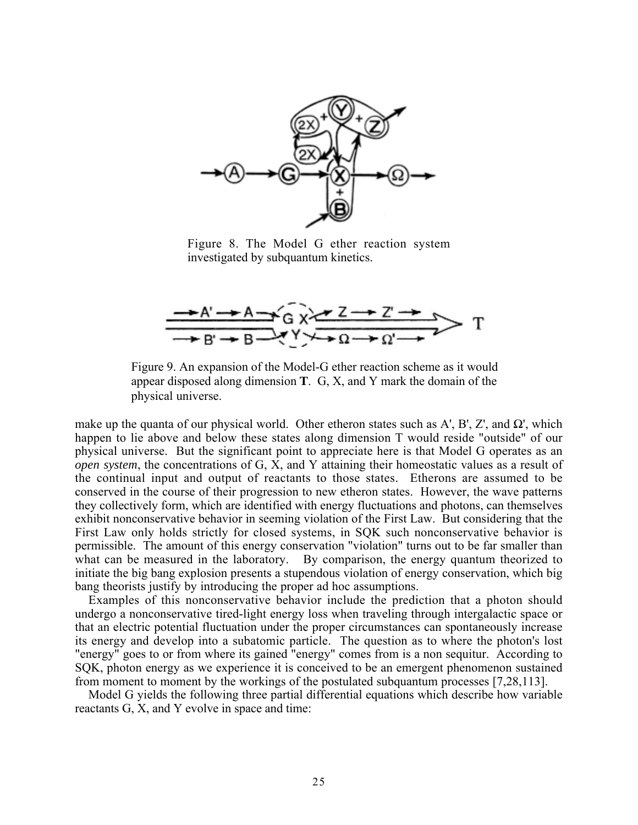

Figure 8. The Model G ether reaction system investigated by subquantum kinetics.



Figure 9. An expansion of the Model-G ether reaction scheme as it would appear disposed along dimension **T**. G, X, and Y mark the domain of the physical universe.

make up the quanta of our physical world. Other etheron states such as A', B', Z', and  $\Omega'$ , which happen to lie above and below these states along dimension T would reside "outside" of our physical universe. But the significant point to appreciate here is that Model G operates as an *open system*, the concentrations of G, X, and Y attaining their homeostatic values as a result of the continual input and output of reactants to those states. Etherons are assumed to be conserved in the course of their progression to new etheron states. However, the wave patterns they collectively form, which are identified with energy fluctuations and photons, can themselves exhibit nonconservative behavior in seeming violation of the First Law. But considering that the First Law only holds strictly for closed systems, in SQK such nonconservative behavior is permissible. The amount of this energy conservation "violation" turns out to be far smaller than what can be measured in the laboratory. By comparison, the energy quantum theorized to initiate the big bang explosion presents a stupendous violation of energy conservation, which big bang theorists justify by introducing the proper ad hoc assumptions.

Examples of this nonconservative behavior include the prediction that a photon should undergo a nonconservative tired-light energy loss when traveling through intergalactic space or that an electric potential fluctuation under the proper circumstances can spontaneously increase its energy and develop into a subatomic particle. The question as to where the photon's lost "energy" goes to or from where its gained "energy" comes from is a non sequitur. According to SQK, photon energy as we experience it is conceived to be an emergent phenomenon sustained from moment to moment by the workings of the postulated subquantum processes [7,28,113].

Model G yields the following three partial differential equations which describe how variable reactants G, X, and Y evolve in space and time: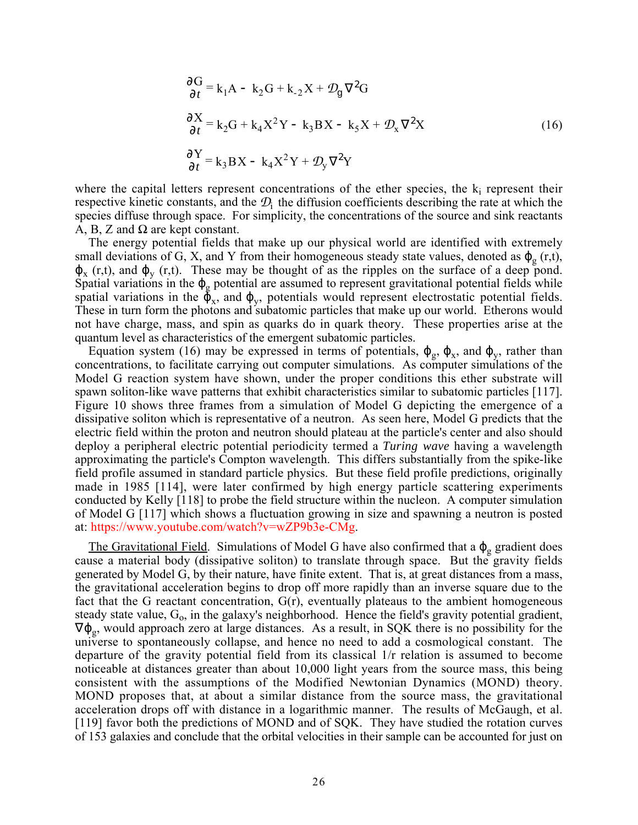$$
\frac{\partial G}{\partial t} = k_1 A - k_2 G + k_{-2} X + \mathcal{D}_g \nabla^2 G
$$
\n
$$
\frac{\partial X}{\partial t} = k_2 G + k_4 X^2 Y - k_3 BX - k_5 X + \mathcal{D}_x \nabla^2 X
$$
\n
$$
\frac{\partial Y}{\partial t} = k_3 BX - k_4 X^2 Y + \mathcal{D}_y \nabla^2 Y
$$
\n(16)

where the capital letters represent concentrations of the ether species, the  $k_i$  represent their respective kinetic constants, and the  $\mathcal{D}_i$  the diffusion coefficients describing the rate at which the species diffuse through space. For simplicity, the concentrations of the source and sink reactants A, B, Z and  $\Omega$  are kept constant.

The energy potential fields that make up our physical world are identified with extremely small deviations of G, X, and Y from their homogeneous steady state values, denoted as  $\varphi_{\sigma}$  (r,t),  $\varphi_{x}$  (r,t), and  $\varphi_{y}$  (r,t). These may be thought of as the ripples on the surface of a deep pond. Spatial variations in the  $\varphi_{g}$  potential are assumed to represent gravitational potential fields while spatial variations in the  $\bar{\varphi}_x$ , and  $\varphi_y$ , potentials would represent electrostatic potential fields. These in turn form the photons and subatomic particles that make up our world. Etherons would not have charge, mass, and spin as quarks do in quark theory. These properties arise at the quantum level as characteristics of the emergent subatomic particles.

Equation system (16) may be expressed in terms of potentials,  $\varphi_{g}$ ,  $\varphi_{x}$ , and  $\varphi_{y}$ , rather than concentrations, to facilitate carrying out computer simulations. As computer simulations of the Model G reaction system have shown, under the proper conditions this ether substrate will spawn soliton-like wave patterns that exhibit characteristics similar to subatomic particles [117]. Figure 10 shows three frames from a simulation of Model G depicting the emergence of a dissipative soliton which is representative of a neutron. As seen here, Model G predicts that the electric field within the proton and neutron should plateau at the particle's center and also should deploy a peripheral electric potential periodicity termed a *Turing wave* having a wavelength approximating the particle's Compton wavelength. This differs substantially from the spike-like field profile assumed in standard particle physics. But these field profile predictions, originally made in 1985 [114], were later confirmed by high energy particle scattering experiments conducted by Kelly [118] to probe the field structure within the nucleon. A computer simulation of Model G [117] which shows a fluctuation growing in size and spawning a neutron is posted at: https://www.youtube.com/watch?v=wZP9b3e-CMg.

The Gravitational Field. Simulations of Model G have also confirmed that a  $\varphi_{g}$  gradient does cause a material body (dissipative soliton) to translate through space. But the gravity fields generated by Model G, by their nature, have finite extent. That is, at great distances from a mass, the gravitational acceleration begins to drop off more rapidly than an inverse square due to the fact that the G reactant concentration, G(r), eventually plateaus to the ambient homogeneous steady state value,  $G_0$ , in the galaxy's neighborhood. Hence the field's gravity potential gradient,  $\nabla \varphi_{\rm g}$ , would approach zero at large distances. As a result, in SQK there is no possibility for the universe to spontaneously collapse, and hence no need to add a cosmological constant. The departure of the gravity potential field from its classical 1/r relation is assumed to become noticeable at distances greater than about 10,000 light years from the source mass, this being consistent with the assumptions of the Modified Newtonian Dynamics (MOND) theory. MOND proposes that, at about a similar distance from the source mass, the gravitational acceleration drops off with distance in a logarithmic manner. The results of McGaugh, et al. [119] favor both the predictions of MOND and of SQK. They have studied the rotation curves of 153 galaxies and conclude that the orbital velocities in their sample can be accounted for just on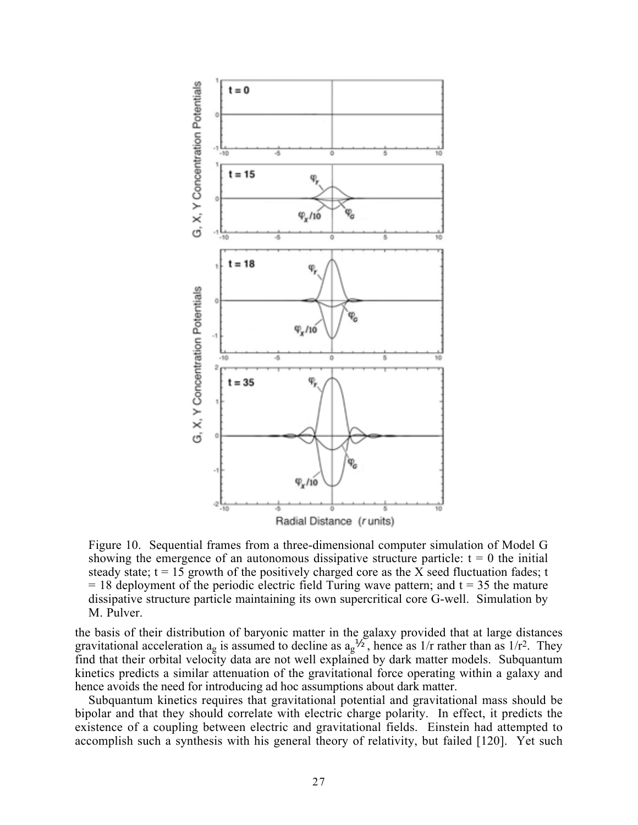

Figure 10. Sequential frames from a three-dimensional computer simulation of Model G showing the emergence of an autonomous dissipative structure particle:  $t = 0$  the initial steady state;  $t = 15$  growth of the positively charged core as the X seed fluctuation fades; t  $= 18$  deployment of the periodic electric field Turing wave pattern; and t = 35 the mature dissipative structure particle maintaining its own supercritical core G-well. Simulation by M. Pulver.

the basis of their distribution of baryonic matter in the galaxy provided that at large distances gravitational acceleration  $a_g$  is assumed to decline as  $a_g^{\gamma_2}$ , hence as 1/r rather than as 1/r<sup>2</sup>. They find that their orbital velocity data are not well explained by dark matter models. Subquantum kinetics predicts a similar attenuation of the gravitational force operating within a galaxy and hence avoids the need for introducing ad hoc assumptions about dark matter.

Subquantum kinetics requires that gravitational potential and gravitational mass should be bipolar and that they should correlate with electric charge polarity. In effect, it predicts the existence of a coupling between electric and gravitational fields. Einstein had attempted to accomplish such a synthesis with his general theory of relativity, but failed [120]. Yet such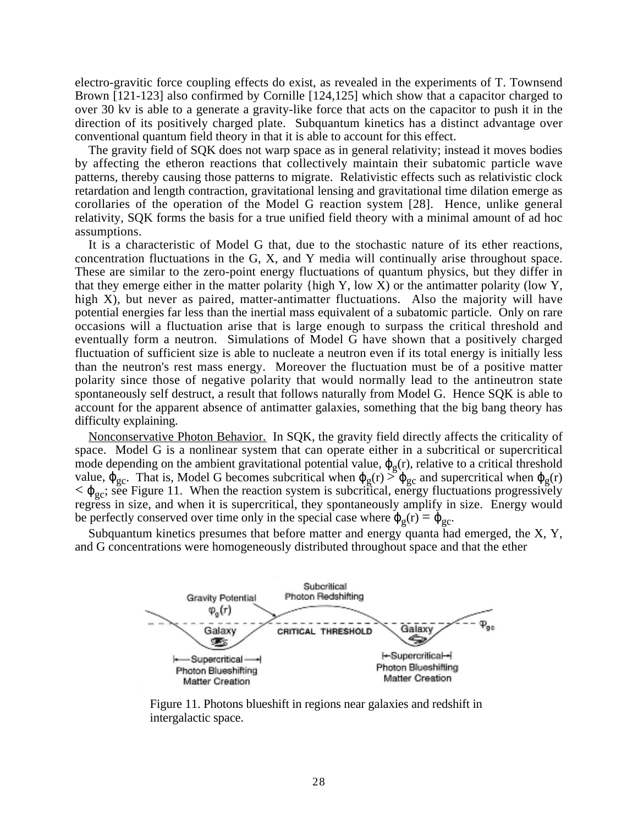electro-gravitic force coupling effects do exist, as revealed in the experiments of T. Townsend Brown [121-123] also confirmed by Cornille [124,125] which show that a capacitor charged to over 30 kv is able to a generate a gravity-like force that acts on the capacitor to push it in the direction of its positively charged plate. Subquantum kinetics has a distinct advantage over conventional quantum field theory in that it is able to account for this effect.

The gravity field of SQK does not warp space as in general relativity; instead it moves bodies by affecting the etheron reactions that collectively maintain their subatomic particle wave patterns, thereby causing those patterns to migrate. Relativistic effects such as relativistic clock retardation and length contraction, gravitational lensing and gravitational time dilation emerge as corollaries of the operation of the Model G reaction system [28]. Hence, unlike general relativity, SQK forms the basis for a true unified field theory with a minimal amount of ad hoc assumptions.

It is a characteristic of Model G that, due to the stochastic nature of its ether reactions, concentration fluctuations in the G, X, and Y media will continually arise throughout space. These are similar to the zero-point energy fluctuations of quantum physics, but they differ in that they emerge either in the matter polarity {high Y, low X) or the antimatter polarity (low Y, high X), but never as paired, matter-antimatter fluctuations. Also the majority will have potential energies far less than the inertial mass equivalent of a subatomic particle. Only on rare occasions will a fluctuation arise that is large enough to surpass the critical threshold and eventually form a neutron. Simulations of Model G have shown that a positively charged fluctuation of sufficient size is able to nucleate a neutron even if its total energy is initially less than the neutron's rest mass energy. Moreover the fluctuation must be of a positive matter polarity since those of negative polarity that would normally lead to the antineutron state spontaneously self destruct, a result that follows naturally from Model G. Hence SQK is able to account for the apparent absence of antimatter galaxies, something that the big bang theory has difficulty explaining.

Nonconservative Photon Behavior. In SQK, the gravity field directly affects the criticality of space. Model G is a nonlinear system that can operate either in a subcritical or supercritical mode depending on the ambient gravitational potential value,  $\varphi_{g}(r)$ , relative to a critical threshold value,  $\varphi_{gc}$ . That is, Model G becomes subcritical when  $\varphi_{g}(r) > \varphi_{gc}$  and supercritical when  $\varphi_{g}(r)$  $<\varphi_{\rm gc}$ ; see Figure 11. When the reaction system is subcritical, energy fluctuations progressively regress in size, and when it is supercritical, they spontaneously amplify in size. Energy would be perfectly conserved over time only in the special case where  $\varphi_{\varphi}(r) = \varphi_{\varphi c}$ .

Subquantum kinetics presumes that before matter and energy quanta had emerged, the X, Y, and G concentrations were homogeneously distributed throughout space and that the ether



Figure 11. Photons blueshift in regions near galaxies and redshift in intergalactic space.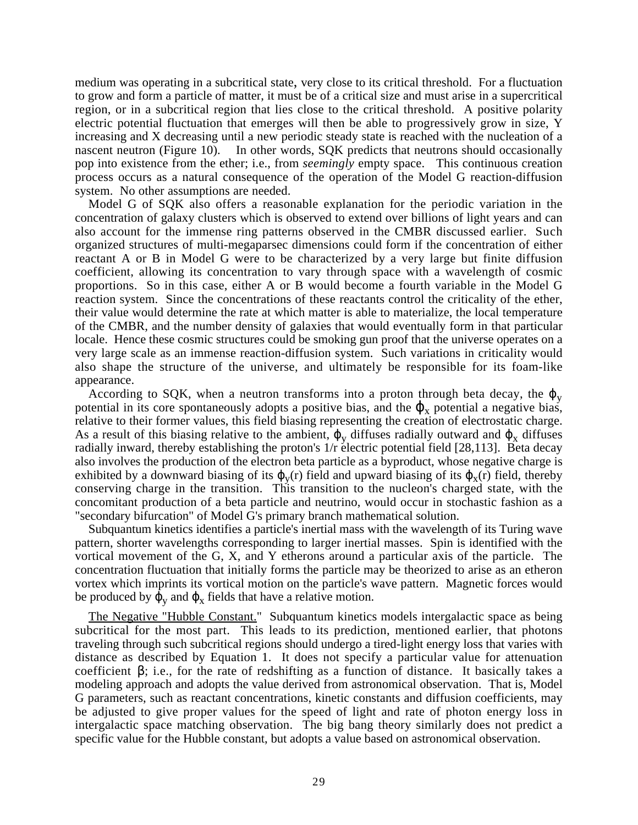medium was operating in a subcritical state, very close to its critical threshold. For a fluctuation to grow and form a particle of matter, it must be of a critical size and must arise in a supercritical region, or in a subcritical region that lies close to the critical threshold. A positive polarity electric potential fluctuation that emerges will then be able to progressively grow in size, Y increasing and X decreasing until a new periodic steady state is reached with the nucleation of a nascent neutron (Figure 10). In other words, SQK predicts that neutrons should occasionally pop into existence from the ether; i.e., from *seemingly* empty space. This continuous creation process occurs as a natural consequence of the operation of the Model G reaction-diffusion system. No other assumptions are needed.

Model G of SQK also offers a reasonable explanation for the periodic variation in the concentration of galaxy clusters which is observed to extend over billions of light years and can also account for the immense ring patterns observed in the CMBR discussed earlier. Such organized structures of multi-megaparsec dimensions could form if the concentration of either reactant A or B in Model G were to be characterized by a very large but finite diffusion coefficient, allowing its concentration to vary through space with a wavelength of cosmic proportions. So in this case, either A or B would become a fourth variable in the Model G reaction system. Since the concentrations of these reactants control the criticality of the ether, their value would determine the rate at which matter is able to materialize, the local temperature of the CMBR, and the number density of galaxies that would eventually form in that particular locale. Hence these cosmic structures could be smoking gun proof that the universe operates on a very large scale as an immense reaction-diffusion system. Such variations in criticality would also shape the structure of the universe, and ultimately be responsible for its foam-like appearance.

According to SQK, when a neutron transforms into a proton through beta decay, the  $\varphi$ <sub>v</sub> potential in its core spontaneously adopts a positive bias, and the  $\varphi_x$  potential a negative bias, relative to their former values, this field biasing representing the creation of electrostatic charge. As a result of this biasing relative to the ambient,  $\varphi_{\rm v}$  diffuses radially outward and  $\varphi_{\rm x}$  diffuses radially inward, thereby establishing the proton's 1/r electric potential field [28,113]. Beta decay also involves the production of the electron beta particle as a byproduct, whose negative charge is exhibited by a downward biasing of its  $\varphi_{v}(r)$  field and upward biasing of its  $\varphi_{x}(r)$  field, thereby conserving charge in the transition. This transition to the nucleon's charged state, with the concomitant production of a beta particle and neutrino, would occur in stochastic fashion as a "secondary bifurcation" of Model G's primary branch mathematical solution.

Subquantum kinetics identifies a particle's inertial mass with the wavelength of its Turing wave pattern, shorter wavelengths corresponding to larger inertial masses. Spin is identified with the vortical movement of the G, X, and Y etherons around a particular axis of the particle. The concentration fluctuation that initially forms the particle may be theorized to arise as an etheron vortex which imprints its vortical motion on the particle's wave pattern. Magnetic forces would be produced by  $\varphi_v$  and  $\varphi_x$  fields that have a relative motion.

The Negative "Hubble Constant." Subquantum kinetics models intergalactic space as being subcritical for the most part. This leads to its prediction, mentioned earlier, that photons traveling through such subcritical regions should undergo a tired-light energy loss that varies with distance as described by Equation 1. It does not specify a particular value for attenuation coefficient  $\beta$ ; i.e., for the rate of redshifting as a function of distance. It basically takes a modeling approach and adopts the value derived from astronomical observation. That is, Model G parameters, such as reactant concentrations, kinetic constants and diffusion coefficients, may be adjusted to give proper values for the speed of light and rate of photon energy loss in intergalactic space matching observation. The big bang theory similarly does not predict a specific value for the Hubble constant, but adopts a value based on astronomical observation.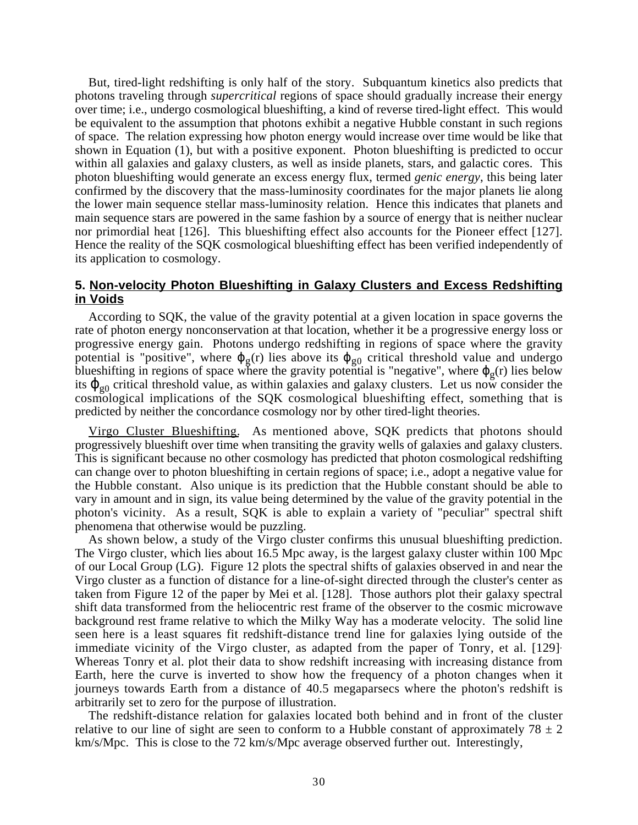But, tired-light redshifting is only half of the story. Subquantum kinetics also predicts that photons traveling through *supercritical* regions of space should gradually increase their energy over time; i.e., undergo cosmological blueshifting, a kind of reverse tired-light effect. This would be equivalent to the assumption that photons exhibit a negative Hubble constant in such regions of space. The relation expressing how photon energy would increase over time would be like that shown in Equation (1), but with a positive exponent. Photon blueshifting is predicted to occur within all galaxies and galaxy clusters, as well as inside planets, stars, and galactic cores. This photon blueshifting would generate an excess energy flux, termed *genic energy*, this being later confirmed by the discovery that the mass-luminosity coordinates for the major planets lie along the lower main sequence stellar mass-luminosity relation. Hence this indicates that planets and main sequence stars are powered in the same fashion by a source of energy that is neither nuclear nor primordial heat [126]. This blueshifting effect also accounts for the Pioneer effect [127]. Hence the reality of the SQK cosmological blueshifting effect has been verified independently of its application to cosmology.

### **5. Non-velocity Photon Blueshifting in Galaxy Clusters and Excess Redshifting in Voids**

According to SQK, the value of the gravity potential at a given location in space governs the rate of photon energy nonconservation at that location, whether it be a progressive energy loss or progressive energy gain. Photons undergo redshifting in regions of space where the gravity potential is "positive", where  $\varphi_{g}(r)$  lies above its  $\varphi_{g0}$  critical threshold value and undergo blueshifting in regions of space where the gravity potential is "negative", where  $\varphi_{\varphi}(r)$  lies below its  $\varphi_{g0}$  critical threshold value, as within galaxies and galaxy clusters. Let us now consider the cosmological implications of the SQK cosmological blueshifting effect, something that is predicted by neither the concordance cosmology nor by other tired-light theories.

Virgo Cluster Blueshifting. As mentioned above, SQK predicts that photons should progressively blueshift over time when transiting the gravity wells of galaxies and galaxy clusters. This is significant because no other cosmology has predicted that photon cosmological redshifting can change over to photon blueshifting in certain regions of space; i.e., adopt a negative value for the Hubble constant. Also unique is its prediction that the Hubble constant should be able to vary in amount and in sign, its value being determined by the value of the gravity potential in the photon's vicinity. As a result, SQK is able to explain a variety of "peculiar" spectral shift phenomena that otherwise would be puzzling.

As shown below, a study of the Virgo cluster confirms this unusual blueshifting prediction. The Virgo cluster, which lies about 16.5 Mpc away, is the largest galaxy cluster within 100 Mpc of our Local Group (LG). Figure 12 plots the spectral shifts of galaxies observed in and near the Virgo cluster as a function of distance for a line-of-sight directed through the cluster's center as taken from Figure 12 of the paper by Mei et al. [128]. Those authors plot their galaxy spectral shift data transformed from the heliocentric rest frame of the observer to the cosmic microwave background rest frame relative to which the Milky Way has a moderate velocity. The solid line seen here is a least squares fit redshift-distance trend line for galaxies lying outside of the immediate vicinity of the Virgo cluster, as adapted from the paper of Tonry, et al. [129]. Whereas Tonry et al. plot their data to show redshift increasing with increasing distance from Earth, here the curve is inverted to show how the frequency of a photon changes when it journeys towards Earth from a distance of 40.5 megaparsecs where the photon's redshift is arbitrarily set to zero for the purpose of illustration.

The redshift-distance relation for galaxies located both behind and in front of the cluster relative to our line of sight are seen to conform to a Hubble constant of approximately  $78 \pm 2$ km/s/Mpc. This is close to the 72 km/s/Mpc average observed further out. Interestingly,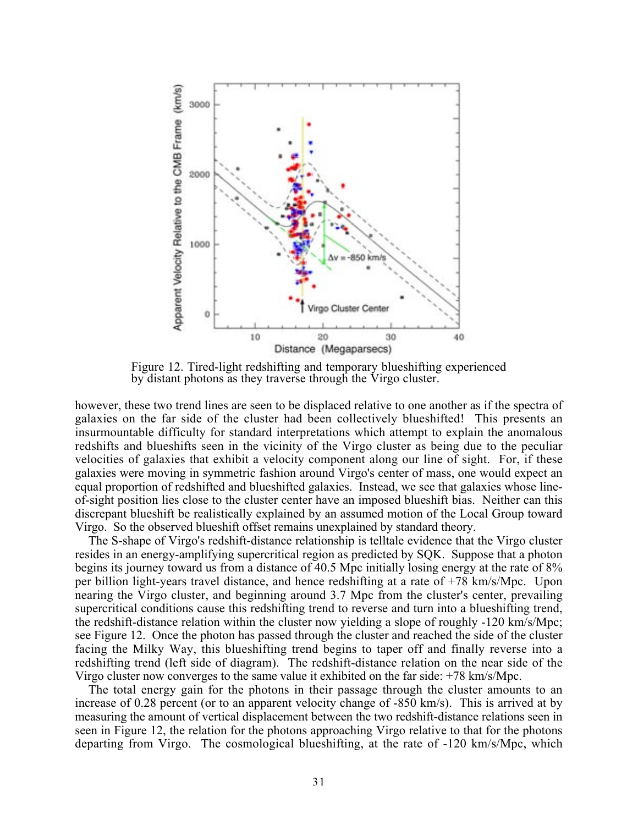

Figure 12. Tired-light redshifting and temporary blueshifting experienced by distant photons as they traverse through the Virgo cluster.

however, these two trend lines are seen to be displaced relative to one another as if the spectra of galaxies on the far side of the cluster had been collectively blueshifted! This presents an insurmountable difficulty for standard interpretations which attempt to explain the anomalous redshifts and blueshifts seen in the vicinity of the Virgo cluster as being due to the peculiar velocities of galaxies that exhibit a velocity component along our line of sight. For, if these galaxies were moving in symmetric fashion around Virgo's center of mass, one would expect an equal proportion of redshifted and blueshifted galaxies. Instead, we see that galaxies whose lineof-sight position lies close to the cluster center have an imposed blueshift bias. Neither can this discrepant blueshift be realistically explained by an assumed motion of the Local Group toward Virgo. So the observed blueshift offset remains unexplained by standard theory.

The S-shape of Virgo's redshift-distance relationship is telltale evidence that the Virgo cluster resides in an energy-amplifying supercritical region as predicted by SQK. Suppose that a photon begins its journey toward us from a distance of 40.5 Mpc initially losing energy at the rate of 8% per billion light-years travel distance, and hence redshifting at a rate of +78 km/s/Mpc. Upon nearing the Virgo cluster, and beginning around 3.7 Mpc from the cluster's center, prevailing supercritical conditions cause this redshifting trend to reverse and turn into a blueshifting trend, the redshift-distance relation within the cluster now yielding a slope of roughly -120 km/s/Mpc; see Figure 12. Once the photon has passed through the cluster and reached the side of the cluster facing the Milky Way, this blueshifting trend begins to taper off and finally reverse into a redshifting trend (left side of diagram). The redshift-distance relation on the near side of the Virgo cluster now converges to the same value it exhibited on the far side: +78 km/s/Mpc.

The total energy gain for the photons in their passage through the cluster amounts to an increase of 0.28 percent (or to an apparent velocity change of -850 km/s). This is arrived at by measuring the amount of vertical displacement between the two redshift-distance relations seen in seen in Figure 12, the relation for the photons approaching Virgo relative to that for the photons departing from Virgo. The cosmological blueshifting, at the rate of -120 km/s/Mpc, which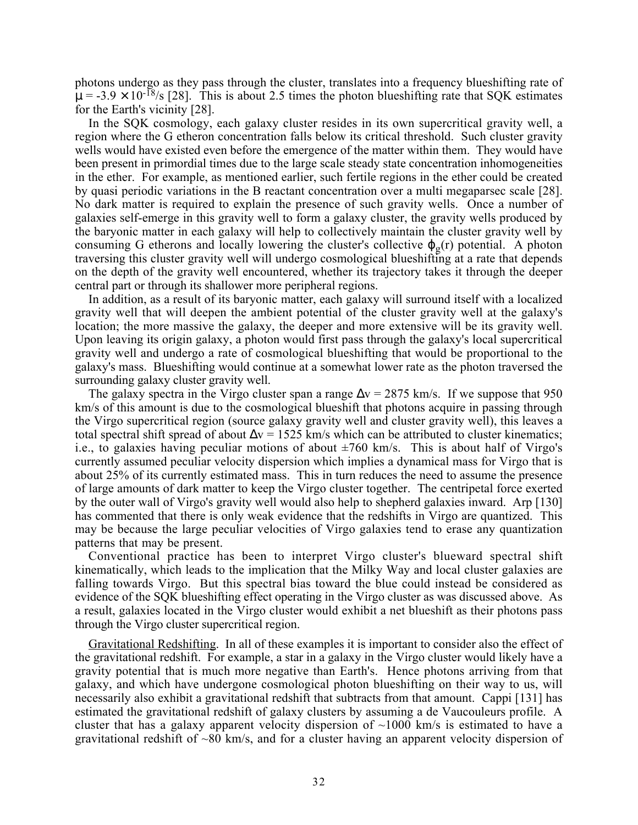photons undergo as they pass through the cluster, translates into a frequency blueshifting rate of  $\mu = -3.9 \times 10^{-18}$ /s [28]. This is about 2.5 times the photon blueshifting rate that SQK estimates for the Earth's vicinity [28].

In the SQK cosmology, each galaxy cluster resides in its own supercritical gravity well, a region where the G etheron concentration falls below its critical threshold. Such cluster gravity wells would have existed even before the emergence of the matter within them. They would have been present in primordial times due to the large scale steady state concentration inhomogeneities in the ether. For example, as mentioned earlier, such fertile regions in the ether could be created by quasi periodic variations in the B reactant concentration over a multi megaparsec scale [28]. No dark matter is required to explain the presence of such gravity wells. Once a number of galaxies self-emerge in this gravity well to form a galaxy cluster, the gravity wells produced by the baryonic matter in each galaxy will help to collectively maintain the cluster gravity well by consuming G etherons and locally lowering the cluster's collective  $\varphi_{g}(r)$  potential. A photon traversing this cluster gravity well will undergo cosmological blueshifting at a rate that depends on the depth of the gravity well encountered, whether its trajectory takes it through the deeper central part or through its shallower more peripheral regions.

In addition, as a result of its baryonic matter, each galaxy will surround itself with a localized gravity well that will deepen the ambient potential of the cluster gravity well at the galaxy's location; the more massive the galaxy, the deeper and more extensive will be its gravity well. Upon leaving its origin galaxy, a photon would first pass through the galaxy's local supercritical gravity well and undergo a rate of cosmological blueshifting that would be proportional to the galaxy's mass. Blueshifting would continue at a somewhat lower rate as the photon traversed the surrounding galaxy cluster gravity well.

The galaxy spectra in the Virgo cluster span a range  $\Delta v = 2875$  km/s. If we suppose that 950 km/s of this amount is due to the cosmological blueshift that photons acquire in passing through the Virgo supercritical region (source galaxy gravity well and cluster gravity well), this leaves a total spectral shift spread of about  $\Delta v = 1525$  km/s which can be attributed to cluster kinematics; i.e., to galaxies having peculiar motions of about  $\pm 760$  km/s. This is about half of Virgo's currently assumed peculiar velocity dispersion which implies a dynamical mass for Virgo that is about 25% of its currently estimated mass. This in turn reduces the need to assume the presence of large amounts of dark matter to keep the Virgo cluster together. The centripetal force exerted by the outer wall of Virgo's gravity well would also help to shepherd galaxies inward. Arp [130] has commented that there is only weak evidence that the redshifts in Virgo are quantized. This may be because the large peculiar velocities of Virgo galaxies tend to erase any quantization patterns that may be present.

Conventional practice has been to interpret Virgo cluster's blueward spectral shift kinematically, which leads to the implication that the Milky Way and local cluster galaxies are falling towards Virgo. But this spectral bias toward the blue could instead be considered as evidence of the SQK blueshifting effect operating in the Virgo cluster as was discussed above. As a result, galaxies located in the Virgo cluster would exhibit a net blueshift as their photons pass through the Virgo cluster supercritical region.

Gravitational Redshifting. In all of these examples it is important to consider also the effect of the gravitational redshift. For example, a star in a galaxy in the Virgo cluster would likely have a gravity potential that is much more negative than Earth's. Hence photons arriving from that galaxy, and which have undergone cosmological photon blueshifting on their way to us, will necessarily also exhibit a gravitational redshift that subtracts from that amount. Cappi [131] has estimated the gravitational redshift of galaxy clusters by assuming a de Vaucouleurs profile. A cluster that has a galaxy apparent velocity dispersion of  $\sim$ 1000 km/s is estimated to have a gravitational redshift of  $\sim 80$  km/s, and for a cluster having an apparent velocity dispersion of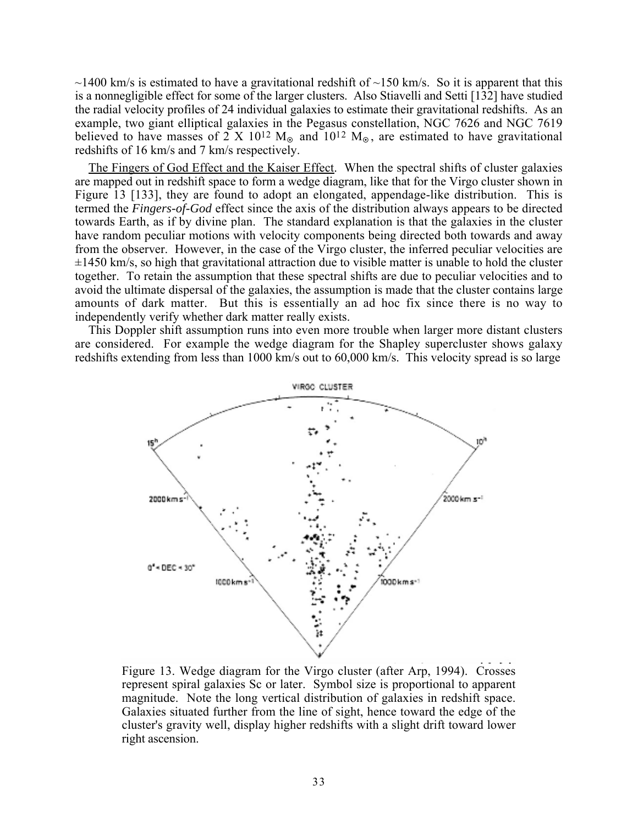$\sim$ 1400 km/s is estimated to have a gravitational redshift of  $\sim$ 150 km/s. So it is apparent that this is a nonnegligible effect for some of the larger clusters. Also Stiavelli and Setti [132] have studied the radial velocity profiles of 24 individual galaxies to estimate their gravitational redshifts. As an example, two giant elliptical galaxies in the Pegasus constellation, NGC 7626 and NGC 7619 believed to have masses of 2 X 10<sup>12</sup> M<sub>o</sub> and 10<sup>12</sup> M<sub>o</sub>, are estimated to have gravitational redshifts of 16 km/s and 7 km/s respectively.

The Fingers of God Effect and the Kaiser Effect. When the spectral shifts of cluster galaxies are mapped out in redshift space to form a wedge diagram, like that for the Virgo cluster shown in Figure 13 [133], they are found to adopt an elongated, appendage-like distribution. This is termed the *Fingers-of-God* effect since the axis of the distribution always appears to be directed towards Earth, as if by divine plan. The standard explanation is that the galaxies in the cluster have random peculiar motions with velocity components being directed both towards and away from the observer. However, in the case of the Virgo cluster, the inferred peculiar velocities are  $\pm$ 1450 km/s, so high that gravitational attraction due to visible matter is unable to hold the cluster together. To retain the assumption that these spectral shifts are due to peculiar velocities and to avoid the ultimate dispersal of the galaxies, the assumption is made that the cluster contains large amounts of dark matter. But this is essentially an ad hoc fix since there is no way to independently verify whether dark matter really exists.

This Doppler shift assumption runs into even more trouble when larger more distant clusters are considered. For example the wedge diagram for the Shapley supercluster shows galaxy redshifts extending from less than 1000 km/s out to 60,000 km/s. This velocity spread is so large



Figure 13. Wedge diagram for the Virgo cluster (after Arp, 1994). Crosses represent spiral galaxies Sc or later. Symbol size is proportional to apparent magnitude. Note the long vertical distribution of galaxies in redshift space. Galaxies situated further from the line of sight, hence toward the edge of the cluster's gravity well, display higher redshifts with a slight drift toward lower right ascension.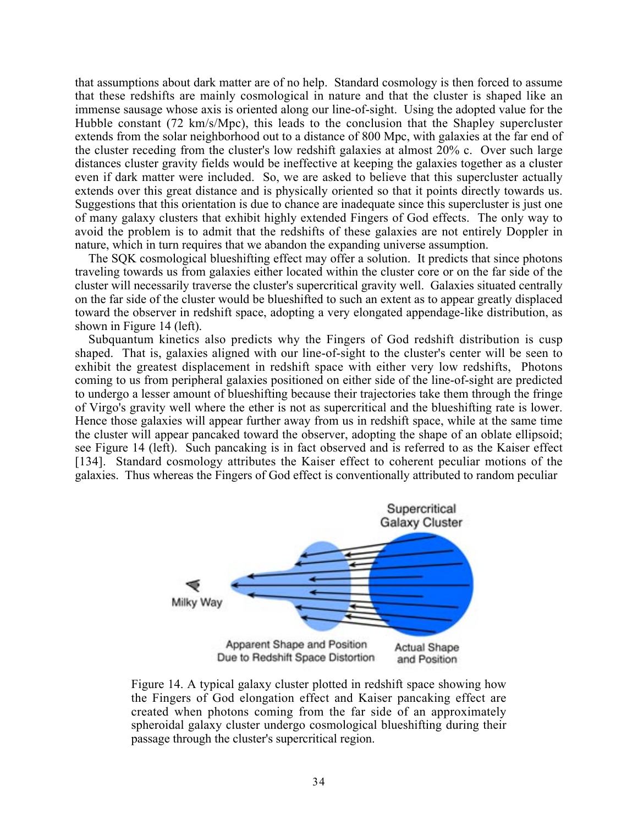that assumptions about dark matter are of no help. Standard cosmology is then forced to assume that these redshifts are mainly cosmological in nature and that the cluster is shaped like an immense sausage whose axis is oriented along our line-of-sight. Using the adopted value for the Hubble constant (72 km/s/Mpc), this leads to the conclusion that the Shapley supercluster extends from the solar neighborhood out to a distance of 800 Mpc, with galaxies at the far end of the cluster receding from the cluster's low redshift galaxies at almost 20% c. Over such large distances cluster gravity fields would be ineffective at keeping the galaxies together as a cluster even if dark matter were included. So, we are asked to believe that this supercluster actually extends over this great distance and is physically oriented so that it points directly towards us. Suggestions that this orientation is due to chance are inadequate since this supercluster is just one of many galaxy clusters that exhibit highly extended Fingers of God effects. The only way to avoid the problem is to admit that the redshifts of these galaxies are not entirely Doppler in nature, which in turn requires that we abandon the expanding universe assumption.

The SQK cosmological blueshifting effect may offer a solution. It predicts that since photons traveling towards us from galaxies either located within the cluster core or on the far side of the cluster will necessarily traverse the cluster's supercritical gravity well. Galaxies situated centrally on the far side of the cluster would be blueshifted to such an extent as to appear greatly displaced toward the observer in redshift space, adopting a very elongated appendage-like distribution, as shown in Figure 14 (left).

Subquantum kinetics also predicts why the Fingers of God redshift distribution is cusp shaped. That is, galaxies aligned with our line-of-sight to the cluster's center will be seen to exhibit the greatest displacement in redshift space with either very low redshifts, Photons coming to us from peripheral galaxies positioned on either side of the line-of-sight are predicted to undergo a lesser amount of blueshifting because their trajectories take them through the fringe of Virgo's gravity well where the ether is not as supercritical and the blueshifting rate is lower. Hence those galaxies will appear further away from us in redshift space, while at the same time the cluster will appear pancaked toward the observer, adopting the shape of an oblate ellipsoid; see Figure 14 (left). Such pancaking is in fact observed and is referred to as the Kaiser effect [134]. Standard cosmology attributes the Kaiser effect to coherent peculiar motions of the galaxies. Thus whereas the Fingers of God effect is conventionally attributed to random peculiar



Figure 14. A typical galaxy cluster plotted in redshift space showing how the Fingers of God elongation effect and Kaiser pancaking effect are created when photons coming from the far side of an approximately spheroidal galaxy cluster undergo cosmological blueshifting during their passage through the cluster's supercritical region.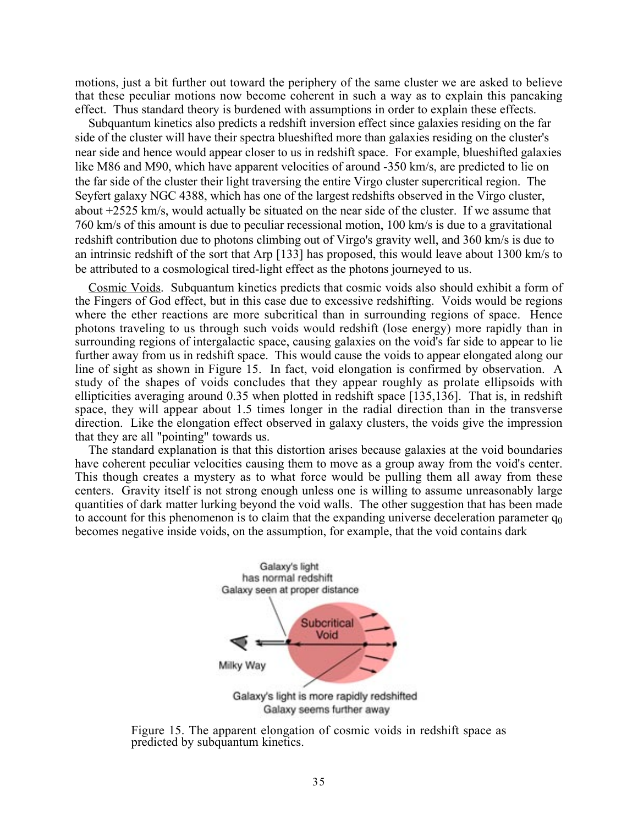motions, just a bit further out toward the periphery of the same cluster we are asked to believe that these peculiar motions now become coherent in such a way as to explain this pancaking effect. Thus standard theory is burdened with assumptions in order to explain these effects.

Subquantum kinetics also predicts a redshift inversion effect since galaxies residing on the far side of the cluster will have their spectra blueshifted more than galaxies residing on the cluster's near side and hence would appear closer to us in redshift space. For example, blueshifted galaxies like M86 and M90, which have apparent velocities of around -350 km/s, are predicted to lie on the far side of the cluster their light traversing the entire Virgo cluster supercritical region. The Seyfert galaxy NGC 4388, which has one of the largest redshifts observed in the Virgo cluster, about +2525 km/s, would actually be situated on the near side of the cluster. If we assume that 760 km/s of this amount is due to peculiar recessional motion, 100 km/s is due to a gravitational redshift contribution due to photons climbing out of Virgo's gravity well, and 360 km/s is due to an intrinsic redshift of the sort that Arp [133] has proposed, this would leave about 1300 km/s to be attributed to a cosmological tired-light effect as the photons journeyed to us.

Cosmic Voids. Subquantum kinetics predicts that cosmic voids also should exhibit a form of the Fingers of God effect, but in this case due to excessive redshifting. Voids would be regions where the ether reactions are more subcritical than in surrounding regions of space. Hence photons traveling to us through such voids would redshift (lose energy) more rapidly than in surrounding regions of intergalactic space, causing galaxies on the void's far side to appear to lie further away from us in redshift space. This would cause the voids to appear elongated along our line of sight as shown in Figure 15. In fact, void elongation is confirmed by observation. A study of the shapes of voids concludes that they appear roughly as prolate ellipsoids with ellipticities averaging around 0.35 when plotted in redshift space [135,136]. That is, in redshift space, they will appear about 1.5 times longer in the radial direction than in the transverse direction. Like the elongation effect observed in galaxy clusters, the voids give the impression that they are all "pointing" towards us.

The standard explanation is that this distortion arises because galaxies at the void boundaries have coherent peculiar velocities causing them to move as a group away from the void's center. This though creates a mystery as to what force would be pulling them all away from these centers. Gravity itself is not strong enough unless one is willing to assume unreasonably large quantities of dark matter lurking beyond the void walls. The other suggestion that has been made to account for this phenomenon is to claim that the expanding universe deceleration parameter  $q_0$ becomes negative inside voids, on the assumption, for example, that the void contains dark



Figure 15. The apparent elongation of cosmic voids in redshift space as predicted by subquantum kinetics.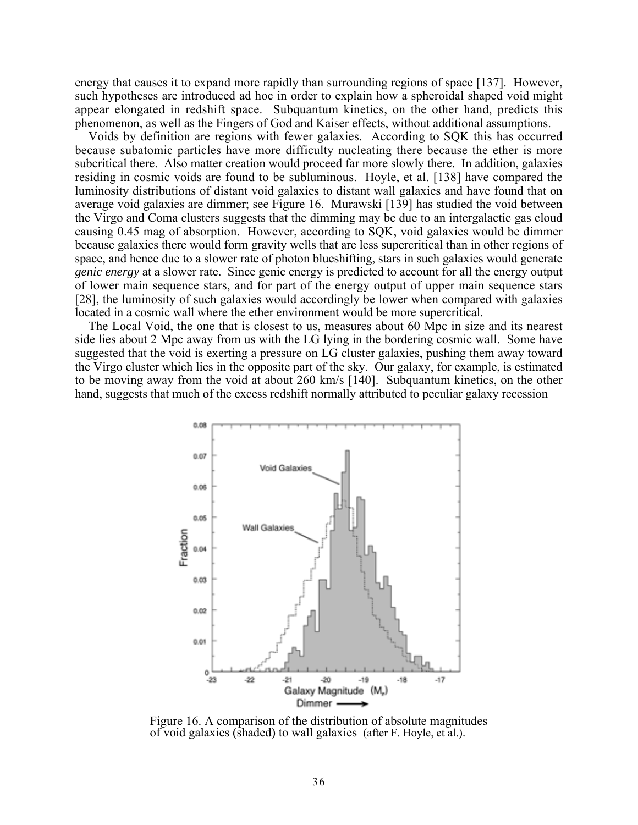energy that causes it to expand more rapidly than surrounding regions of space [137]. However, such hypotheses are introduced ad hoc in order to explain how a spheroidal shaped void might appear elongated in redshift space. Subquantum kinetics, on the other hand, predicts this phenomenon, as well as the Fingers of God and Kaiser effects, without additional assumptions.

Voids by definition are regions with fewer galaxies. According to SQK this has occurred because subatomic particles have more difficulty nucleating there because the ether is more subcritical there. Also matter creation would proceed far more slowly there. In addition, galaxies residing in cosmic voids are found to be subluminous. Hoyle, et al. [138] have compared the luminosity distributions of distant void galaxies to distant wall galaxies and have found that on average void galaxies are dimmer; see Figure 16. Murawski [139] has studied the void between the Virgo and Coma clusters suggests that the dimming may be due to an intergalactic gas cloud causing 0.45 mag of absorption. However, according to SQK, void galaxies would be dimmer because galaxies there would form gravity wells that are less supercritical than in other regions of space, and hence due to a slower rate of photon blueshifting, stars in such galaxies would generate *genic energy* at a slower rate. Since genic energy is predicted to account for all the energy output of lower main sequence stars, and for part of the energy output of upper main sequence stars [28], the luminosity of such galaxies would accordingly be lower when compared with galaxies located in a cosmic wall where the ether environment would be more supercritical.

The Local Void, the one that is closest to us, measures about 60 Mpc in size and its nearest side lies about 2 Mpc away from us with the LG lying in the bordering cosmic wall. Some have suggested that the void is exerting a pressure on LG cluster galaxies, pushing them away toward the Virgo cluster which lies in the opposite part of the sky. Our galaxy, for example, is estimated to be moving away from the void at about 260 km/s [140]. Subquantum kinetics, on the other hand, suggests that much of the excess redshift normally attributed to peculiar galaxy recession



Figure 16. A comparison of the distribution of absolute magnitudes of void galaxies (shaded) to wall galaxies (after F. Hoyle, et al.).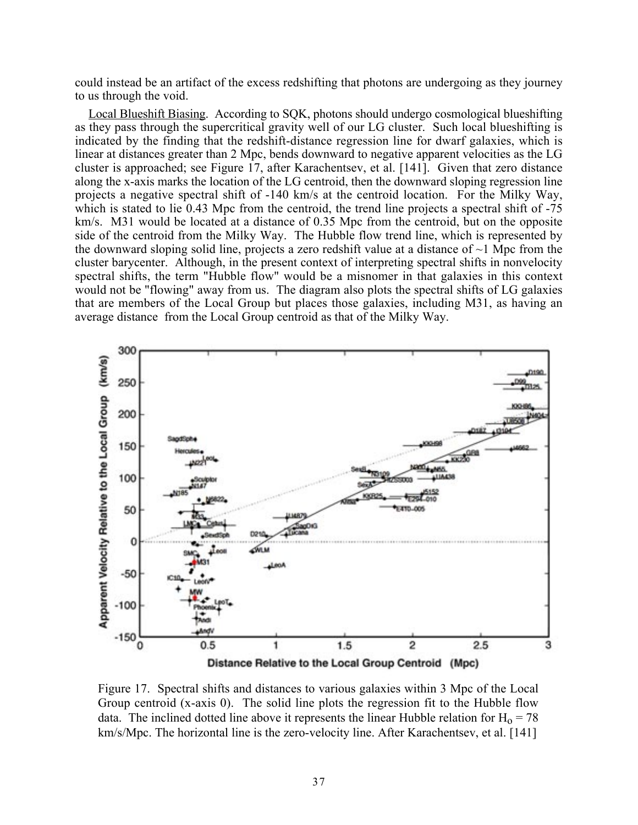could instead be an artifact of the excess redshifting that photons are undergoing as they journey to us through the void.

Local Blueshift Biasing. According to SQK, photons should undergo cosmological blueshifting as they pass through the supercritical gravity well of our LG cluster. Such local blueshifting is indicated by the finding that the redshift-distance regression line for dwarf galaxies, which is linear at distances greater than 2 Mpc, bends downward to negative apparent velocities as the LG cluster is approached; see Figure 17, after Karachentsev, et al. [141]. Given that zero distance along the x-axis marks the location of the LG centroid, then the downward sloping regression line projects a negative spectral shift of -140 km/s at the centroid location. For the Milky Way, which is stated to lie 0.43 Mpc from the centroid, the trend line projects a spectral shift of -75 km/s. M31 would be located at a distance of 0.35 Mpc from the centroid, but on the opposite side of the centroid from the Milky Way. The Hubble flow trend line, which is represented by the downward sloping solid line, projects a zero redshift value at a distance of  $\sim$ 1 Mpc from the cluster barycenter. Although, in the present context of interpreting spectral shifts in nonvelocity spectral shifts, the term "Hubble flow" would be a misnomer in that galaxies in this context would not be "flowing" away from us. The diagram also plots the spectral shifts of LG galaxies that are members of the Local Group but places those galaxies, including M31, as having an average distance from the Local Group centroid as that of the Milky Way.



Figure 17. Spectral shifts and distances to various galaxies within 3 Mpc of the Local Group centroid (x-axis 0). The solid line plots the regression fit to the Hubble flow data. The inclined dotted line above it represents the linear Hubble relation for  $H_0 = 78$ km/s/Mpc. The horizontal line is the zero-velocity line. After Karachentsev, et al. [141]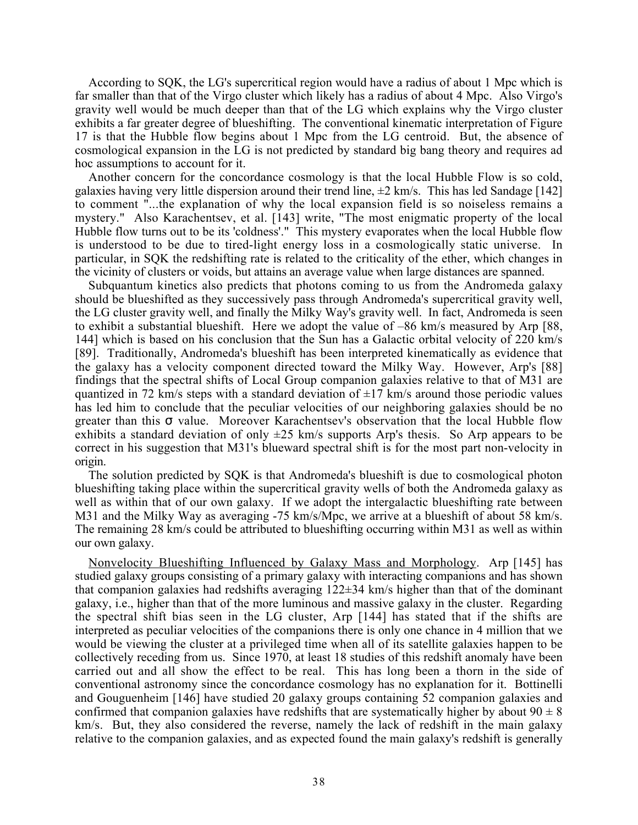According to SQK, the LG's supercritical region would have a radius of about 1 Mpc which is far smaller than that of the Virgo cluster which likely has a radius of about 4 Mpc. Also Virgo's gravity well would be much deeper than that of the LG which explains why the Virgo cluster exhibits a far greater degree of blueshifting. The conventional kinematic interpretation of Figure 17 is that the Hubble flow begins about 1 Mpc from the LG centroid. But, the absence of cosmological expansion in the LG is not predicted by standard big bang theory and requires ad hoc assumptions to account for it.

Another concern for the concordance cosmology is that the local Hubble Flow is so cold, galaxies having very little dispersion around their trend line,  $\pm 2$  km/s. This has led Sandage [142] to comment "...the explanation of why the local expansion field is so noiseless remains a mystery." Also Karachentsev, et al. [143] write, "The most enigmatic property of the local Hubble flow turns out to be its 'coldness'." This mystery evaporates when the local Hubble flow is understood to be due to tired-light energy loss in a cosmologically static universe. In particular, in SQK the redshifting rate is related to the criticality of the ether, which changes in the vicinity of clusters or voids, but attains an average value when large distances are spanned.

Subquantum kinetics also predicts that photons coming to us from the Andromeda galaxy should be blueshifted as they successively pass through Andromeda's supercritical gravity well, the LG cluster gravity well, and finally the Milky Way's gravity well. In fact, Andromeda is seen to exhibit a substantial blueshift. Here we adopt the value of –86 km/s measured by Arp [88, 144] which is based on his conclusion that the Sun has a Galactic orbital velocity of 220 km/s [89]. Traditionally, Andromeda's blueshift has been interpreted kinematically as evidence that the galaxy has a velocity component directed toward the Milky Way. However, Arp's [88] findings that the spectral shifts of Local Group companion galaxies relative to that of M31 are quantized in 72 km/s steps with a standard deviation of  $\pm$ 17 km/s around those periodic values has led him to conclude that the peculiar velocities of our neighboring galaxies should be no greater than this  $\sigma$  value. Moreover Karachentsev's observation that the local Hubble flow exhibits a standard deviation of only  $\pm 25$  km/s supports Arp's thesis. So Arp appears to be correct in his suggestion that M31's blueward spectral shift is for the most part non-velocity in origin.

The solution predicted by SQK is that Andromeda's blueshift is due to cosmological photon blueshifting taking place within the supercritical gravity wells of both the Andromeda galaxy as well as within that of our own galaxy. If we adopt the intergalactic blueshifting rate between M31 and the Milky Way as averaging -75 km/s/Mpc, we arrive at a blueshift of about 58 km/s. The remaining 28 km/s could be attributed to blueshifting occurring within M31 as well as within our own galaxy.

Nonvelocity Blueshifting Influenced by Galaxy Mass and Morphology. Arp [145] has studied galaxy groups consisting of a primary galaxy with interacting companions and has shown that companion galaxies had redshifts averaging 122±34 km/s higher than that of the dominant galaxy, i.e., higher than that of the more luminous and massive galaxy in the cluster. Regarding the spectral shift bias seen in the LG cluster, Arp [144] has stated that if the shifts are interpreted as peculiar velocities of the companions there is only one chance in 4 million that we would be viewing the cluster at a privileged time when all of its satellite galaxies happen to be collectively receding from us. Since 1970, at least 18 studies of this redshift anomaly have been carried out and all show the effect to be real. This has long been a thorn in the side of conventional astronomy since the concordance cosmology has no explanation for it. Bottinelli and Gouguenheim [146] have studied 20 galaxy groups containing 52 companion galaxies and confirmed that companion galaxies have redshifts that are systematically higher by about  $90 \pm 8$ km/s. But, they also considered the reverse, namely the lack of redshift in the main galaxy relative to the companion galaxies, and as expected found the main galaxy's redshift is generally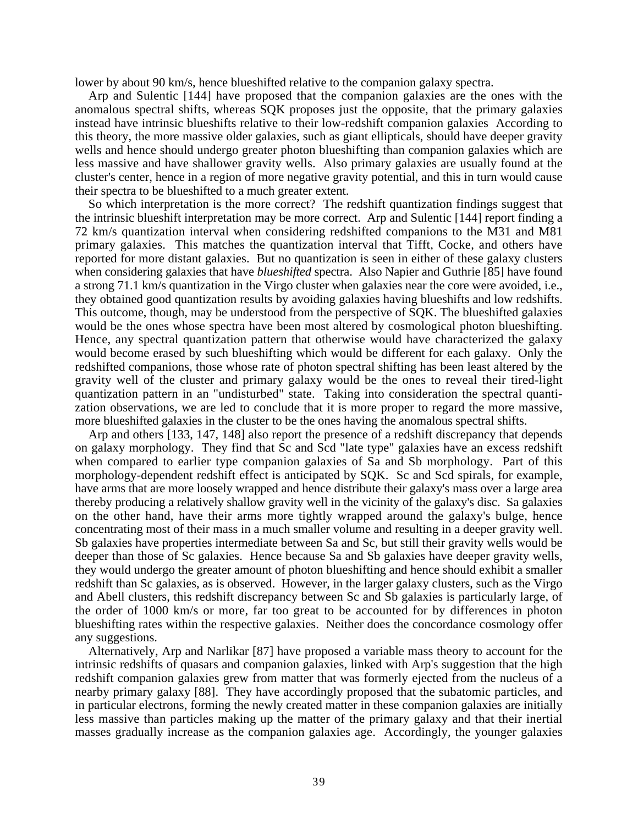lower by about 90 km/s, hence blueshifted relative to the companion galaxy spectra.

Arp and Sulentic [144] have proposed that the companion galaxies are the ones with the anomalous spectral shifts, whereas SQK proposes just the opposite, that the primary galaxies instead have intrinsic blueshifts relative to their low-redshift companion galaxies According to this theory, the more massive older galaxies, such as giant ellipticals, should have deeper gravity wells and hence should undergo greater photon blueshifting than companion galaxies which are less massive and have shallower gravity wells. Also primary galaxies are usually found at the cluster's center, hence in a region of more negative gravity potential, and this in turn would cause their spectra to be blueshifted to a much greater extent.

So which interpretation is the more correct? The redshift quantization findings suggest that the intrinsic blueshift interpretation may be more correct. Arp and Sulentic [144] report finding a 72 km/s quantization interval when considering redshifted companions to the M31 and M81 primary galaxies. This matches the quantization interval that Tifft, Cocke, and others have reported for more distant galaxies. But no quantization is seen in either of these galaxy clusters when considering galaxies that have *blueshifted* spectra. Also Napier and Guthrie [85] have found a strong 71.1 km/s quantization in the Virgo cluster when galaxies near the core were avoided, i.e., they obtained good quantization results by avoiding galaxies having blueshifts and low redshifts. This outcome, though, may be understood from the perspective of SQK. The blueshifted galaxies would be the ones whose spectra have been most altered by cosmological photon blueshifting. Hence, any spectral quantization pattern that otherwise would have characterized the galaxy would become erased by such blueshifting which would be different for each galaxy. Only the redshifted companions, those whose rate of photon spectral shifting has been least altered by the gravity well of the cluster and primary galaxy would be the ones to reveal their tired-light quantization pattern in an "undisturbed" state. Taking into consideration the spectral quantization observations, we are led to conclude that it is more proper to regard the more massive, more blueshifted galaxies in the cluster to be the ones having the anomalous spectral shifts.

Arp and others [133, 147, 148] also report the presence of a redshift discrepancy that depends on galaxy morphology. They find that Sc and Scd "late type" galaxies have an excess redshift when compared to earlier type companion galaxies of Sa and Sb morphology. Part of this morphology-dependent redshift effect is anticipated by SQK. Sc and Scd spirals, for example, have arms that are more loosely wrapped and hence distribute their galaxy's mass over a large area thereby producing a relatively shallow gravity well in the vicinity of the galaxy's disc. Sa galaxies on the other hand, have their arms more tightly wrapped around the galaxy's bulge, hence concentrating most of their mass in a much smaller volume and resulting in a deeper gravity well. Sb galaxies have properties intermediate between Sa and Sc, but still their gravity wells would be deeper than those of Sc galaxies. Hence because Sa and Sb galaxies have deeper gravity wells, they would undergo the greater amount of photon blueshifting and hence should exhibit a smaller redshift than Sc galaxies, as is observed. However, in the larger galaxy clusters, such as the Virgo and Abell clusters, this redshift discrepancy between Sc and Sb galaxies is particularly large, of the order of 1000 km/s or more, far too great to be accounted for by differences in photon blueshifting rates within the respective galaxies. Neither does the concordance cosmology offer any suggestions.

Alternatively, Arp and Narlikar [87] have proposed a variable mass theory to account for the intrinsic redshifts of quasars and companion galaxies, linked with Arp's suggestion that the high redshift companion galaxies grew from matter that was formerly ejected from the nucleus of a nearby primary galaxy [88]. They have accordingly proposed that the subatomic particles, and in particular electrons, forming the newly created matter in these companion galaxies are initially less massive than particles making up the matter of the primary galaxy and that their inertial masses gradually increase as the companion galaxies age. Accordingly, the younger galaxies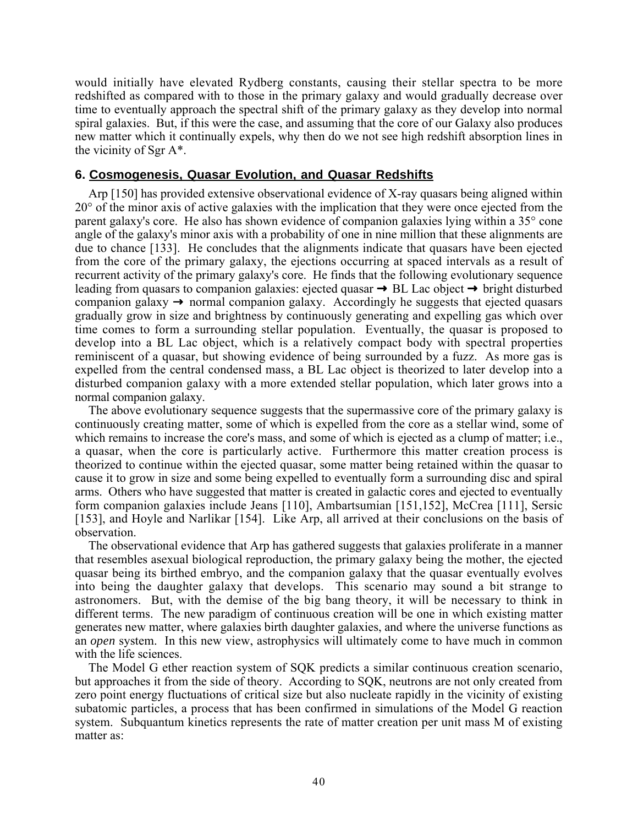would initially have elevated Rydberg constants, causing their stellar spectra to be more redshifted as compared with to those in the primary galaxy and would gradually decrease over time to eventually approach the spectral shift of the primary galaxy as they develop into normal spiral galaxies. But, if this were the case, and assuming that the core of our Galaxy also produces new matter which it continually expels, why then do we not see high redshift absorption lines in the vicinity of Sgr A\*.

## **6. Cosmogenesis, Quasar Evolution, and Quasar Redshifts**

Arp [150] has provided extensive observational evidence of X-ray quasars being aligned within 20° of the minor axis of active galaxies with the implication that they were once ejected from the parent galaxy's core. He also has shown evidence of companion galaxies lying within a 35° cone angle of the galaxy's minor axis with a probability of one in nine million that these alignments are due to chance [133]. He concludes that the alignments indicate that quasars have been ejected from the core of the primary galaxy, the ejections occurring at spaced intervals as a result of recurrent activity of the primary galaxy's core. He finds that the following evolutionary sequence leading from quasars to companion galaxies: ejected quasar → BL Lac object → bright disturbed companion galaxy → normal companion galaxy. Accordingly he suggests that ejected quasars gradually grow in size and brightness by continuously generating and expelling gas which over time comes to form a surrounding stellar population. Eventually, the quasar is proposed to develop into a BL Lac object, which is a relatively compact body with spectral properties reminiscent of a quasar, but showing evidence of being surrounded by a fuzz. As more gas is expelled from the central condensed mass, a BL Lac object is theorized to later develop into a disturbed companion galaxy with a more extended stellar population, which later grows into a normal companion galaxy.

The above evolutionary sequence suggests that the supermassive core of the primary galaxy is continuously creating matter, some of which is expelled from the core as a stellar wind, some of which remains to increase the core's mass, and some of which is ejected as a clump of matter; i.e., a quasar, when the core is particularly active. Furthermore this matter creation process is theorized to continue within the ejected quasar, some matter being retained within the quasar to cause it to grow in size and some being expelled to eventually form a surrounding disc and spiral arms. Others who have suggested that matter is created in galactic cores and ejected to eventually form companion galaxies include Jeans [110], Ambartsumian [151,152], McCrea [111], Sersic [153], and Hoyle and Narlikar [154]. Like Arp, all arrived at their conclusions on the basis of observation.

The observational evidence that Arp has gathered suggests that galaxies proliferate in a manner that resembles asexual biological reproduction, the primary galaxy being the mother, the ejected quasar being its birthed embryo, and the companion galaxy that the quasar eventually evolves into being the daughter galaxy that develops. This scenario may sound a bit strange to astronomers. But, with the demise of the big bang theory, it will be necessary to think in different terms. The new paradigm of continuous creation will be one in which existing matter generates new matter, where galaxies birth daughter galaxies, and where the universe functions as an *open* system. In this new view, astrophysics will ultimately come to have much in common with the life sciences.

The Model G ether reaction system of SQK predicts a similar continuous creation scenario, but approaches it from the side of theory. According to SQK, neutrons are not only created from zero point energy fluctuations of critical size but also nucleate rapidly in the vicinity of existing subatomic particles, a process that has been confirmed in simulations of the Model G reaction system. Subquantum kinetics represents the rate of matter creation per unit mass M of existing matter as: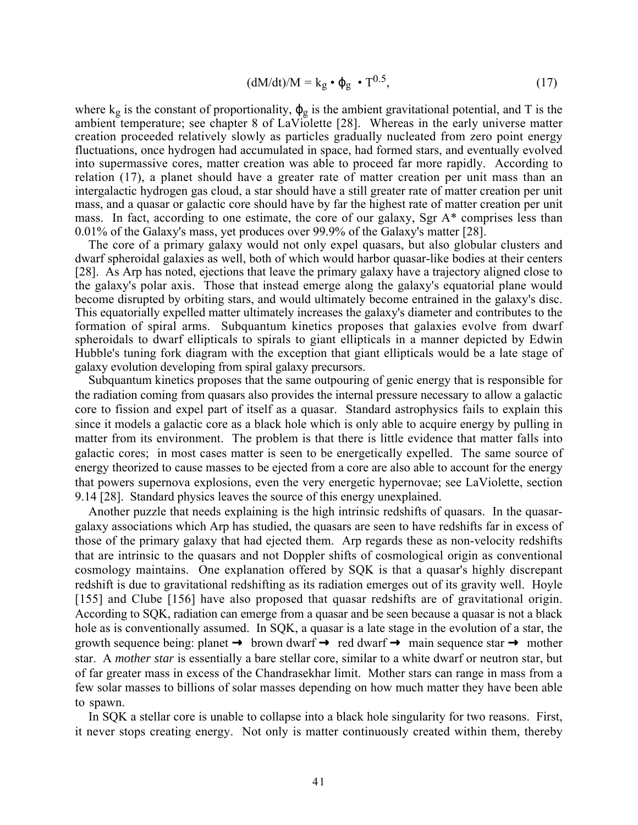$$
(dM/dt)/M = k_g \bullet \phi_g \bullet T^{0.5}, \qquad (17)
$$

where  $k_g$  is the constant of proportionality,  $\varphi_g$  is the ambient gravitational potential, and T is the ambient temperature; see chapter 8 of LaViolette [28]. Whereas in the early universe matter creation proceeded relatively slowly as particles gradually nucleated from zero point energy fluctuations, once hydrogen had accumulated in space, had formed stars, and eventually evolved into supermassive cores, matter creation was able to proceed far more rapidly. According to relation (17), a planet should have a greater rate of matter creation per unit mass than an intergalactic hydrogen gas cloud, a star should have a still greater rate of matter creation per unit mass, and a quasar or galactic core should have by far the highest rate of matter creation per unit mass. In fact, according to one estimate, the core of our galaxy, Sgr A\* comprises less than 0.01% of the Galaxy's mass, yet produces over 99.9% of the Galaxy's matter [28].

The core of a primary galaxy would not only expel quasars, but also globular clusters and dwarf spheroidal galaxies as well, both of which would harbor quasar-like bodies at their centers [28]. As Arp has noted, ejections that leave the primary galaxy have a trajectory aligned close to the galaxy's polar axis. Those that instead emerge along the galaxy's equatorial plane would become disrupted by orbiting stars, and would ultimately become entrained in the galaxy's disc. This equatorially expelled matter ultimately increases the galaxy's diameter and contributes to the formation of spiral arms. Subquantum kinetics proposes that galaxies evolve from dwarf spheroidals to dwarf ellipticals to spirals to giant ellipticals in a manner depicted by Edwin Hubble's tuning fork diagram with the exception that giant ellipticals would be a late stage of galaxy evolution developing from spiral galaxy precursors.

Subquantum kinetics proposes that the same outpouring of genic energy that is responsible for the radiation coming from quasars also provides the internal pressure necessary to allow a galactic core to fission and expel part of itself as a quasar. Standard astrophysics fails to explain this since it models a galactic core as a black hole which is only able to acquire energy by pulling in matter from its environment. The problem is that there is little evidence that matter falls into galactic cores; in most cases matter is seen to be energetically expelled. The same source of energy theorized to cause masses to be ejected from a core are also able to account for the energy that powers supernova explosions, even the very energetic hypernovae; see LaViolette, section 9.14 [28]. Standard physics leaves the source of this energy unexplained.

Another puzzle that needs explaining is the high intrinsic redshifts of quasars. In the quasargalaxy associations which Arp has studied, the quasars are seen to have redshifts far in excess of those of the primary galaxy that had ejected them. Arp regards these as non-velocity redshifts that are intrinsic to the quasars and not Doppler shifts of cosmological origin as conventional cosmology maintains. One explanation offered by SQK is that a quasar's highly discrepant redshift is due to gravitational redshifting as its radiation emerges out of its gravity well. Hoyle [155] and Clube [156] have also proposed that quasar redshifts are of gravitational origin. According to SQK, radiation can emerge from a quasar and be seen because a quasar is not a black hole as is conventionally assumed. In SQK, a quasar is a late stage in the evolution of a star, the growth sequence being: planet  $\rightarrow$  brown dwarf  $\rightarrow$  red dwarf  $\rightarrow$  main sequence star  $\rightarrow$  mother star. A *mother star* is essentially a bare stellar core, similar to a white dwarf or neutron star, but of far greater mass in excess of the Chandrasekhar limit. Mother stars can range in mass from a few solar masses to billions of solar masses depending on how much matter they have been able to spawn.

In SQK a stellar core is unable to collapse into a black hole singularity for two reasons. First, it never stops creating energy. Not only is matter continuously created within them, thereby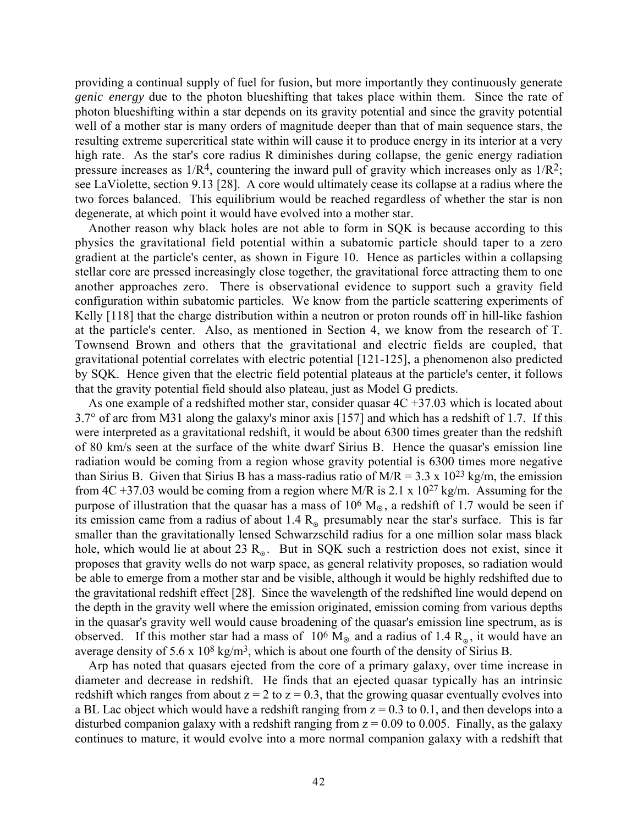providing a continual supply of fuel for fusion, but more importantly they continuously generate *genic energy* due to the photon blueshifting that takes place within them. Since the rate of photon blueshifting within a star depends on its gravity potential and since the gravity potential well of a mother star is many orders of magnitude deeper than that of main sequence stars, the resulting extreme supercritical state within will cause it to produce energy in its interior at a very high rate. As the star's core radius R diminishes during collapse, the genic energy radiation pressure increases as  $1/R<sup>4</sup>$ , countering the inward pull of gravity which increases only as  $1/R<sup>2</sup>$ ; see LaViolette, section 9.13 [28]. A core would ultimately cease its collapse at a radius where the two forces balanced. This equilibrium would be reached regardless of whether the star is non degenerate, at which point it would have evolved into a mother star.

Another reason why black holes are not able to form in SQK is because according to this physics the gravitational field potential within a subatomic particle should taper to a zero gradient at the particle's center, as shown in Figure 10. Hence as particles within a collapsing stellar core are pressed increasingly close together, the gravitational force attracting them to one another approaches zero. There is observational evidence to support such a gravity field configuration within subatomic particles. We know from the particle scattering experiments of Kelly [118] that the charge distribution within a neutron or proton rounds off in hill-like fashion at the particle's center. Also, as mentioned in Section 4, we know from the research of T. Townsend Brown and others that the gravitational and electric fields are coupled, that gravitational potential correlates with electric potential [121-125], a phenomenon also predicted by SQK. Hence given that the electric field potential plateaus at the particle's center, it follows that the gravity potential field should also plateau, just as Model G predicts.

As one example of a redshifted mother star, consider quasar  $4C + 37.03$  which is located about 3.7° of arc from M31 along the galaxy's minor axis [157] and which has a redshift of 1.7. If this were interpreted as a gravitational redshift, it would be about 6300 times greater than the redshift of 80 km/s seen at the surface of the white dwarf Sirius B. Hence the quasar's emission line radiation would be coming from a region whose gravity potential is 6300 times more negative than Sirius B. Given that Sirius B has a mass-radius ratio of  $M/R = 3.3 \times 10^{23}$  kg/m, the emission from 4C +37.03 would be coming from a region where M/R is 2.1 x  $10^{27}$  kg/m. Assuming for the purpose of illustration that the quasar has a mass of  $10^6$  M<sub> $\odot$ </sub>, a redshift of 1.7 would be seen if its emission came from a radius of about 1.4  $R_{\odot}$  presumably near the star's surface. This is far smaller than the gravitationally lensed Schwarzschild radius for a one million solar mass black hole, which would lie at about 23  $R_{\odot}$ . But in SQK such a restriction does not exist, since it proposes that gravity wells do not warp space, as general relativity proposes, so radiation would be able to emerge from a mother star and be visible, although it would be highly redshifted due to the gravitational redshift effect [28]. Since the wavelength of the redshifted line would depend on the depth in the gravity well where the emission originated, emission coming from various depths in the quasar's gravity well would cause broadening of the quasar's emission line spectrum, as is observed. If this mother star had a mass of 10<sup>6</sup> M<sub>o</sub> and a radius of 1.4 R<sub>o</sub>, it would have an average density of 5.6 x  $10^8$  kg/m<sup>3</sup>, which is about one fourth of the density of Sirius B.

Arp has noted that quasars ejected from the core of a primary galaxy, over time increase in diameter and decrease in redshift. He finds that an ejected quasar typically has an intrinsic redshift which ranges from about  $z = 2$  to  $z = 0.3$ , that the growing quasar eventually evolves into a BL Lac object which would have a redshift ranging from  $z = 0.3$  to 0.1, and then develops into a disturbed companion galaxy with a redshift ranging from  $z = 0.09$  to 0.005. Finally, as the galaxy continues to mature, it would evolve into a more normal companion galaxy with a redshift that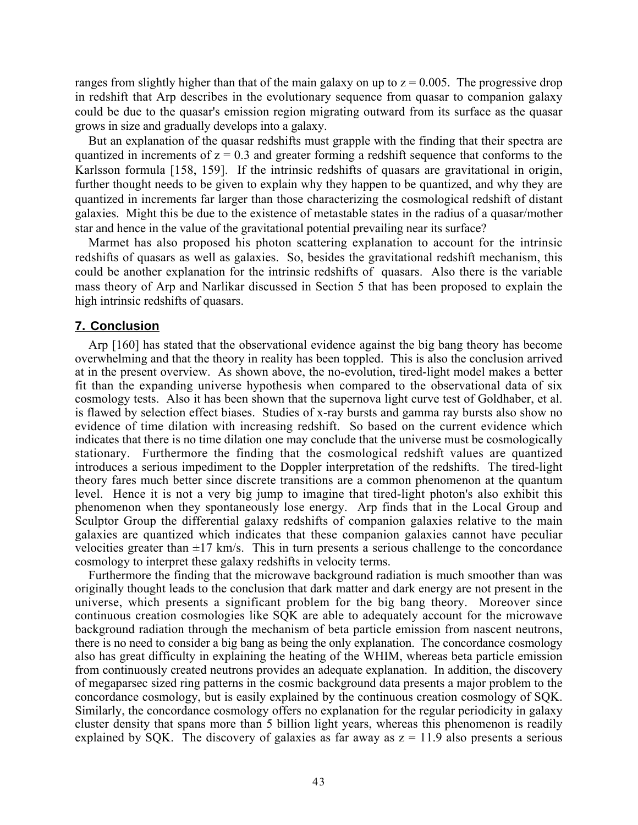ranges from slightly higher than that of the main galaxy on up to  $z = 0.005$ . The progressive drop in redshift that Arp describes in the evolutionary sequence from quasar to companion galaxy could be due to the quasar's emission region migrating outward from its surface as the quasar grows in size and gradually develops into a galaxy.

But an explanation of the quasar redshifts must grapple with the finding that their spectra are quantized in increments of  $z = 0.3$  and greater forming a redshift sequence that conforms to the Karlsson formula [158, 159]. If the intrinsic redshifts of quasars are gravitational in origin, further thought needs to be given to explain why they happen to be quantized, and why they are quantized in increments far larger than those characterizing the cosmological redshift of distant galaxies. Might this be due to the existence of metastable states in the radius of a quasar/mother star and hence in the value of the gravitational potential prevailing near its surface?

Marmet has also proposed his photon scattering explanation to account for the intrinsic redshifts of quasars as well as galaxies. So, besides the gravitational redshift mechanism, this could be another explanation for the intrinsic redshifts of quasars. Also there is the variable mass theory of Arp and Narlikar discussed in Section 5 that has been proposed to explain the high intrinsic redshifts of quasars.

# **7. Conclusion**

Arp [160] has stated that the observational evidence against the big bang theory has become overwhelming and that the theory in reality has been toppled. This is also the conclusion arrived at in the present overview. As shown above, the no-evolution, tired-light model makes a better fit than the expanding universe hypothesis when compared to the observational data of six cosmology tests. Also it has been shown that the supernova light curve test of Goldhaber, et al. is flawed by selection effect biases. Studies of x-ray bursts and gamma ray bursts also show no evidence of time dilation with increasing redshift. So based on the current evidence which indicates that there is no time dilation one may conclude that the universe must be cosmologically stationary. Furthermore the finding that the cosmological redshift values are quantized introduces a serious impediment to the Doppler interpretation of the redshifts. The tired-light theory fares much better since discrete transitions are a common phenomenon at the quantum level. Hence it is not a very big jump to imagine that tired-light photon's also exhibit this phenomenon when they spontaneously lose energy. Arp finds that in the Local Group and Sculptor Group the differential galaxy redshifts of companion galaxies relative to the main galaxies are quantized which indicates that these companion galaxies cannot have peculiar velocities greater than  $\pm 17$  km/s. This in turn presents a serious challenge to the concordance cosmology to interpret these galaxy redshifts in velocity terms.

Furthermore the finding that the microwave background radiation is much smoother than was originally thought leads to the conclusion that dark matter and dark energy are not present in the universe, which presents a significant problem for the big bang theory. Moreover since continuous creation cosmologies like SQK are able to adequately account for the microwave background radiation through the mechanism of beta particle emission from nascent neutrons, there is no need to consider a big bang as being the only explanation. The concordance cosmology also has great difficulty in explaining the heating of the WHIM, whereas beta particle emission from continuously created neutrons provides an adequate explanation. In addition, the discovery of megaparsec sized ring patterns in the cosmic background data presents a major problem to the concordance cosmology, but is easily explained by the continuous creation cosmology of SQK. Similarly, the concordance cosmology offers no explanation for the regular periodicity in galaxy cluster density that spans more than 5 billion light years, whereas this phenomenon is readily explained by SQK. The discovery of galaxies as far away as  $z = 11.9$  also presents a serious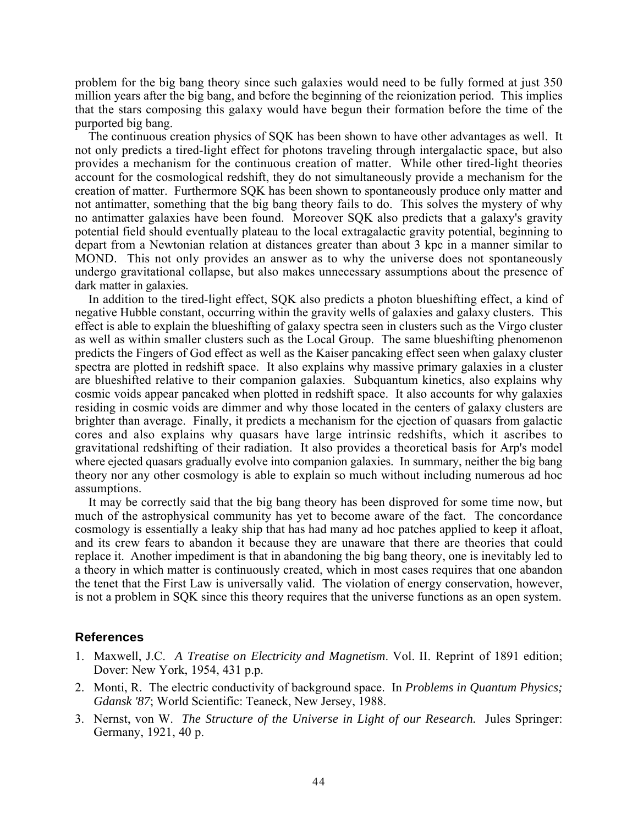problem for the big bang theory since such galaxies would need to be fully formed at just 350 million years after the big bang, and before the beginning of the reionization period. This implies that the stars composing this galaxy would have begun their formation before the time of the purported big bang.

The continuous creation physics of SQK has been shown to have other advantages as well. It not only predicts a tired-light effect for photons traveling through intergalactic space, but also provides a mechanism for the continuous creation of matter. While other tired-light theories account for the cosmological redshift, they do not simultaneously provide a mechanism for the creation of matter. Furthermore SQK has been shown to spontaneously produce only matter and not antimatter, something that the big bang theory fails to do. This solves the mystery of why no antimatter galaxies have been found. Moreover SQK also predicts that a galaxy's gravity potential field should eventually plateau to the local extragalactic gravity potential, beginning to depart from a Newtonian relation at distances greater than about 3 kpc in a manner similar to MOND. This not only provides an answer as to why the universe does not spontaneously undergo gravitational collapse, but also makes unnecessary assumptions about the presence of dark matter in galaxies.

In addition to the tired-light effect, SQK also predicts a photon blueshifting effect, a kind of negative Hubble constant, occurring within the gravity wells of galaxies and galaxy clusters. This effect is able to explain the blueshifting of galaxy spectra seen in clusters such as the Virgo cluster as well as within smaller clusters such as the Local Group. The same blueshifting phenomenon predicts the Fingers of God effect as well as the Kaiser pancaking effect seen when galaxy cluster spectra are plotted in redshift space. It also explains why massive primary galaxies in a cluster are blueshifted relative to their companion galaxies. Subquantum kinetics, also explains why cosmic voids appear pancaked when plotted in redshift space. It also accounts for why galaxies residing in cosmic voids are dimmer and why those located in the centers of galaxy clusters are brighter than average. Finally, it predicts a mechanism for the ejection of quasars from galactic cores and also explains why quasars have large intrinsic redshifts, which it ascribes to gravitational redshifting of their radiation. It also provides a theoretical basis for Arp's model where ejected quasars gradually evolve into companion galaxies. In summary, neither the big bang theory nor any other cosmology is able to explain so much without including numerous ad hoc assumptions.

It may be correctly said that the big bang theory has been disproved for some time now, but much of the astrophysical community has yet to become aware of the fact. The concordance cosmology is essentially a leaky ship that has had many ad hoc patches applied to keep it afloat, and its crew fears to abandon it because they are unaware that there are theories that could replace it. Another impediment is that in abandoning the big bang theory, one is inevitably led to a theory in which matter is continuously created, which in most cases requires that one abandon the tenet that the First Law is universally valid. The violation of energy conservation, however, is not a problem in SQK since this theory requires that the universe functions as an open system.

#### **References**

- 1. Maxwell, J.C. *A Treatise on Electricity and Magnetism*. Vol. II. Reprint of 1891 edition; Dover: New York, 1954, 431 p.p.
- 2. Monti, R. The electric conductivity of background space. In *Problems in Quantum Physics; Gdansk '87*; World Scientific: Teaneck, New Jersey, 1988.
- 3. Nernst, von W. *The Structure of the Universe in Light of our Research.* Jules Springer: Germany, 1921, 40 p.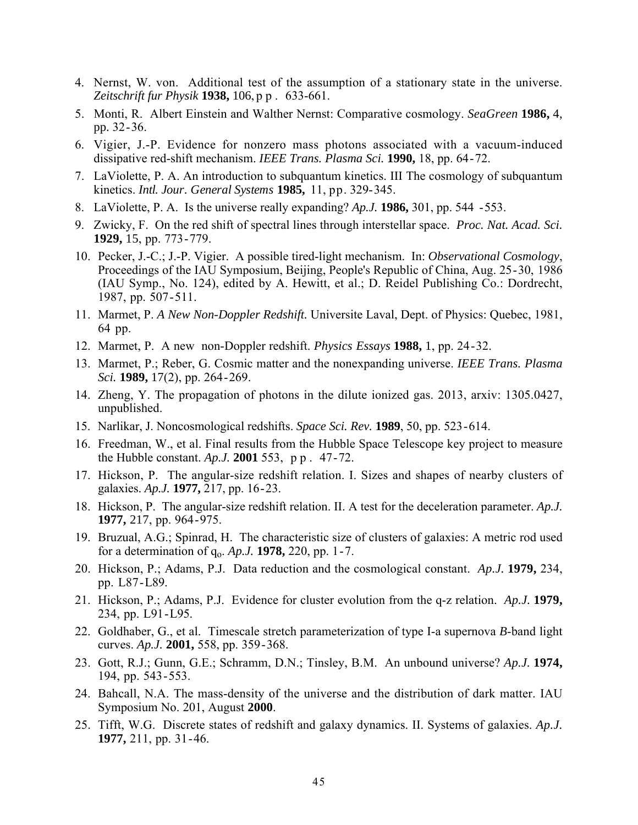- 4. Nernst, W. von. Additional test of the assumption of a stationary state in the universe. *Zeitschrift fur Physik* **1938,** 106, p p . 633-661.
- 5. Monti, R. Albert Einstein and Walther Nernst: Comparative cosmology. *SeaGreen* **1986,** 4, pp. 32-36.
- 6. Vigier, J.-P. Evidence for nonzero mass photons associated with a vacuum-induced dissipative red-shift mechanism. *IEEE Trans. Plasma Sci.* **1990,** 18, pp. 64-72.
- 7. LaViolette, P. A. An introduction to subquantum kinetics. III The cosmology of subquantum kinetics. *Intl. Jour. General Systems* **1985,** 11, pp. 329-345.
- 8. LaViolette, P. A. Is the universe really expanding? *Ap.J.* **1986,** 301, pp. 544 -553.
- 9. Zwicky, F. On the red shift of spectral lines through interstellar space. *Proc. Nat. Acad. Sci.* **1929,** 15, pp. 773-779.
- 10. Pecker, J.-C.; J.-P. Vigier. A possible tired-light mechanism. In: *Observational Cosmology*, Proceedings of the IAU Symposium, Beijing, People's Republic of China, Aug. 25-30, 1986 (IAU Symp., No. 124), edited by A. Hewitt, et al.; D. Reidel Publishing Co.: Dordrecht, 1987, pp. 507-511.
- 11. Marmet, P. *A New Non-Doppler Redshift.* Universite Laval, Dept. of Physics: Quebec, 1981, 64 pp.
- 12. Marmet, P. A new non-Doppler redshift. *Physics Essays* **1988,** 1, pp. 24-32.
- 13. Marmet, P.; Reber, G. Cosmic matter and the nonexpanding universe. *IEEE Trans. Plasma Sci.* **1989,** 17(2), pp. 264-269.
- 14. Zheng, Y. The propagation of photons in the dilute ionized gas. 2013, arxiv: 1305.0427, unpublished.
- 15. Narlikar, J. Noncosmological redshifts. *Space Sci. Rev.* **1989**, 50, pp. 523-614.
- 16. Freedman, W., et al. Final results from the Hubble Space Telescope key project to measure the Hubble constant. *Ap.J.* **2001** 553, p p . 47-72.
- 17. Hickson, P. The angular-size redshift relation. I. Sizes and shapes of nearby clusters of galaxies. *Ap.J.* **1977,** 217, pp. 16-23.
- 18. Hickson, P. The angular-size redshift relation. II. A test for the deceleration parameter. *Ap.J.* **1977,** 217, pp. 964-975.
- 19. Bruzual, A.G.; Spinrad, H. The characteristic size of clusters of galaxies: A metric rod used for a determination of  $q_0$ . *Ap.J.* **1978**, 220, pp. 1-7.
- 20. Hickson, P.; Adams, P.J. Data reduction and the cosmological constant. *Ap.J.* **1979,** 234, pp. L87-L89.
- 21. Hickson, P.; Adams, P.J. Evidence for cluster evolution from the q-z relation. *Ap.J.* **1979,** 234, pp. L91-L95.
- 22. Goldhaber, G., et al. Timescale stretch parameterization of type I-a supernova *B*-band light curves. *Ap.J.* **2001,** 558, pp. 359-368.
- 23. Gott, R.J.; Gunn, G.E.; Schramm, D.N.; Tinsley, B.M. An unbound universe? *Ap.J.* **1974,** 194, pp. 543-553.
- 24. Bahcall, N.A. The mass-density of the universe and the distribution of dark matter. IAU Symposium No. 201, August **2000**.
- 25. Tifft, W.G. Discrete states of redshift and galaxy dynamics. II. Systems of galaxies. *Ap.J.* **1977,** 211, pp. 31-46.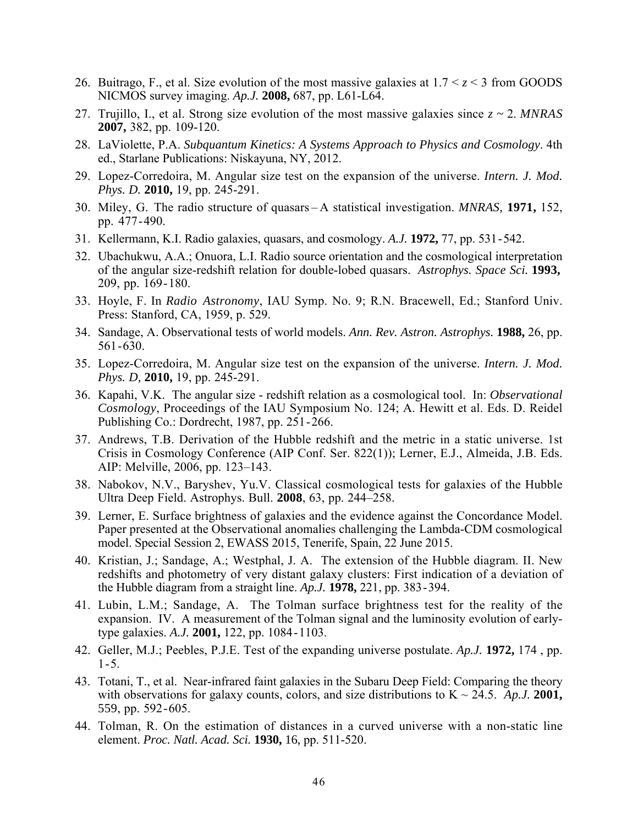- 26. Buitrago, F., et al. Size evolution of the most massive galaxies at 1.7 < *z* < 3 from GOODS NICMOS survey imaging. *Ap.J.* **2008,** 687, pp. L61-L64.
- 27. Trujillo, I., et al. Strong size evolution of the most massive galaxies since *z ~* 2. *MNRAS* **2007,** 382, pp. 109-120.
- 28. LaViolette, P.A. *Subquantum Kinetics: A Systems Approach to Physics and Cosmology*. 4th ed., Starlane Publications: Niskayuna, NY, 2012.
- 29. Lopez-Corredoira, M. Angular size test on the expansion of the universe. *Intern. J. Mod. Phys. D.* **2010,** 19, pp. 245-291.
- 30. Miley, G. The radio structure of quasars A statistical investigation. *MNRAS,* **1971,** 152, pp. 477-490.
- 31. Kellermann, K.I. Radio galaxies, quasars, and cosmology. *A.J.* **1972,** 77, pp. 531-542.
- 32. Ubachukwu, A.A.; Onuora, L.I. Radio source orientation and the cosmological interpretation of the angular size-redshift relation for double-lobed quasars. *Astrophys. Space Sci.* **1993,** 209, pp. 169-180.
- 33. Hoyle, F. In *Radio Astronomy*, IAU Symp. No. 9; R.N. Bracewell, Ed.; Stanford Univ. Press: Stanford, CA, 1959, p. 529.
- 34. Sandage, A. Observational tests of world models. *Ann. Rev. Astron. Astrophys.* **1988,** 26, pp. 561-630.
- 35. Lopez-Corredoira, M. Angular size test on the expansion of the universe. *Intern. J. Mod. Phys. D,* **2010,** 19, pp. 245-291.
- 36. Kapahi, V.K. The angular size redshift relation as a cosmological tool. In: *Observational Cosmology*, Proceedings of the IAU Symposium No. 124; A. Hewitt et al. Eds. D. Reidel Publishing Co.: Dordrecht, 1987, pp. 251-266.
- 37. Andrews, T.B. Derivation of the Hubble redshift and the metric in a static universe. 1st Crisis in Cosmology Conference (AIP Conf. Ser. 822(1)); Lerner, E.J., Almeida, J.B. Eds. AIP: Melville, 2006, pp. 123–143.
- 38. Nabokov, N.V., Baryshev, Yu.V. Classical cosmological tests for galaxies of the Hubble Ultra Deep Field. Astrophys. Bull. **2008**, 63, pp. 244–258.
- 39. Lerner, E. Surface brightness of galaxies and the evidence against the Concordance Model. Paper presented at the Observational anomalies challenging the Lambda-CDM cosmological model. Special Session 2, EWASS 2015, Tenerife, Spain, 22 June 2015.
- 40. Kristian, J.; Sandage, A.; Westphal, J. A. The extension of the Hubble diagram. II. New redshifts and photometry of very distant galaxy clusters: First indication of a deviation of the Hubble diagram from a straight line. *Ap.J.* **1978,** 221, pp. 383-394.
- 41. Lubin, L.M.; Sandage, A. The Tolman surface brightness test for the reality of the expansion. IV. A measurement of the Tolman signal and the luminosity evolution of earlytype galaxies. *A.J.* **2001,** 122, pp. 1084-1103.
- 42. Geller, M.J.; Peebles, P.J.E. Test of the expanding universe postulate. *Ap.J.* **1972,** 174 , pp.  $1 - 5$ .
- 43. Totani, T., et al. Near-infrared faint galaxies in the Subaru Deep Field: Comparing the theory with observations for galaxy counts, colors, and size distributions to  $K \sim 24.5$ . *Ap.J.* **2001**, 559, pp. 592-605.
- 44. Tolman, R. On the estimation of distances in a curved universe with a non-static line element. *Proc. Natl. Acad. Sci.* **1930,** 16, pp. 511-520.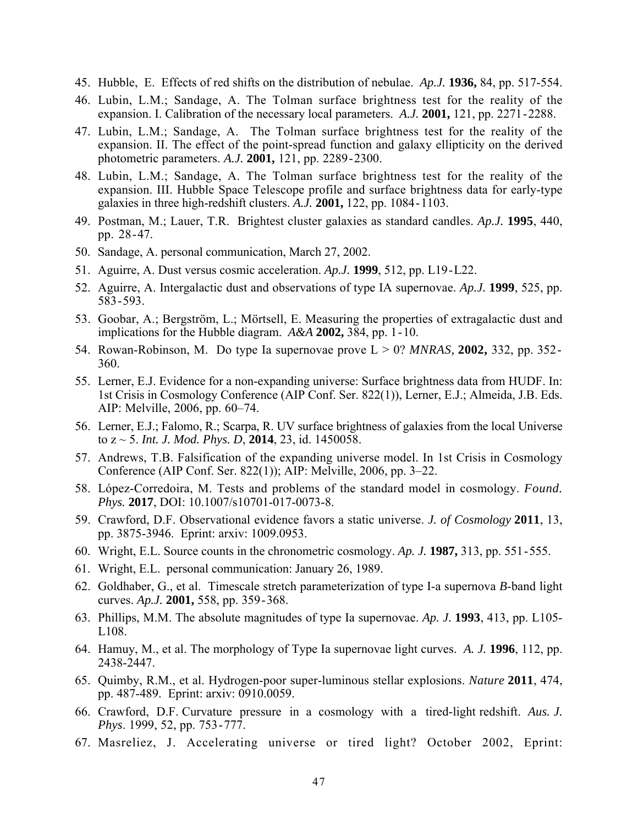- 45. Hubble, E. Effects of red shifts on the distribution of nebulae. *Ap.J.* **1936,** 84, pp. 517-554.
- 46. Lubin, L.M.; Sandage, A. The Tolman surface brightness test for the reality of the expansion. I. Calibration of the necessary local parameters. *A.J.* **2001,** 121, pp. 2271-2288.
- 47. Lubin, L.M.; Sandage, A. The Tolman surface brightness test for the reality of the expansion. II. The effect of the point-spread function and galaxy ellipticity on the derived photometric parameters. *A.J.* **2001,** 121, pp. 2289-2300.
- 48. Lubin, L.M.; Sandage, A. The Tolman surface brightness test for the reality of the expansion. III. Hubble Space Telescope profile and surface brightness data for early-type galaxies in three high-redshift clusters. *A.J.* **2001,** 122, pp. 1084-1103.
- 49. Postman, M.; Lauer, T.R. Brightest cluster galaxies as standard candles. *Ap.J.* **1995**, 440, pp. 28-47.
- 50. Sandage, A. personal communication, March 27, 2002.
- 51. Aguirre, A. Dust versus cosmic acceleration. *Ap.J.* **1999**, 512, pp. L19-L22.
- 52. Aguirre, A. Intergalactic dust and observations of type IA supernovae. *Ap.J.* **1999**, 525, pp. 583-593.
- 53. Goobar, A.; Bergström, L.; Mörtsell, E. Measuring the properties of extragalactic dust and implications for the Hubble diagram. *A&A* **2002,** 384, pp. 1-10.
- 54. Rowan-Robinson, M. Do type Ia supernovae prove L > 0? *MNRAS,* **2002,** 332, pp. 352- 360.
- 55. Lerner, E.J. Evidence for a non-expanding universe: Surface brightness data from HUDF. In: 1st Crisis in Cosmology Conference (AIP Conf. Ser. 822(1)), Lerner, E.J.; Almeida, J.B. Eds. AIP: Melville, 2006, pp. 60–74.
- 56. Lerner, E.J.; Falomo, R.; Scarpa, R. UV surface brightness of galaxies from the local Universe to z ~ 5. *Int. J. Mod. Phys. D*, **2014**, 23, id. 1450058.
- 57. Andrews, T.B. Falsification of the expanding universe model. In 1st Crisis in Cosmology Conference (AIP Conf. Ser. 822(1)); AIP: Melville, 2006, pp. 3–22.
- 58. López-Corredoira, M. Tests and problems of the standard model in cosmology. *Found. Phys.* **2017**, DOI: 10.1007/s10701-017-0073-8.
- 59. Crawford, D.F. Observational evidence favors a static universe. *J. of Cosmology* **2011**, 13, pp. 3875-3946. Eprint: arxiv: 1009.0953.
- 60. Wright, E.L. Source counts in the chronometric cosmology. *Ap. J.* **1987,** 313, pp. 551-555.
- 61. Wright, E.L. personal communication: January 26, 1989.
- 62. Goldhaber, G., et al. Timescale stretch parameterization of type I-a supernova *B*-band light curves. *Ap.J.* **2001,** 558, pp. 359-368.
- 63. Phillips, M.M. The absolute magnitudes of type Ia supernovae. *Ap. J.* **1993**, 413, pp. L105- L108.
- 64. Hamuy, M., et al. The morphology of Type Ia supernovae light curves. *A. J.* **1996**, 112, pp. 2438-2447.
- 65. Quimby, R.M., et al. Hydrogen-poor super-luminous stellar explosions. *Nature* **2011**, 474, pp. 487-489. Eprint: arxiv: 0910.0059.
- 66. Crawford, D.F. Curvature pressure in a cosmology with a tired-light redshift. *Aus. J. Phys*. 1999, 52, pp. 753-777.
- 67. Masreliez, J. Accelerating universe or tired light? October 2002, Eprint: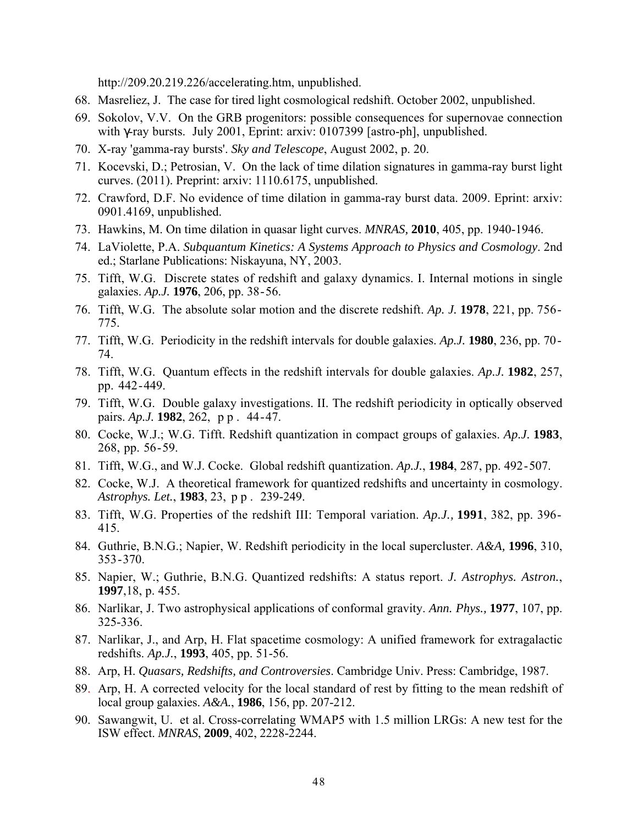http://209.20.219.226/accelerating.htm, unpublished.

- 68. Masreliez, J. The case for tired light cosmological redshift. October 2002, unpublished.
- 69. Sokolov, V.V. On the GRB progenitors: possible consequences for supernovae connection with γ-ray bursts. July 2001, Eprint: arxiv: 0107399 [astro-ph], unpublished.
- 70. X-ray 'gamma-ray bursts'. *Sky and Telescope*, August 2002, p. 20.
- 71. Kocevski, D.; Petrosian, V. On the lack of time dilation signatures in gamma-ray burst light curves. (2011). Preprint: arxiv: 1110.6175, unpublished.
- 72. Crawford, D.F. No evidence of time dilation in gamma-ray burst data. 2009. Eprint: arxiv: 0901.4169, unpublished.
- 73. Hawkins, M. On time dilation in quasar light curves. *MNRAS,* **2010**, 405, pp. 1940-1946.
- 74. LaViolette, P.A. *Subquantum Kinetics: A Systems Approach to Physics and Cosmology*. 2nd ed.; Starlane Publications: Niskayuna, NY, 2003.
- 75. Tifft, W.G. Discrete states of redshift and galaxy dynamics. I. Internal motions in single galaxies. *Ap.J.* **1976**, 206, pp. 38-56.
- 76. Tifft, W.G. The absolute solar motion and the discrete redshift. *Ap. J.* **1978**, 221, pp. 756- 775.
- 77. Tifft, W.G. Periodicity in the redshift intervals for double galaxies. *Ap.J.* **1980**, 236, pp. 70- 74.
- 78. Tifft, W.G. Quantum effects in the redshift intervals for double galaxies. *Ap.J.* **1982**, 257, pp. 442-449.
- 79. Tifft, W.G. Double galaxy investigations. II. The redshift periodicity in optically observed pairs. *Ap.J.* **1982**, 262, p p . 44-47.
- 80. Cocke, W.J.; W.G. Tifft. Redshift quantization in compact groups of galaxies. *Ap.J.* **1983**, 268, pp. 56-59.
- 81. Tifft, W.G., and W.J. Cocke. Global redshift quantization. *Ap.J.*, **1984**, 287, pp. 492-507.
- 82. Cocke, W.J. A theoretical framework for quantized redshifts and uncertainty in cosmology. *Astrophys. Let.*, **1983**, 23, p p . 239-249.
- 83. Tifft, W.G. Properties of the redshift III: Temporal variation. *Ap.J.,* **1991**, 382, pp. 396- 415.
- 84. Guthrie, B.N.G.; Napier, W. Redshift periodicity in the local supercluster. *A&A,* **1996**, 310, 353-370.
- 85. Napier, W.; Guthrie, B.N.G. Quantized redshifts: A status report. *J. Astrophys. Astron.*, **1997**,18, p. 455.
- 86. Narlikar, J. Two astrophysical applications of conformal gravity. *Ann. Phys.,* **1977**, 107, pp. 325-336.
- 87. Narlikar, J., and Arp, H. Flat spacetime cosmology: A unified framework for extragalactic redshifts. *Ap.J.*, **1993**, 405, pp. 51-56.
- 88. Arp, H. *Quasars, Redshifts, and Controversies*. Cambridge Univ. Press: Cambridge, 1987.
- 89. Arp, H. A corrected velocity for the local standard of rest by fitting to the mean redshift of local group galaxies. *A&A.*, **1986**, 156, pp. 207-212.
- 90. Sawangwit, U. et al. Cross-correlating WMAP5 with 1.5 million LRGs: A new test for the ISW effect. *MNRAS*, **2009**, 402, 2228-2244.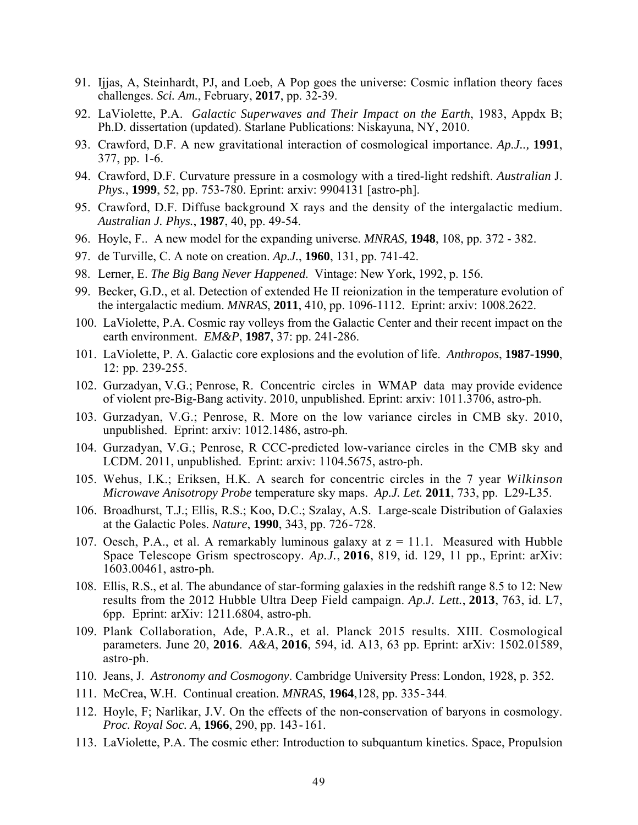- 91. Ijjas, A, Steinhardt, PJ, and Loeb, A Pop goes the universe: Cosmic inflation theory faces challenges. *Sci. Am.*, February, **2017**, pp. 32-39.
- 92. LaViolette, P.A. *Galactic Superwaves and Their Impact on the Earth*, 1983, Appdx B; Ph.D. dissertation (updated). Starlane Publications: Niskayuna, NY, 2010.
- 93. Crawford, D.F. A new gravitational interaction of cosmological importance. *Ap.J..,* **1991**, 377, pp. 1-6.
- 94. Crawford, D.F. Curvature pressure in a cosmology with a tired-light redshift. *Australian* J. *Phys.*, **1999**, 52, pp. 753-780. Eprint: arxiv: 9904131 [astro-ph].
- 95. Crawford, D.F. Diffuse background X rays and the density of the intergalactic medium. *Australian J. Phys.*, **1987**, 40, pp. 49-54.
- 96. Hoyle, F.. A new model for the expanding universe. *MNRAS,* **1948**, 108, pp. 372 382.
- 97. de Turville, C. A note on creation. *Ap.J.*, **1960**, 131, pp. 741-42.
- 98. Lerner, E. *The Big Bang Never Happened*. Vintage: New York, 1992, p. 156.
- 99. Becker, G.D., et al. Detection of extended He II reionization in the temperature evolution of the intergalactic medium. *MNRAS*, **2011**, 410, pp. 1096-1112. Eprint: arxiv: 1008.2622.
- 100. LaViolette, P.A. Cosmic ray volleys from the Galactic Center and their recent impact on the earth environment. *EM&P*, **1987**, 37: pp. 241-286.
- 101. LaViolette, P. A. Galactic core explosions and the evolution of life. *Anthropos*, **1987-1990**, 12: pp. 239-255.
- 102. Gurzadyan, V.G.; Penrose, R. Concentric circles in WMAP data may provide evidence of violent pre-Big-Bang activity. 2010, unpublished. Eprint: arxiv: 1011.3706, astro-ph.
- 103. Gurzadyan, V.G.; Penrose, R. More on the low variance circles in CMB sky. 2010, unpublished. Eprint: arxiv: 1012.1486, astro-ph.
- 104. Gurzadyan, V.G.; Penrose, R CCC-predicted low-variance circles in the CMB sky and LCDM. 2011, unpublished. Eprint: arxiv: 1104.5675, astro-ph.
- 105. Wehus, I.K.; Eriksen, H.K. A search for concentric circles in the 7 year *Wilkinson Microwave Anisotropy Probe* temperature sky maps. *Ap.J. Let.* **2011**, 733, pp. L29-L35.
- 106. Broadhurst, T.J.; Ellis, R.S.; Koo, D.C.; Szalay, A.S. Large-scale Distribution of Galaxies at the Galactic Poles. *Nature*, **1990**, 343, pp. 726-728.
- 107. Oesch, P.A., et al. A remarkably luminous galaxy at  $z = 11.1$ . Measured with Hubble Space Telescope Grism spectroscopy. *Ap.J.*, **2016**, 819, id. 129, 11 pp., Eprint: arXiv: 1603.00461, astro-ph.
- 108. Ellis, R.S., et al. The abundance of star-forming galaxies in the redshift range 8.5 to 12: New results from the 2012 Hubble Ultra Deep Field campaign. *Ap.J. Lett.*, **2013**, 763, id. L7, 6pp. Eprint: arXiv: 1211.6804, astro-ph.
- 109. Plank Collaboration, Ade, P.A.R., et al. Planck 2015 results. XIII. Cosmological parameters. June 20, **2016**. *A&A*, **2016**, 594, id. A13, 63 pp. Eprint: arXiv: 1502.01589, astro-ph.
- 110. Jeans, J. *Astronomy and Cosmogony*. Cambridge University Press: London, 1928, p. 352.
- 111. McCrea, W.H. Continual creation. *MNRAS*, **1964**,128, pp. 335-344.
- 112. Hoyle, F; Narlikar, J.V. On the effects of the non-conservation of baryons in cosmology. *Proc. Royal Soc. A*, **1966**, 290, pp. 143-161.
- 113. LaViolette, P.A. The cosmic ether: Introduction to subquantum kinetics. Space, Propulsion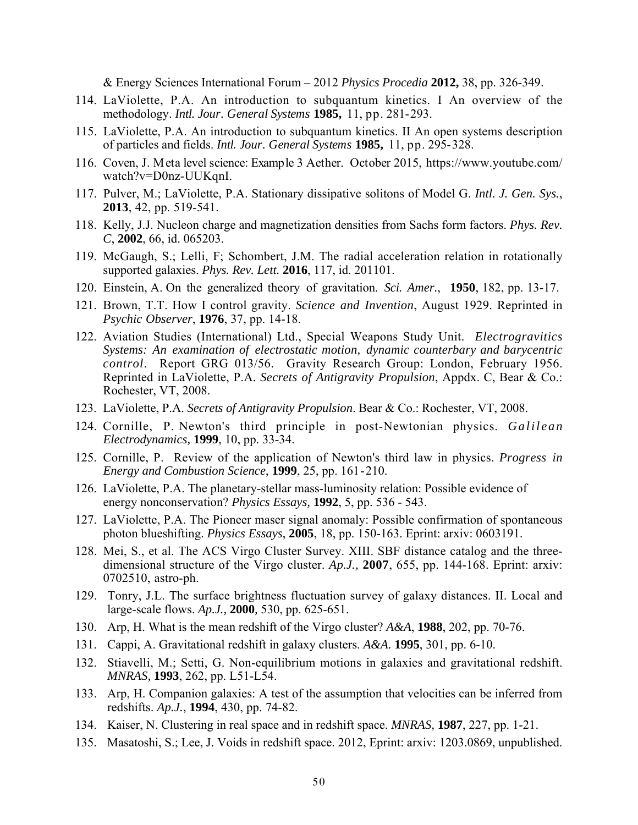& Energy Sciences International Forum – 2012 *Physics Procedia* **2012,** 38, pp. 326-349.

- 114. LaViolette, P.A. An introduction to subquantum kinetics. I An overview of the methodology. *Intl. Jour. General Systems* **1985,** 11, pp. 281-293.
- 115. LaViolette, P.A. An introduction to subquantum kinetics. II An open systems description of particles and fields. *Intl. Jour. General Systems* **1985,** 11, pp. 295-328.
- 116. Coven, J. Meta level science: Example 3 Aether. October 2015, https://www.youtube.com/ watch?v=D0nz-UUKqnI.
- 117. Pulver, M.; LaViolette, P.A. Stationary dissipative solitons of Model G. *Intl. J. Gen. Sys.*, **2013**, 42, pp. 519-541.
- 118. Kelly, J.J. Nucleon charge and magnetization densities from Sachs form factors. *Phys. Rev. C*, **2002**, 66, id. 065203.
- 119. McGaugh, S.; Lelli, F; Schombert, J.M. The radial acceleration relation in rotationally supported galaxies. *Phys. Rev. Lett.* **2016**, 117, id. 201101.
- 120. Einstein, A. On the generalized theory of gravitation. *Sci. Amer.*, **1950**, 182, pp. 13-17.
- 121. Brown, T.T. How I control gravity. *Science and Invention*, August 1929. Reprinted in *Psychic Observer*, **1976**, 37, pp. 14-18.
- 122. Aviation Studies (International) Ltd., Special Weapons Study Unit. *Electrogravitics Systems: An examination of electrostatic motion, dynamic counterbary and barycentric control*. Report GRG 013/56. Gravity Research Group: London, February 1956. Reprinted in LaViolette, P.A. *Secrets of Antigravity Propulsion*, Appdx. C, Bear & Co.: Rochester, VT, 2008.
- 123. LaViolette, P.A. *Secrets of Antigravity Propulsion*. Bear & Co.: Rochester, VT, 2008.
- 124. Cornille, P. Newton's third principle in post-Newtonian physics. *Galilean Electrodynamics,* **1999**, 10, pp. 33-34.
- 125. Cornille, P. Review of the application of Newton's third law in physics. *Progress in Energy and Combustion Science*, **1999**, 25, pp. 161-210.
- 126. LaViolette, P.A. The planetary-stellar mass-luminosity relation: Possible evidence of energy nonconservation? *Physics Essays,* **1992**, 5, pp. 536 - 543.
- 127. LaViolette, P.A. The Pioneer maser signal anomaly: Possible confirmation of spontaneous photon blueshifting. *Physics Essays*, **2005**, 18, pp. 150-163. Eprint: arxiv: 0603191.
- 128. Mei, S., et al. The ACS Virgo Cluster Survey. XIII. SBF distance catalog and the threedimensional structure of the Virgo cluster. *Ap.J.,* **2007**, 655, pp. 144-168. Eprint: arxiv: 0702510, astro-ph.
- 129. Tonry, J.L. The surface brightness fluctuation survey of galaxy distances. II. Local and large-scale flows. *Ap.J.,* **2000***,* 530, pp. 625-651.
- 130. Arp, H. What is the mean redshift of the Virgo cluster? *A&A*, **1988**, 202, pp. 70-76.
- 131. Cappi, A. Gravitational redshift in galaxy clusters. *A&A.* **1995**, 301, pp. 6-10.
- 132. Stiavelli, M.; Setti, G. Non-equilibrium motions in galaxies and gravitational redshift. *MNRAS,* **1993**, 262, pp. L51-L54.
- 133. Arp, H. Companion galaxies: A test of the assumption that velocities can be inferred from redshifts. *Ap.J.*, **1994**, 430, pp. 74-82.
- 134. Kaiser, N. Clustering in real space and in redshift space. *MNRAS,* **1987**, 227, pp. 1-21.
- 135. Masatoshi, S.; Lee, J. Voids in redshift space. 2012, Eprint: arxiv: 1203.0869, unpublished.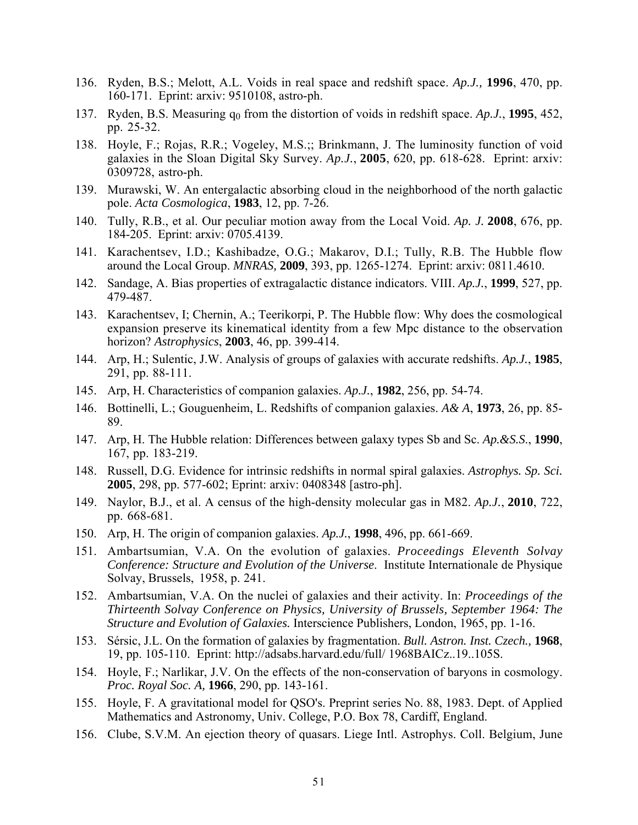- 136. Ryden, B.S.; Melott, A.L. Voids in real space and redshift space. *Ap.J.,* **1996**, 470, pp. 160-171. Eprint: arxiv: 9510108, astro-ph.
- 137. Ryden, B.S. Measuring  $q_0$  from the distortion of voids in redshift space. *Ap.J.*, 1995, 452, pp. 25-32.
- 138. Hoyle, F.; Rojas, R.R.; Vogeley, M.S.;; Brinkmann, J. The luminosity function of void galaxies in the Sloan Digital Sky Survey. *Ap.J.*, **2005**, 620, pp. 618-628. Eprint: arxiv: 0309728, astro-ph.
- 139. Murawski, W. An entergalactic absorbing cloud in the neighborhood of the north galactic pole. *Acta Cosmologica*, **1983**, 12, pp. 7-26.
- 140. Tully, R.B., et al. Our peculiar motion away from the Local Void. *Ap. J.* **2008**, 676, pp. 184-205. Eprint: arxiv: 0705.4139.
- 141. Karachentsev, I.D.; Kashibadze, O.G.; Makarov, D.I.; Tully, R.B. The Hubble flow around the Local Group. *MNRAS,* **2009**, 393, pp. 1265-1274. Eprint: arxiv: 0811.4610.
- 142. Sandage, A. Bias properties of extragalactic distance indicators. VIII. *Ap.J.*, **1999**, 527, pp. 479-487.
- 143. Karachentsev, I; Chernin, A.; Teerikorpi, P. The Hubble flow: Why does the cosmological expansion preserve its kinematical identity from a few Mpc distance to the observation horizon? *Astrophysics*, **2003**, 46, pp. 399-414.
- 144. Arp, H.; Sulentic, J.W. Analysis of groups of galaxies with accurate redshifts. *Ap.J.*, **1985**, 291, pp. 88-111.
- 145. Arp, H. Characteristics of companion galaxies. *Ap.J.*, **1982**, 256, pp. 54-74.
- 146. Bottinelli, L.; Gouguenheim, L. Redshifts of companion galaxies. *A& A*, **1973**, 26, pp. 85- 89.
- 147. Arp, H. The Hubble relation: Differences between galaxy types Sb and Sc. *Ap.&S.S*., **1990**, 167, pp. 183-219.
- 148. Russell, D.G. Evidence for intrinsic redshifts in normal spiral galaxies. *Astrophys. Sp. Sci.* **2005**, 298, pp. 577-602; Eprint: arxiv: 0408348 [astro-ph].
- 149. Naylor, B.J., et al. A census of the high-density molecular gas in M82. *Ap.J.*, **2010**, 722, pp. 668-681.
- 150. Arp, H. The origin of companion galaxies. *Ap.J.*, **1998**, 496, pp. 661-669.
- 151. Ambartsumian, V.A. On the evolution of galaxies. *Proceedings Eleventh Solvay Conference: Structure and Evolution of the Universe*. Institute Internationale de Physique Solvay, Brussels, 1958, p. 241.
- 152. Ambartsumian, V.A. On the nuclei of galaxies and their activity. In: *Proceedings of the Thirteenth Solvay Conference on Physics, University of Brussels, September 1964: The Structure and Evolution of Galaxies.* Interscience Publishers, London, 1965, pp. 1-16.
- 153. Sérsic, J.L. On the formation of galaxies by fragmentation. *Bull. Astron. Inst. Czech.,* **1968**, 19, pp. 105-110. Eprint: http://adsabs.harvard.edu/full/ 1968BAICz..19..105S.
- 154. Hoyle, F.; Narlikar, J.V. On the effects of the non-conservation of baryons in cosmology. *Proc. Royal Soc. A,* **1966**, 290, pp. 143-161.
- 155. Hoyle, F. A gravitational model for QSO's. Preprint series No. 88, 1983. Dept. of Applied Mathematics and Astronomy, Univ. College, P.O. Box 78, Cardiff, England.
- 156. Clube, S.V.M. An ejection theory of quasars. Liege Intl. Astrophys. Coll. Belgium, June